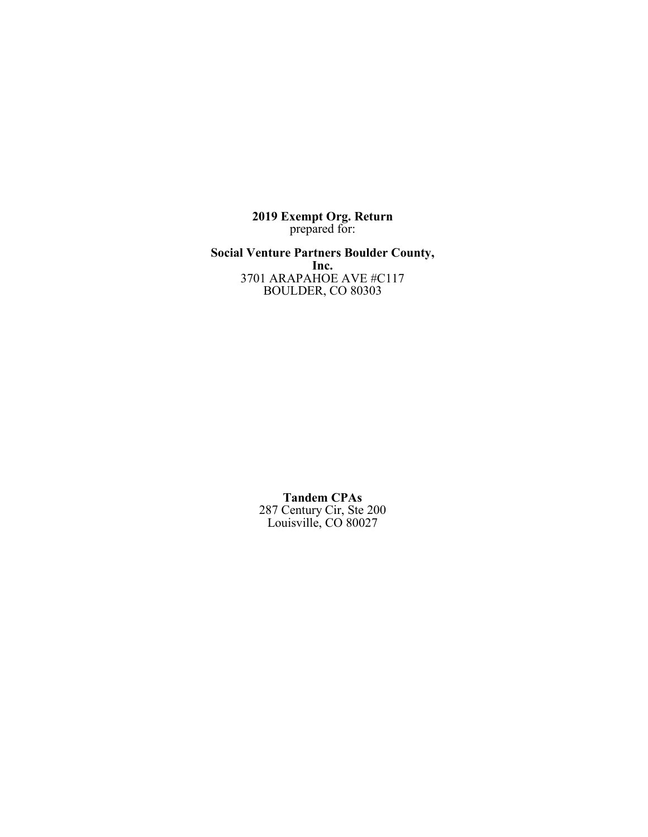**2019 Exempt Org. Return** prepared for:

**Social Venture Partners Boulder County, Inc.** 3701 ARAPAHOE AVE #C117 BOULDER, CO 80303

> **Tandem CPAs** 287 Century Cir, Ste 200 Louisville, CO 80027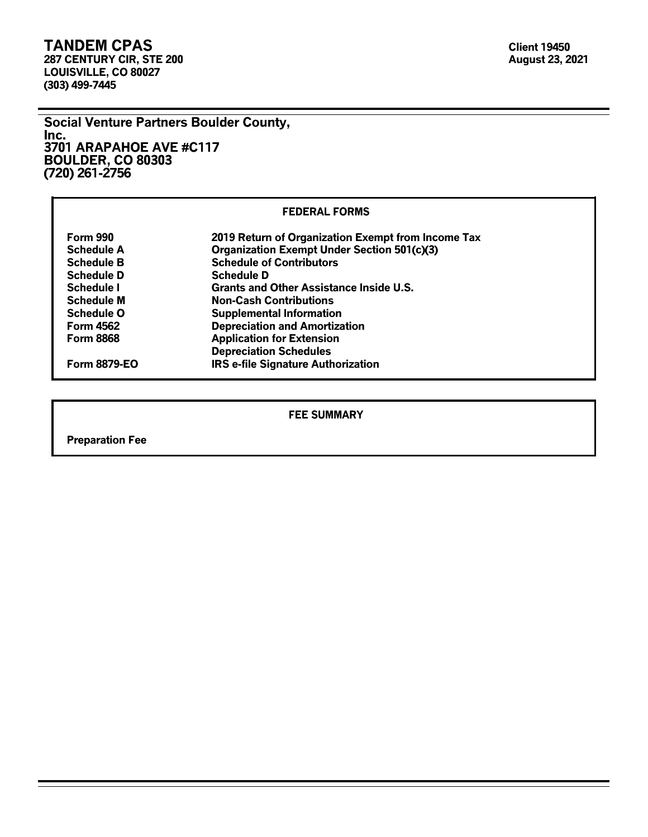## **TANDEM CPAS**

**287 CENTURY CIR, STE 200 LOUISVILLE, CO 80027 (303) 499-7445**

**Social Venture Partners Boulder County, Inc. 3701 ARAPAHOE AVE #C117 BOULDER, CO 80303 (720) 261-2756**

### **FEDERAL FORMS**

| <b>Form 990</b>     | 2019 Return of Organization Exempt from Income Tax |
|---------------------|----------------------------------------------------|
| <b>Schedule A</b>   | <b>Organization Exempt Under Section 501(c)(3)</b> |
| <b>Schedule B</b>   | <b>Schedule of Contributors</b>                    |
| <b>Schedule D</b>   | <b>Schedule D</b>                                  |
| <b>Schedule I</b>   | <b>Grants and Other Assistance Inside U.S.</b>     |
| <b>Schedule M</b>   | <b>Non-Cash Contributions</b>                      |
| <b>Schedule O</b>   | <b>Supplemental Information</b>                    |
| <b>Form 4562</b>    | <b>Depreciation and Amortization</b>               |
| <b>Form 8868</b>    | <b>Application for Extension</b>                   |
|                     | <b>Depreciation Schedules</b>                      |
| <b>Form 8879-EO</b> | <b>IRS e-file Signature Authorization</b>          |

**FEE SUMMARY**

**Preparation Fee**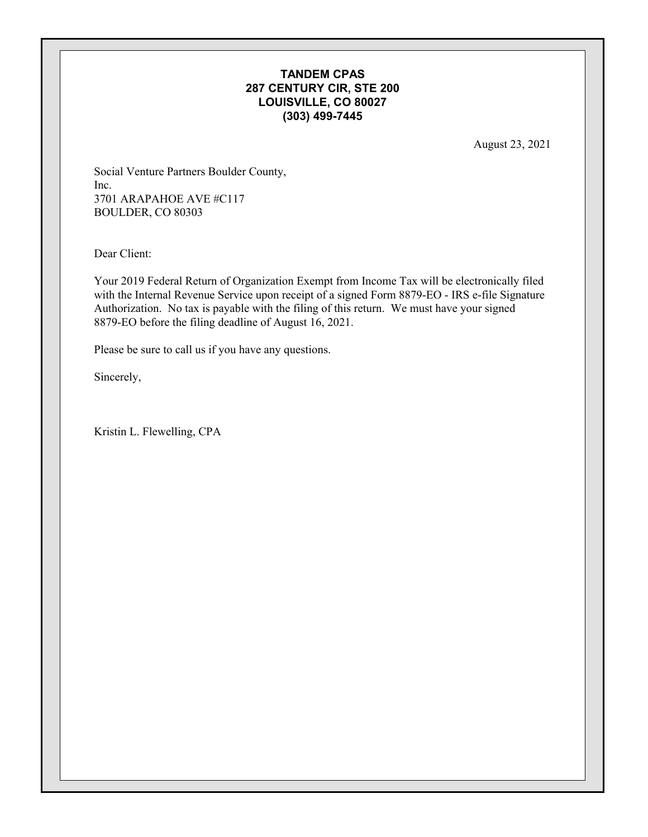### **TANDEM CPAS 287 CENTURY CIR, STE 200 LOUISVILLE, CO 80027 (303) 499-7445**

August 23, 2021

Social Venture Partners Boulder County, Inc. 3701 ARAPAHOE AVE #C117 BOULDER, CO 80303

Dear Client:

Your 2019 Federal Return of Organization Exempt from Income Tax will be electronically filed with the Internal Revenue Service upon receipt of a signed Form 8879-EO - IRS e-file Signature Authorization. No tax is payable with the filing of this return. We must have your signed 8879-EO before the filing deadline of August 16, 2021.

Please be sure to call us if you have any questions.

Sincerely,

Kristin L. Flewelling, CPA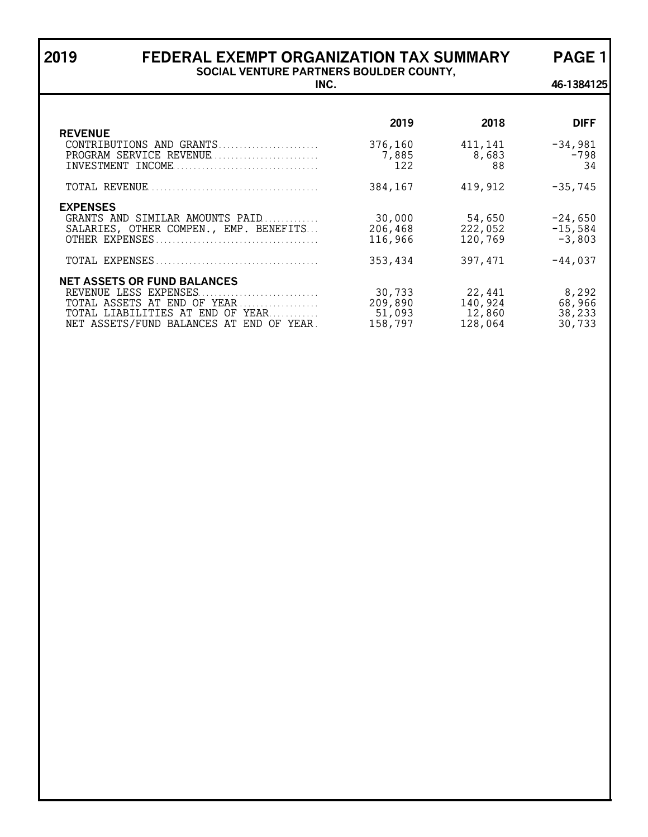## **2019 FEDERAL EXEMPT ORGANIZATION TAX SUMMARY PAGE 1**

| SOCIAL VENTURE PARTNERS BOULDER COUNTY,<br>INC.                                                                                                                            |                                        |                                        |                                     |  |  |
|----------------------------------------------------------------------------------------------------------------------------------------------------------------------------|----------------------------------------|----------------------------------------|-------------------------------------|--|--|
| <b>REVENUE</b>                                                                                                                                                             | 2019                                   | 2018                                   | <b>DIFF</b>                         |  |  |
| CONTRIBUTIONS AND GRANTS<br>PROGRAM SERVICE REVENUE<br>INVESTMENT INCOME                                                                                                   | 376,160<br>7,885<br>122                | 411,141<br>8,683<br>88                 | $-34,981$<br>$-798$<br>34           |  |  |
|                                                                                                                                                                            | 384,167                                | 419,912                                | $-35,745$                           |  |  |
| <b>EXPENSES</b><br>GRANTS AND SIMILAR AMOUNTS PAID<br>SALARIES, OTHER COMPEN., EMP. BENEFITS                                                                               | 30,000<br>206,468<br>116,966           | 54,650<br>222,052<br>120,769           | $-24,650$<br>$-15,584$<br>$-3,803$  |  |  |
|                                                                                                                                                                            | 353,434                                | 397,471                                | $-44,037$                           |  |  |
| <b>NET ASSETS OR FUND BALANCES</b><br>REVENUE LESS EXPENSES<br>TOTAL ASSETS AT END OF YEAR<br>TOTAL LIABILITIES AT END OF YEAR<br>NET ASSETS/FUND BALANCES AT END OF YEAR. | 30,733<br>209,890<br>51,093<br>158,797 | 22,441<br>140,924<br>12,860<br>128,064 | 8,292<br>68,966<br>38,233<br>30,733 |  |  |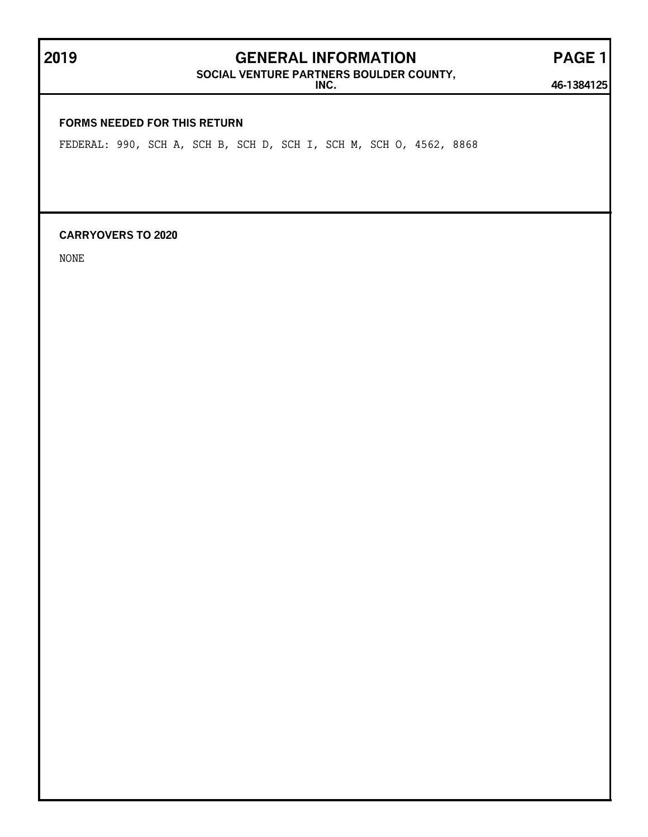## **2019 GENERAL INFORMATION PAGE 1**

**SOCIAL VENTURE PARTNERS BOULDER COUNTY,**

**INC. 46-1384125**

#### **FORMS NEEDED FOR THIS RETURN**

FEDERAL: 990, SCH A, SCH B, SCH D, SCH I, SCH M, SCH O, 4562, 8868

#### **CARRYOVERS TO 2020**

NONE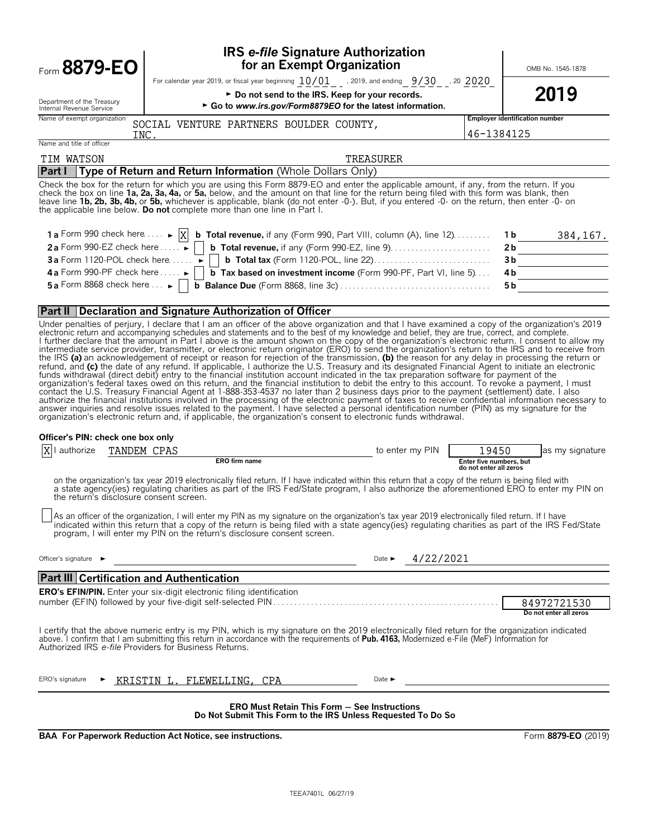| Form 8879-EO                                           |                                                                                                                                                                                                                                                                                                                                                                                                                                                                                                                                                                                                                                                                                                                                                                                                                                                                                                                                                                                                                                                                                                                                                                                                                                                                                                                                                                                                                                                                                                                                                           | <b>IRS e-file Signature Authorization</b><br>for an Exempt Organization |                        |                                            |
|--------------------------------------------------------|-----------------------------------------------------------------------------------------------------------------------------------------------------------------------------------------------------------------------------------------------------------------------------------------------------------------------------------------------------------------------------------------------------------------------------------------------------------------------------------------------------------------------------------------------------------------------------------------------------------------------------------------------------------------------------------------------------------------------------------------------------------------------------------------------------------------------------------------------------------------------------------------------------------------------------------------------------------------------------------------------------------------------------------------------------------------------------------------------------------------------------------------------------------------------------------------------------------------------------------------------------------------------------------------------------------------------------------------------------------------------------------------------------------------------------------------------------------------------------------------------------------------------------------------------------------|-------------------------------------------------------------------------|------------------------|--------------------------------------------|
|                                                        | For calendar year 2019, or fiscal year beginning $10/01$ _ _ , 2019, and ending $9/30$ _ , 20 $2020$                                                                                                                                                                                                                                                                                                                                                                                                                                                                                                                                                                                                                                                                                                                                                                                                                                                                                                                                                                                                                                                                                                                                                                                                                                                                                                                                                                                                                                                      |                                                                         |                        | OMB No. 1545-1878                          |
|                                                        |                                                                                                                                                                                                                                                                                                                                                                                                                                                                                                                                                                                                                                                                                                                                                                                                                                                                                                                                                                                                                                                                                                                                                                                                                                                                                                                                                                                                                                                                                                                                                           | ► Do not send to the IRS. Keep for your records.                        |                        | 2019                                       |
| Department of the Treasury<br>Internal Revenue Service |                                                                                                                                                                                                                                                                                                                                                                                                                                                                                                                                                                                                                                                                                                                                                                                                                                                                                                                                                                                                                                                                                                                                                                                                                                                                                                                                                                                                                                                                                                                                                           | ► Go to www.irs.gov/Form8879EO for the latest information.              |                        |                                            |
| Name of exempt organization                            | SOCIAL VENTURE PARTNERS BOULDER COUNTY,                                                                                                                                                                                                                                                                                                                                                                                                                                                                                                                                                                                                                                                                                                                                                                                                                                                                                                                                                                                                                                                                                                                                                                                                                                                                                                                                                                                                                                                                                                                   |                                                                         |                        | <b>Employer identification number</b>      |
| INC                                                    |                                                                                                                                                                                                                                                                                                                                                                                                                                                                                                                                                                                                                                                                                                                                                                                                                                                                                                                                                                                                                                                                                                                                                                                                                                                                                                                                                                                                                                                                                                                                                           |                                                                         |                        | 46-1384125                                 |
| Name and title of officer                              |                                                                                                                                                                                                                                                                                                                                                                                                                                                                                                                                                                                                                                                                                                                                                                                                                                                                                                                                                                                                                                                                                                                                                                                                                                                                                                                                                                                                                                                                                                                                                           |                                                                         |                        |                                            |
| TIM WATSON                                             |                                                                                                                                                                                                                                                                                                                                                                                                                                                                                                                                                                                                                                                                                                                                                                                                                                                                                                                                                                                                                                                                                                                                                                                                                                                                                                                                                                                                                                                                                                                                                           | TREASURER                                                               |                        |                                            |
|                                                        | Part I   Type of Return and Return Information (Whole Dollars Only)                                                                                                                                                                                                                                                                                                                                                                                                                                                                                                                                                                                                                                                                                                                                                                                                                                                                                                                                                                                                                                                                                                                                                                                                                                                                                                                                                                                                                                                                                       |                                                                         |                        |                                            |
|                                                        | Check the box for the return for which you are using this Form 8879-EO and enter the applicable amount, if any, from the return. If you<br>check the box on line 1a, 2a, 3a, 4a, or 5a, below, and the amount on that line for the return being filed with this form was blank, then<br>leave line 1b, 2b, 3b, 4b, or 5b, whichever is applicable, blank (do not enter -0-). But, if you entered -0- on the return, then enter -0- on<br>the applicable line below. Do not complete more than one line in Part I.                                                                                                                                                                                                                                                                                                                                                                                                                                                                                                                                                                                                                                                                                                                                                                                                                                                                                                                                                                                                                                         |                                                                         |                        |                                            |
|                                                        | 1 a Form 990 check here $\dots$ $\blacktriangleright$ $\begin{vmatrix} x \\ y \end{vmatrix}$ <b>b Total revenue,</b> if any (Form 990, Part VIII, column (A), line 12.                                                                                                                                                                                                                                                                                                                                                                                                                                                                                                                                                                                                                                                                                                                                                                                                                                                                                                                                                                                                                                                                                                                                                                                                                                                                                                                                                                                    |                                                                         |                        | 1 b<br>384,167.                            |
|                                                        | 2a Form 990-EZ check here $\dots$ $\blacktriangleright$   b Total revenue, if any (Form 990-EZ, line 9). $\dots$ . $\dots$                                                                                                                                                                                                                                                                                                                                                                                                                                                                                                                                                                                                                                                                                                                                                                                                                                                                                                                                                                                                                                                                                                                                                                                                                                                                                                                                                                                                                                |                                                                         |                        | 2 <sub>b</sub>                             |
|                                                        | <b>3a</b> Form 1120-POL check here $\dots$ $\blacktriangleright$   <b>b</b> Total tax (Form 1120-POL, line 22) $\dots$                                                                                                                                                                                                                                                                                                                                                                                                                                                                                                                                                                                                                                                                                                                                                                                                                                                                                                                                                                                                                                                                                                                                                                                                                                                                                                                                                                                                                                    |                                                                         |                        | 3 <sub>b</sub>                             |
| 4a Form 990-PF check here $\dots$                      |                                                                                                                                                                                                                                                                                                                                                                                                                                                                                                                                                                                                                                                                                                                                                                                                                                                                                                                                                                                                                                                                                                                                                                                                                                                                                                                                                                                                                                                                                                                                                           | <b>b</b> Tax based on investment income (Form 990-PF, Part VI, line 5)  |                        | 4b                                         |
| 5a Form 8868 check here $\dots$ $\blacktriangleright$  |                                                                                                                                                                                                                                                                                                                                                                                                                                                                                                                                                                                                                                                                                                                                                                                                                                                                                                                                                                                                                                                                                                                                                                                                                                                                                                                                                                                                                                                                                                                                                           |                                                                         |                        | 5 <sub>b</sub>                             |
|                                                        | <b>Part II Declaration and Signature Authorization of Officer</b>                                                                                                                                                                                                                                                                                                                                                                                                                                                                                                                                                                                                                                                                                                                                                                                                                                                                                                                                                                                                                                                                                                                                                                                                                                                                                                                                                                                                                                                                                         |                                                                         |                        |                                            |
|                                                        | electronic return and accompanying schedules and statements and to the best of my knowledge and belief, they are true, correct, and complete.<br>I further declare that the amount in Part I above is the amount shown on the copy of the organization's electronic return. I consent to allow my intermediate service provider, transmitter, or electronic return originator (<br>the IRS (a) an acknowledgement of receipt or reason for rejection of the transmission, (b) the reason for any delay in processing the return or<br>refund, and (c) the date of any refund. If applicable, I authorize the U.S. Treasury and its designated Financial Agent to initiate an electronic<br>funds withdrawal (direct debit) entry to the financial institution account indicated in the tax preparation software for payment of the<br>organization's federal taxes owed on this return, and the financial institution to debit the entry to this account. To revoke a payment, I must<br>contact the U.S. Treasury Financial Agent at 1-888-353-4537 no later than 2 business days prior to the payment (settlement) date. I also<br>authorize the financial institutions involved in the processing of the electronic payment of taxes to receive confidential information necessary to<br>answer inquiries and resolve issues related to the payment. I have selected a personal identification number (PIN) as my signature for the<br>organization's electronic return and, if applicable, the organization's consent to electronic funds withdrawal. |                                                                         |                        |                                            |
| Officer's PIN: check one box only                      |                                                                                                                                                                                                                                                                                                                                                                                                                                                                                                                                                                                                                                                                                                                                                                                                                                                                                                                                                                                                                                                                                                                                                                                                                                                                                                                                                                                                                                                                                                                                                           |                                                                         |                        |                                            |
| X<br>authorize<br>TANDEM CPAS                          | ERO firm name                                                                                                                                                                                                                                                                                                                                                                                                                                                                                                                                                                                                                                                                                                                                                                                                                                                                                                                                                                                                                                                                                                                                                                                                                                                                                                                                                                                                                                                                                                                                             | to enter my PIN                                                         | 19450                  | as my signature<br>Enter five numbers, but |
|                                                        |                                                                                                                                                                                                                                                                                                                                                                                                                                                                                                                                                                                                                                                                                                                                                                                                                                                                                                                                                                                                                                                                                                                                                                                                                                                                                                                                                                                                                                                                                                                                                           |                                                                         | do not enter all zeros |                                            |
| the return's disclosure consent screen.                | on the organization's tax year 2019 electronically filed return. If I have indicated within this return that a copy of the return is being filed with<br>a state agency(ies) regulating charities as part of the IRS Fed/State program, I also authorize the aforementioned ERO to enter my PIN on                                                                                                                                                                                                                                                                                                                                                                                                                                                                                                                                                                                                                                                                                                                                                                                                                                                                                                                                                                                                                                                                                                                                                                                                                                                        |                                                                         |                        |                                            |
|                                                        | As an officer of the organization, I will enter my PIN as my signature on the organization's tax year 2019 electronically filed return. If I have<br>indicated within this return that a copy of the return is being filed with a state agency(ies) regulating charities as part of the IRS Fed/State<br>program, I will enter my PIN on the return's disclosure consent screen.                                                                                                                                                                                                                                                                                                                                                                                                                                                                                                                                                                                                                                                                                                                                                                                                                                                                                                                                                                                                                                                                                                                                                                          |                                                                         |                        |                                            |
| Officer's signature $\blacktriangleright$              |                                                                                                                                                                                                                                                                                                                                                                                                                                                                                                                                                                                                                                                                                                                                                                                                                                                                                                                                                                                                                                                                                                                                                                                                                                                                                                                                                                                                                                                                                                                                                           | Date $\blacktriangleright$                                              | 4/22/2021              |                                            |
| <b>Part III Certification and Authentication</b>       |                                                                                                                                                                                                                                                                                                                                                                                                                                                                                                                                                                                                                                                                                                                                                                                                                                                                                                                                                                                                                                                                                                                                                                                                                                                                                                                                                                                                                                                                                                                                                           |                                                                         |                        |                                            |
|                                                        | <b>ERO's EFIN/PIN.</b> Enter your six-digit electronic filing identification                                                                                                                                                                                                                                                                                                                                                                                                                                                                                                                                                                                                                                                                                                                                                                                                                                                                                                                                                                                                                                                                                                                                                                                                                                                                                                                                                                                                                                                                              |                                                                         |                        |                                            |
|                                                        |                                                                                                                                                                                                                                                                                                                                                                                                                                                                                                                                                                                                                                                                                                                                                                                                                                                                                                                                                                                                                                                                                                                                                                                                                                                                                                                                                                                                                                                                                                                                                           |                                                                         |                        | 84972721530<br>Do not enter all zeros      |
| Authorized IRS e-file Providers for Business Returns.  | I certify that the above numeric entry is my PIN, which is my signature on the 2019 electronically filed return for the organization indicated<br>above. I confirm that I am submitting this return in accordance with the requirements of Pub. 4163, Modernized e-File (MeF) Information for                                                                                                                                                                                                                                                                                                                                                                                                                                                                                                                                                                                                                                                                                                                                                                                                                                                                                                                                                                                                                                                                                                                                                                                                                                                             |                                                                         |                        |                                            |
| ERO's signature<br>►                                   | KRISTIN L. FLEWELLING, CPA                                                                                                                                                                                                                                                                                                                                                                                                                                                                                                                                                                                                                                                                                                                                                                                                                                                                                                                                                                                                                                                                                                                                                                                                                                                                                                                                                                                                                                                                                                                                | Date $\blacktriangleright$                                              |                        |                                            |
|                                                        |                                                                                                                                                                                                                                                                                                                                                                                                                                                                                                                                                                                                                                                                                                                                                                                                                                                                                                                                                                                                                                                                                                                                                                                                                                                                                                                                                                                                                                                                                                                                                           |                                                                         |                        |                                            |

**ERO Must Retain This Form** ' **See Instructions Do Not Submit This Form to the IRS Unless Requested To Do So**

**BAA For Paperwork Reduction Act Notice, see instructions.** Form 8879-EO (2019)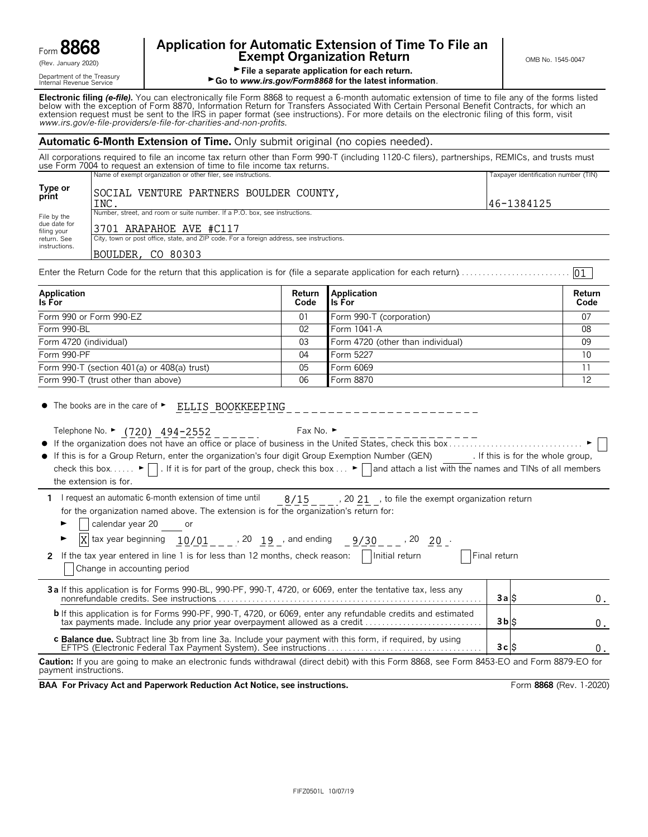|                             | O,<br>m |              |
|-----------------------------|---------|--------------|
| $\vdash$ orm $\blacksquare$ | 0<br>n  | ١ι<br>ı<br>O |

Department of the Treasury<br>Internal Revenue Service

# **Application for Automatic Extension of Time To File an Form B8668 Exempt Organization Return** CRET **EXEMPT ON B No. 1545-0047**

01

File a separate application for each return.

► Go to *www.irs.gov/Form8868* for the latest information.

**Electronic filing** *(e-file).* You can electronically file Form 8868 to request a 6-month automatic extension of time to file any of the forms listed below with the exception of Form 8870, Information Return for Transfers Associated With Certain Personal Benefit Contracts, for which an extension request must be sent to the IRS in paper format (see instructions). For more details on the electronic filing of this form, visit *www.irs.gov/e*-*file*-*providers/e-file-for-charities-and-non-profits*.

#### **Automatic 6-Month Extension of Time.** Only submit original (no copies needed).

All corporations required to file an income tax return other than Form 990-T (including 1120-C filers), partnerships, REMICs, and trusts must use Form 7004 to request an extension of time to file income tax returns. Name of exempt organization or other filer, see instructions. The contraction of the contraction of the filer, see instructions. **Type or**

| rype or<br>print             | SOCIAL VENTURE PARTNERS BOULDER COUNTY,<br>INC.                                          | 46-1384125 |
|------------------------------|------------------------------------------------------------------------------------------|------------|
| File by the                  | Number, street, and room or suite number. If a P.O. box, see instructions.               |            |
| due date for<br>filing your  | 3701 ARAPAHOE AVE #C117                                                                  |            |
| return. See<br>instructions. | City, town or post office, state, and ZIP code. For a foreign address, see instructions. |            |
|                              | CO 80303<br>BOULDER.                                                                     |            |

Enter the Return Code for the return that this application is for (file a separate application for each return). . . . . . . . . . . . . . . . . . . . . . . . . . .

| Application<br>Is For                               | Return<br>Code | <b>Application</b><br><b>Ils For</b> | Return<br>Code  |
|-----------------------------------------------------|----------------|--------------------------------------|-----------------|
| Form 990 or Form 990-EZ                             | 01             | Form 990-T (corporation)             | 07              |
| Form 990-BL                                         | 02             | Form 1041-A                          | 08              |
| Form 4720 (individual)                              | 03             | Form 4720 (other than individual)    | 09              |
| Form 990-PF                                         | 04             | Form 5227                            | 10 <sup>1</sup> |
| Form $990 - T$ (section $401(a)$ or $408(a)$ trust) | 05             | Form 6069                            |                 |
| Form 990-T (trust other than above)                 | 06             | Form 8870                            | $12^{12}$       |

| $\bullet$ The books are in the care of $\blacktriangleright$ | ELLIS BOOKKEEPING |
|--------------------------------------------------------------|-------------------|
|                                                              |                   |

| Fax No. $\blacktriangleright$<br>Telephone No. ► (720) 494-2552<br>• If this is for a Group Return, enter the organization's four digit Group Exemption Number (GEN) [If this is for the whole group,<br>check this box $\blacktriangleright \blacksquare$ . If it is for part of the group, check this box $\blacktriangleright \blacksquare$ and attach a list with the names and TINs of all members<br>the extension is for. |
|----------------------------------------------------------------------------------------------------------------------------------------------------------------------------------------------------------------------------------------------------------------------------------------------------------------------------------------------------------------------------------------------------------------------------------|
| I request an automatic 6-month extension of time until<br>8/15, 8/15 . 20 21, to file the exempt organization return                                                                                                                                                                                                                                                                                                             |
| for the organization named above. The extension is for the organization's return for:                                                                                                                                                                                                                                                                                                                                            |

calendar year 20 or

| $X$ tax year beginning $10/01$ , 20 $19$ , and ending<br>$9/30$ , 20<br>20 ·<br>Initial return<br>2 If the tax year entered in line 1 is for less than 12 months, check reason:<br>Change in accounting period | Final return |    |
|----------------------------------------------------------------------------------------------------------------------------------------------------------------------------------------------------------------|--------------|----|
| 3a If this application is for Forms 990-BL, 990-PF, 990-T, 4720, or 6069, enter the tentative tax, less any                                                                                                    | 3alS         | 0. |
| <b>b</b> If this application is for Forms 990-PF, 990-T, 4720, or 6069, enter any refundable credits and estimated<br>tax payments made. Include any prior year overpayment allowed as a credit                | 3 b S        |    |
| c Balance due. Subtract line 3b from line 3a. Include your payment with this form, if required, by using                                                                                                       |              |    |

EFTPS (Electronic Federal Tax Payment System). See instructions . . . . . . . . . . . . . . . . . . . . . . . . . . . . . . . . . . . . . **3 c** \$ **Caution:** If you are going to make an electronic funds withdrawal (direct debit) with this Form 8868, see Form 8453-EO and Form 8879-EO for payment instructions. 0.

**BAA For Privacy Act and Paperwork Reduction Act Notice, see instructions. Form 8868 (Rev. 1-2020)**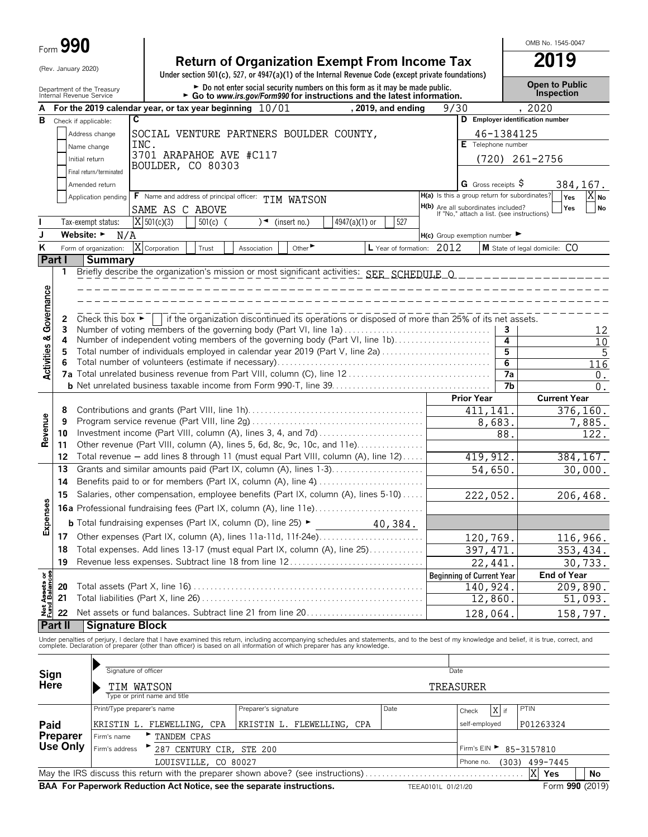|                                        | Form $990$                                             |                                      |                                              |            |                                                                                                                                                                                                                                   |                             |               |      |                      |      |                   |                                                                                          | OMB No. 1545-0047                   |                     |           |
|----------------------------------------|--------------------------------------------------------|--------------------------------------|----------------------------------------------|------------|-----------------------------------------------------------------------------------------------------------------------------------------------------------------------------------------------------------------------------------|-----------------------------|---------------|------|----------------------|------|-------------------|------------------------------------------------------------------------------------------|-------------------------------------|---------------------|-----------|
|                                        | (Rev. January 2020)                                    |                                      |                                              |            | <b>Return of Organization Exempt From Income Tax</b>                                                                                                                                                                              |                             |               |      |                      |      |                   |                                                                                          | 2019                                |                     |           |
|                                        |                                                        |                                      |                                              |            | Under section 501(c), 527, or 4947(a)(1) of the Internal Revenue Code (except private foundations)                                                                                                                                |                             |               |      |                      |      |                   |                                                                                          |                                     |                     |           |
|                                        | Department of the Treasury<br>Internal Revenue Service |                                      |                                              |            | Do not enter social security numbers on this form as it may be made public.<br>Go to www.irs.gov/Form990 for instructions and the latest information.                                                                             |                             |               |      |                      |      |                   |                                                                                          | <b>Open to Public</b><br>Inspection |                     |           |
|                                        |                                                        |                                      |                                              |            | For the 2019 calendar year, or tax year beginning $10/01$                                                                                                                                                                         |                             |               |      | , 2019, and ending   | 9/30 |                   |                                                                                          | , 2020                              |                     |           |
| в                                      | Check if applicable:                                   |                                      | C                                            |            |                                                                                                                                                                                                                                   |                             |               |      |                      |      |                   |                                                                                          | D Employer identification number    |                     |           |
|                                        |                                                        | Address change                       |                                              |            | SOCIAL VENTURE PARTNERS BOULDER COUNTY,                                                                                                                                                                                           |                             |               |      |                      |      |                   | 46-1384125                                                                               |                                     |                     |           |
|                                        |                                                        | Name change                          | INC.                                         |            |                                                                                                                                                                                                                                   |                             |               |      |                      |      |                   | E Telephone number                                                                       |                                     |                     |           |
|                                        | Initial return                                         |                                      | 3701 ARAPAHOE AVE #C117<br>BOULDER, CO 80303 |            |                                                                                                                                                                                                                                   |                             |               |      |                      |      |                   | (720)                                                                                    | 261-2756                            |                     |           |
|                                        |                                                        | Final return/terminated              |                                              |            |                                                                                                                                                                                                                                   |                             |               |      |                      |      |                   |                                                                                          |                                     |                     |           |
|                                        |                                                        | Amended return                       |                                              |            |                                                                                                                                                                                                                                   |                             |               |      |                      |      |                   | G Gross receipts $\varsigma$                                                             |                                     | 384,167.            |           |
|                                        |                                                        | Application pending                  |                                              |            | F Name and address of principal officer: TIM WATSON                                                                                                                                                                               |                             |               |      |                      |      |                   | H(a) Is this a group return for subordinates?                                            |                                     | Yes                 | <b>No</b> |
|                                        |                                                        |                                      | SAME AS C ABOVE                              |            |                                                                                                                                                                                                                                   |                             |               |      |                      |      |                   | <b>H(b)</b> Are all subordinates included?<br>If "No," attach a list. (see instructions) |                                     | Yes                 | <b>No</b> |
|                                        |                                                        | Tax-exempt status:                   | $X$ 501(c)(3)                                | $501(c)$ ( | $\sqrt{\bullet}$ (insert no.)                                                                                                                                                                                                     |                             | 4947(a)(1) or |      | 527                  |      |                   |                                                                                          |                                     |                     |           |
| J.                                     | Website: $\blacktriangleright$                         | N/A                                  |                                              |            |                                                                                                                                                                                                                                   |                             |               |      |                      |      |                   | $H(c)$ Group exemption number $\blacktriangleright$                                      |                                     |                     |           |
| K                                      | Part I                                                 | Form of organization:                | X<br>Corporation                             | Trust      | Association                                                                                                                                                                                                                       | Other $\blacktriangleright$ |               |      | L Year of formation: | 2012 |                   |                                                                                          | M State of legal domicile: CO       |                     |           |
|                                        | 1                                                      | <b>Summary</b>                       |                                              |            | Briefly describe the organization's mission or most significant activities: SEE_SCHEDULE_O________________                                                                                                                        |                             |               |      |                      |      |                   |                                                                                          |                                     |                     |           |
|                                        |                                                        |                                      |                                              |            |                                                                                                                                                                                                                                   |                             |               |      |                      |      |                   |                                                                                          |                                     |                     |           |
|                                        |                                                        |                                      |                                              |            |                                                                                                                                                                                                                                   |                             |               |      |                      |      |                   |                                                                                          |                                     |                     |           |
|                                        |                                                        |                                      |                                              |            |                                                                                                                                                                                                                                   |                             |               |      |                      |      |                   |                                                                                          |                                     |                     |           |
|                                        | 2                                                      | Check this box $\blacktriangleright$ |                                              |            | if the organization discontinued its operations or disposed of more than 25% of its net assets.                                                                                                                                   |                             |               |      |                      |      |                   |                                                                                          |                                     |                     |           |
|                                        | 3                                                      |                                      |                                              |            | Number of voting members of the governing body (Part VI, line 1a)                                                                                                                                                                 |                             |               |      |                      |      |                   | 3                                                                                        |                                     |                     | 12        |
|                                        | 4                                                      |                                      |                                              |            | Number of independent voting members of the governing body (Part VI, line 1b)                                                                                                                                                     |                             |               |      |                      |      |                   | 4                                                                                        |                                     |                     | 10        |
|                                        | 5<br>6                                                 |                                      |                                              |            | Total number of individuals employed in calendar year 2019 (Part V, line 2a)                                                                                                                                                      |                             |               |      |                      |      |                   | 5<br>$\overline{6}$                                                                      |                                     |                     | 5<br>116  |
| <b>Activities &amp; Governance</b>     |                                                        |                                      |                                              |            |                                                                                                                                                                                                                                   |                             |               |      |                      |      |                   | 7a                                                                                       |                                     |                     | 0.        |
|                                        |                                                        |                                      |                                              |            |                                                                                                                                                                                                                                   |                             |               |      |                      |      |                   | 7b                                                                                       |                                     |                     | 0.        |
|                                        |                                                        |                                      |                                              |            |                                                                                                                                                                                                                                   |                             |               |      |                      |      | <b>Prior Year</b> |                                                                                          |                                     | <b>Current Year</b> |           |
|                                        | 8                                                      |                                      |                                              |            |                                                                                                                                                                                                                                   |                             |               |      |                      |      |                   | 411, 141.                                                                                |                                     | 376,160.            |           |
|                                        | 9                                                      |                                      |                                              |            |                                                                                                                                                                                                                                   |                             |               |      |                      |      |                   | 8,683.                                                                                   |                                     | 7,885.              |           |
| Revenue                                | 10                                                     |                                      |                                              |            | Investment income (Part VIII, column (A), lines 3, 4, and 7d)                                                                                                                                                                     |                             |               |      |                      |      |                   | 88                                                                                       |                                     |                     | 122.      |
|                                        | 11<br>12                                               |                                      |                                              |            | Other revenue (Part VIII, column (A), lines 5, 6d, 8c, 9c, 10c, and 11e)<br>Total revenue - add lines 8 through 11 (must equal Part VIII, column (A), line 12)                                                                    |                             |               |      |                      |      |                   |                                                                                          |                                     |                     |           |
|                                        | 13                                                     |                                      |                                              |            |                                                                                                                                                                                                                                   |                             |               |      |                      |      |                   | 419, 912.                                                                                |                                     | 384, 167.           |           |
|                                        | 14                                                     |                                      |                                              |            | Benefits paid to or for members (Part IX, column (A), line 4)                                                                                                                                                                     |                             |               |      |                      |      |                   | 54,650                                                                                   |                                     | 30,000.             |           |
|                                        | 15                                                     |                                      |                                              |            | Salaries, other compensation, employee benefits (Part IX, column (A), lines 5-10)                                                                                                                                                 |                             |               |      |                      |      |                   |                                                                                          |                                     |                     |           |
| ω<br>٥                                 |                                                        |                                      |                                              |            | 16a Professional fundraising fees (Part IX, column (A), line 11e)                                                                                                                                                                 |                             |               |      |                      |      |                   | 222,052.                                                                                 |                                     | 206,468.            |           |
|                                        |                                                        |                                      |                                              |            |                                                                                                                                                                                                                                   |                             |               |      |                      |      |                   |                                                                                          |                                     |                     |           |
| Expens                                 |                                                        |                                      |                                              |            | <b>b</b> Total fundraising expenses (Part IX, column (D), line 25) $\blacktriangleright$                                                                                                                                          |                             |               |      | 40,384.              |      |                   |                                                                                          |                                     |                     |           |
|                                        | 17                                                     |                                      |                                              |            | Other expenses (Part IX, column (A), lines 11a-11d, 11f-24e)                                                                                                                                                                      |                             |               |      |                      |      |                   | 120,769.                                                                                 |                                     | 116,966.            |           |
|                                        | 18                                                     |                                      |                                              |            | Total expenses. Add lines 13-17 (must equal Part IX, column (A), line 25)                                                                                                                                                         |                             |               |      |                      |      |                   | 397,471                                                                                  |                                     | 353, 434.           |           |
|                                        | 19                                                     |                                      |                                              |            | Revenue less expenses. Subtract line 18 from line 12                                                                                                                                                                              |                             |               |      |                      |      |                   | 22,441                                                                                   |                                     | 30,733.             |           |
| <b>Net Assets or<br/>Fund Balances</b> | 20                                                     |                                      |                                              |            |                                                                                                                                                                                                                                   |                             |               |      |                      |      |                   | <b>Beginning of Current Year</b>                                                         |                                     | <b>End of Year</b>  |           |
|                                        | 21                                                     |                                      |                                              |            |                                                                                                                                                                                                                                   |                             |               |      |                      |      |                   | 140,924.<br>12,860.                                                                      |                                     | 209,890.<br>51,093. |           |
|                                        |                                                        |                                      |                                              |            | Net assets or fund balances. Subtract line 21 from line 20                                                                                                                                                                        |                             |               |      |                      |      |                   |                                                                                          |                                     |                     |           |
|                                        | 22<br>Part II                                          | <b>Signature Block</b>               |                                              |            |                                                                                                                                                                                                                                   |                             |               |      |                      |      |                   | 128,064                                                                                  |                                     | 158,797.            |           |
|                                        |                                                        |                                      |                                              |            |                                                                                                                                                                                                                                   |                             |               |      |                      |      |                   |                                                                                          |                                     |                     |           |
|                                        |                                                        |                                      |                                              |            | Under penalties of perjury, I declare that I have examined this return, including accompanying schedules and statements, and to the best of my knowledge and belief, it is true, correct, and<br>complete. Declaration of prepare |                             |               |      |                      |      |                   |                                                                                          |                                     |                     |           |
|                                        |                                                        |                                      |                                              |            |                                                                                                                                                                                                                                   |                             |               |      |                      |      |                   |                                                                                          |                                     |                     |           |
|                                        |                                                        | Signature of officer                 |                                              |            |                                                                                                                                                                                                                                   |                             |               |      |                      |      | Date              |                                                                                          |                                     |                     |           |
| Sign<br>Here                           |                                                        |                                      | TIM WATSON                                   |            |                                                                                                                                                                                                                                   |                             |               |      |                      |      | TREASURER         |                                                                                          |                                     |                     |           |
|                                        |                                                        |                                      | Type or print name and title                 |            |                                                                                                                                                                                                                                   |                             |               |      |                      |      |                   |                                                                                          |                                     |                     |           |
|                                        |                                                        | Print/Type preparer's name           |                                              |            | Preparer's signature                                                                                                                                                                                                              |                             |               | Date |                      |      | Check             | $Y$ if                                                                                   | PTIN                                |                     |           |

|          | BAA For Paperwork Reduction Act Notice, see the separate instructions. |                                                                    | TEEA0101L 01/21/20 |               | Form 990 (2019)  |  |  |
|----------|------------------------------------------------------------------------|--------------------------------------------------------------------|--------------------|---------------|------------------|--|--|
|          |                                                                        |                                                                    | Yes<br>No          |               |                  |  |  |
|          | LOUISVILLE, CO 80027                                                   |                                                                    |                    | Phone no.     | $(303)$ 499-7445 |  |  |
| Use Only | Firm's address                                                         | 287 CENTURY CIR, STE 200<br>Firm's EIN $\triangleright$ 85-3157810 |                    |               |                  |  |  |
| Preparer | Firm's name<br>TANDEM CPAS                                             |                                                                    |                    |               |                  |  |  |
| Paid     | KRISTIN L. FLEWELLING, CPA                                             | KRISTIN L. FLEWELLING, CPA                                         |                    | self-employed | P01263324        |  |  |
|          | Print/Type preparer's name                                             | Preparer's signature                                               | Date               | X if<br>Check | <b>PTIN</b>      |  |  |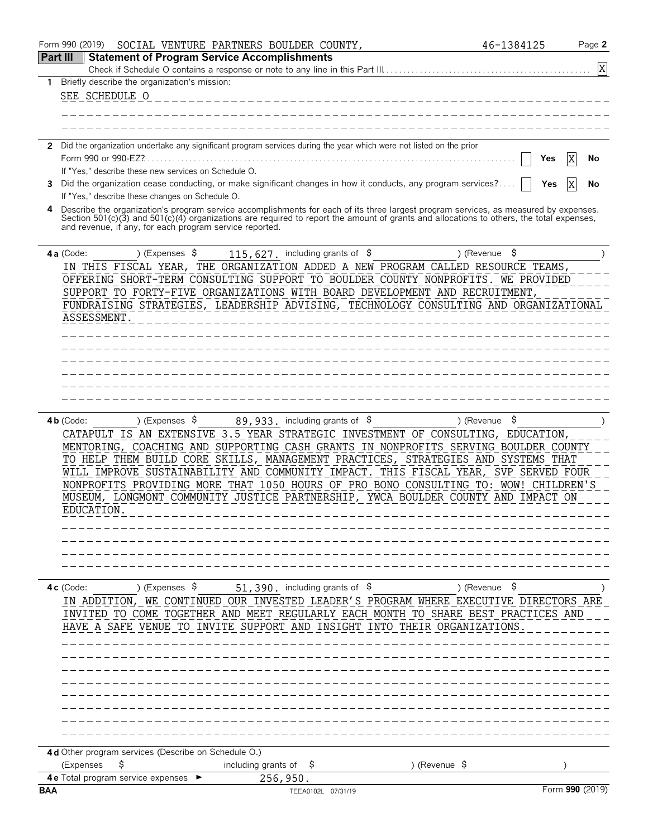|                 | Form 990 (2019)<br>SOCIAL VENTURE PARTNERS BOULDER COUNTY,                                                                                                                                          | 46-1384125                     | Page 2          |
|-----------------|-----------------------------------------------------------------------------------------------------------------------------------------------------------------------------------------------------|--------------------------------|-----------------|
| <b>Part III</b> | <b>Statement of Program Service Accomplishments</b>                                                                                                                                                 |                                |                 |
|                 |                                                                                                                                                                                                     |                                | X               |
|                 | 1 Briefly describe the organization's mission:                                                                                                                                                      |                                |                 |
|                 | SEE SCHEDULE O                                                                                                                                                                                      |                                |                 |
|                 |                                                                                                                                                                                                     |                                |                 |
|                 |                                                                                                                                                                                                     |                                |                 |
|                 | 2 Did the organization undertake any significant program services during the year which were not listed on the prior                                                                                |                                |                 |
|                 | Form 990 or 990-EZ?                                                                                                                                                                                 | Yes                            | Χ<br>No         |
|                 | If "Yes," describe these new services on Schedule O.                                                                                                                                                |                                |                 |
| 3               | Did the organization cease conducting, or make significant changes in how it conducts, any program services?                                                                                        | Yes                            | X<br>No         |
|                 | If "Yes," describe these changes on Schedule O.                                                                                                                                                     |                                |                 |
| 4               | Describe the organization's program service accomplishments for each of its three largest program services, as measured by expenses.                                                                |                                |                 |
|                 | Section 501(c)(3) and 501(c)(4) organizations are required to report the amount of grants and allocations to others, the total expenses,<br>and revenue, if any, for each program service reported. |                                |                 |
|                 |                                                                                                                                                                                                     |                                |                 |
|                 | 115,627. including grants of \$<br>) (Expenses $\sqrt{5}$<br>$4a$ (Code:                                                                                                                            | $\sqrt{3}$ (Revenue $\sqrt{5}$ |                 |
|                 | IN THIS FISCAL YEAR, THE ORGANIZATION ADDED A NEW PROGRAM CALLED RESOURCE TEAMS,                                                                                                                    |                                |                 |
|                 | OFFERING SHORT-TERM CONSULTING SUPPORT TO BOULDER COUNTY NONPROFITS. WE PROVIDED                                                                                                                    |                                |                 |
|                 | SUPPORT TO FORTY-FIVE ORGANIZATIONS WITH BOARD DEVELOPMENT AND RECRUITMENT                                                                                                                          |                                |                 |
|                 | FUNDRAISING STRATEGIES, LEADERSHIP ADVISING, TECHNOLOGY CONSULTING AND ORGANIZATIONAL                                                                                                               |                                |                 |
|                 | ASSESSMENT.                                                                                                                                                                                         |                                |                 |
|                 |                                                                                                                                                                                                     |                                |                 |
|                 |                                                                                                                                                                                                     |                                |                 |
|                 |                                                                                                                                                                                                     |                                |                 |
|                 |                                                                                                                                                                                                     |                                |                 |
|                 |                                                                                                                                                                                                     |                                |                 |
|                 |                                                                                                                                                                                                     |                                |                 |
|                 | 89, 933. including grants of $$$<br>) (Expenses $\frac{1}{2}$<br>$4b$ (Code:                                                                                                                        | - \$<br>) (Revenue             |                 |
|                 | CATAPULT IS AN EXTENSIVE 3.5 YEAR STRATEGIC INVESTMENT OF CONSULTING, EDUCATION,                                                                                                                    |                                |                 |
|                 | MENTORING, COACHING AND SUPPORTING CASH GRANTS IN NONPROFITS SERVING BOULDER COUNTY                                                                                                                 |                                |                 |
|                 | TO HELP THEM BUILD CORE SKILLS, MANAGEMENT PRACTICES, STRATEGIES AND SYSTEMS THAT                                                                                                                   |                                |                 |
|                 | WILL IMPROVE SUSTAINABILITY AND COMMUNITY IMPACT. THIS FISCAL YEAR, SVP SERVED FOUR                                                                                                                 |                                |                 |
|                 | NONPROFITS PROVIDING MORE THAT 1050 HOURS OF PRO BONO CONSULTING TO: WOW! CHILDREN'S                                                                                                                |                                |                 |
|                 | MUSEUM, LONGMONT COMMUNITY JUSTICE PARTNERSHIP, YWCA BOULDER COUNTY AND IMPACT ON                                                                                                                   |                                |                 |
|                 | EDUCATION                                                                                                                                                                                           |                                |                 |
|                 |                                                                                                                                                                                                     |                                |                 |
|                 |                                                                                                                                                                                                     |                                |                 |
|                 |                                                                                                                                                                                                     |                                |                 |
|                 |                                                                                                                                                                                                     |                                |                 |
|                 | 51,390. including grants of \$<br>4c (Code:<br>) (Expenses \$                                                                                                                                       | ) (Revenue $\frac{1}{2}$       |                 |
|                 | IN ADDITION, WE CONTINUED OUR INVESTED LEADER'S PROGRAM WHERE EXECUTIVE DIRECTORS ARE                                                                                                               |                                |                 |
|                 | INVITED TO COME TOGETHER AND MEET REGULARLY EACH MONTH TO SHARE BEST PRACTICES AND                                                                                                                  |                                |                 |
|                 | HAVE A SAFE VENUE TO INVITE SUPPORT AND INSIGHT INTO THEIR ORGANIZATIONS.                                                                                                                           |                                |                 |
|                 |                                                                                                                                                                                                     |                                |                 |
|                 |                                                                                                                                                                                                     |                                |                 |
|                 |                                                                                                                                                                                                     |                                |                 |
|                 |                                                                                                                                                                                                     |                                |                 |
|                 |                                                                                                                                                                                                     |                                |                 |
|                 |                                                                                                                                                                                                     |                                |                 |
|                 |                                                                                                                                                                                                     |                                |                 |
|                 |                                                                                                                                                                                                     |                                |                 |
|                 | 4d Other program services (Describe on Schedule O.)                                                                                                                                                 |                                |                 |
|                 | \$<br>(Expenses<br>including grants of $\frac{1}{2}$<br>) (Revenue \$                                                                                                                               |                                |                 |
|                 | 4e Total program service expenses<br>256,950.                                                                                                                                                       |                                |                 |
| <b>BAA</b>      | TEEA0102L 07/31/19                                                                                                                                                                                  |                                | Form 990 (2019) |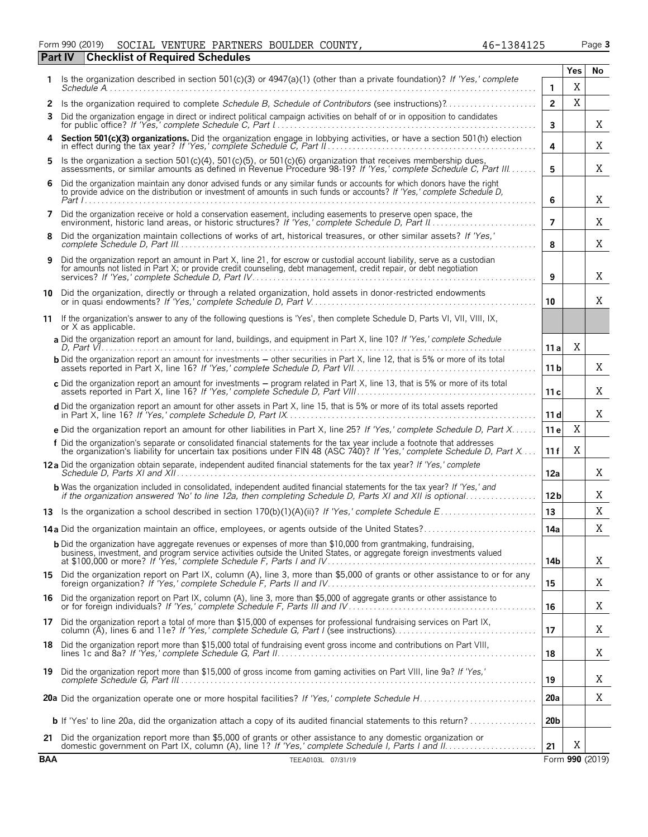Form 990 (2019) Page **3** SOCIAL VENTURE PARTNERS BOULDER COUNTY, 46-1384125

**Part IV Checklist of Required Schedules Yes No 1** Is the organization described in section 501(c)(3) or 4947(a)(1) (other than a private foundation)? *If 'Yes,' complete Schedule A*. . . . . . . . . . . . . . . . . . . . . . . . . . . . . . . . . . . . . . . . . . . . . . . . . . . . . . . . . . . . . . . . . . . . . . . . . . . . . . . . . . . . . . . . . . . . . . . . . . . . . . . **1 2** Is the organization required to complete *Schedule B, Schedule of Contributors* (see instructions)?. . . . . . . . . . . . . . . . . . . . . . **2 3** Did the organization engage in direct or indirect political campaign activities on behalf of or in opposition to candidates for public office? *If 'Yes,' complete Schedule C, Part I*. . . . . . . . . . . . . . . . . . . . . . . . . . . . . . . . . . . . . . . . . . . . . . . . . . . . . . . . . . . . . . . **3 4 Section 501(c)(3) organizations.** Did the organization engage in lobbying activities, or have a section 501(h) election in effect during the tax year? *If 'Yes,' complete Schedule C, Part II*. . . . . . . . . . . . . . . . . . . . . . . . . . . . . . . . . . . . . . . . . . . . . . . . . . . **4 5** Is the organization a section 501(c)(4), 501(c)(5), or 501(c)(6) organization that receives membership dues, assessments, or similar amounts as defined in Revenue Procedure 98-19? *If 'Yes,' complete Schedule C, Part III*. . . . . . . **5 6** Did the organization maintain any donor advised funds or any similar funds or accounts for which donors have the right to provide advice on the distribution or investment of amounts in such funds or accounts? *If 'Yes,' complete Schedule D, Part I* . . . . . . . . . . . . . . . . . . . . . . . . . . . . . . . . . . . . . . . . . . . . . . . . . . . . . . . . . . . . . . . . . . . . . . . . . . . . . . . . . . . . . . . . . . . . . . . . . . . . . . . . . . . . **6** 7 Did the organization receive or hold a conservation easement, including easements to preserve open space, the<br>8 environment, historic land areas, or historic structures? If 'Yes,' complete Schedule D, Part II............ **8** Did the organization maintain collections of works of art, historical treasures, or other similar assets? *If 'Yes,' complete Schedule D, Part III*. . . . . . . . . . . . . . . . . . . . . . . . . . . . . . . . . . . . . . . . . . . . . . . . . . . . . . . . . . . . . . . . . . . . . . . . . . . . . . . . . . . . . . **8** 9 Did the organization report an amount in Part X, line 21, for escrow or custodial account liability, serve as a custodian<br>for amounts not listed in Part X; or provide credit counseling, debt management, credit repair, or **10** Did the organization, directly or through a related organization, hold assets in donor-restricted endowments or in quasi endowments? *If 'Yes,' complete Schedule D, Part V*. . . . . . . . . . . . . . . . . . . . . . . . . . . . . . . . . . . . . . . . . . . . . . . . . . . . . . **10 11** If the organization's answer to any of the following questions is 'Yes', then complete Schedule D, Parts VI, VII, VIII, IX, or X as applicable. **a** Did the organization report an amount for land, buildings, and equipment in Part X, line 10? *If 'Yes,' complete Schedule D, Part VI* . . . . . . . . . . . . . . . . . . . . . . . . . . . . . . . . . . . . . . . . . . . . . . . . . . . . . . . . . . . . . . . . . . . . . . . . . . . . . . . . . . . . . . . . . . . . . . . . . . . . . . . . **11 a b** Did the organization report an amount for investments - other securities in Part X, line 12, that is 5% or more of its total assets reported in Part X, line 16? *If 'Yes,' complete Schedule D, Part VII*. . . . . . . . . . . . . . . . . . . . . . . . . . . . . . . . . . . . . . . . . . . . **11b c** Did the organization report an amount for investments ' program related in Part X, line 13, that is 5% or more of its total assets reported in Part X, line 16? *If 'Yes,' complete Schedule D, Part VIII* . . . . . . . . . . . . . . . . . . . . . . . . . . . . . . . . . . . . . . . . . . . **11 c** d Did the organization report an amount for other assets in Part X, line 15, that is 5% or more of its total assets reported<br>in Part X, line 16? *If 'Yes,' complete Schedule D, Part IX .* . . . . . . . . . . . . . . . . . **e** Did the organization report an amount for other liabilities in Part X, line 25? *If 'Yes,' complete Schedule D, Part X*. . . . . . **11 e f** Did the organization's separate or consolidated financial statements for the tax year include a footnote that addresses<br>the organization's liability for uncertain tax positions under FIN 48 (ASC 740)? If 'Yes,' comple **12 a** Did the organization obtain separate, independent audited financial statements for the tax year? *If 'Yes,' complete Schedule D, Parts XI and XII* . . . . . . . . . . . . . . . . . . . . . . . . . . . . . . . . . . . . . . . . . . . . . . . . . . . . . . . . . . . . . . . . . . . . . . . . . . . . . . . . . . . . . . **12a b** Was the organization included in consolidated, independent audited financial statements for the tax year? *If 'Yes,' and if the organization answered 'No' to line 12a, then completing Schedule D, Parts XI and XII is optional*. . . . . . . . . . . . . . . . . **12b 13** Is the organization a school described in section 170(b)(1)(A)(ii)? *If 'Yes,' complete Schedule E* . . . . . . . . . . . . . . . . . . . . . . . **13 14 a** Did the organization maintain an office, employees, or agents outside of the United States?. . . . . . . . . . . . . . . . . . . . . . . . . . . **14a** b Did the organization have aggregate revenues or expenses of more than \$10,000 from grantmaking, fundraising,<br>business, investment, and program service activities outside the United States, or aggregate foreign investment **15** Did the organization report on Part IX, column (A), line 3, more than \$5,000 of grants or other assistance to or for any foreign organization? *If 'Yes,' complete Schedule F, Parts II and IV*. . . . . . . . . . . . . . . . . . . . . . . . . . . . . . . . . . . . . . . . . . . . . . . . . . **15** 16 Did the organization report on Part IX, column (A), line 3, more than \$5,000 of aggregate grants or other assistance to<br>16 or for foreign individuals? If 'Yes,' complete Schedule F, Parts III and IV..................... **17** Did the organization report a total of more than \$15,000 of expenses for professional fundraising services on Part IX, column (A), lines 6 and 11e? *If 'Yes,' complete Schedule G, Part I* (see instructions). . . . . . . . . . . . . . . . . . . . . . . . . . . . . . . . . . **17 18** Did the organization report more than \$15,000 total of fundraising event gross income and contributions on Part VIII, lines 1c and 8a? *If 'Yes,' complete Schedule G, Part II*. . . . . . . . . . . . . . . . . . . . . . . . . . . . . . . . . . . . . . . . . . . . . . . . . . . . . . . . . . . . . . **18 19** Did the organization report more than \$15,000 of gross income from gaming activities on Part VIII, line 9a? *If 'Yes,' complete Schedule G, Part III*. . . . . . . . . . . . . . . . . . . . . . . . . . . . . . . . . . . . . . . . . . . . . . . . . . . . . . . . . . . . . . . . . . . . . . . . . . . . . . . . . . . . . . **19 20a** Did the organization operate one or more hospital facilities? *If 'Yes,' complete Schedule H*. . . . . . . . . . . . . . . . . . . . . . . . . . . . **20a b** If 'Yes' to line 20a, did the organization attach a copy of its audited financial statements to this return? . . . . . . . . . . . . . . . . **20b 21** Did the organization report more than \$5,000 of grants or other assistance to any domestic organization or domestic government on Part IX, column (A), line 1? *If 'Yes,' complete Schedule I, Parts I and II*. . . . . . . . . . . . . . . . . . . . . . **21 BAA TEEA0103L 07/31/19 TEEA0103L 07/31/19 TEEA0103L TEEA0103L TEEA0103L** X X X X X X X X X X X X X X X X X X X X X X X X X X X X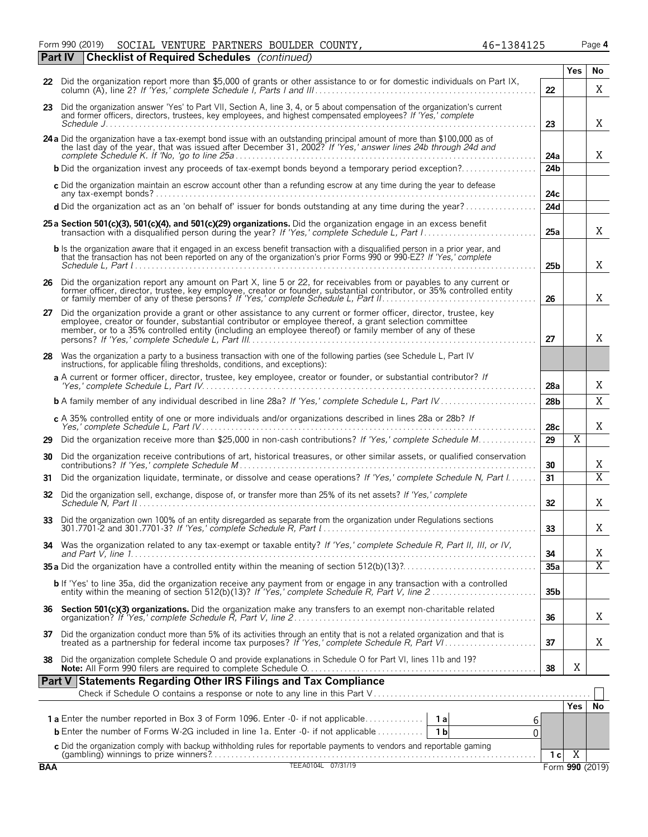Form 990 (2019) SOCIAL VENTURE PARTNERS BOULDER COUNTY, 46-1384125 Page **4** SOCIAL VENTURE PARTNERS BOULDER COUNTY,  $46-1384125$ 

|            | <b>Checklist of Required Schedules</b> (continued)<br><b>Part IV</b>                                                                                                                                                                                                                                                                  |                 |                |                         |
|------------|---------------------------------------------------------------------------------------------------------------------------------------------------------------------------------------------------------------------------------------------------------------------------------------------------------------------------------------|-----------------|----------------|-------------------------|
|            |                                                                                                                                                                                                                                                                                                                                       |                 | Yes            | No                      |
|            | 22 Did the organization report more than \$5,000 of grants or other assistance to or for domestic individuals on Part IX,                                                                                                                                                                                                             | 22              |                | Χ                       |
|            | 23 Did the organization answer 'Yes' to Part VII, Section A, line 3, 4, or 5 about compensation of the organization's current<br>and former officers, directors, trustees, key employees, and highest compensated employees? If 'Yes,' complete                                                                                       | 23              |                | X                       |
|            | 24 a Did the organization have a tax-exempt bond issue with an outstanding principal amount of more than \$100,000 as of the last day of the year, that was issued after December 31, 2002? If 'Yes,' answer lines 24b through                                                                                                        | 24a             |                | X                       |
|            | <b>b</b> Did the organization invest any proceeds of tax-exempt bonds beyond a temporary period exception?                                                                                                                                                                                                                            | 24 <sub>b</sub> |                |                         |
|            | c Did the organization maintain an escrow account other than a refunding escrow at any time during the year to defease                                                                                                                                                                                                                | 24c             |                |                         |
|            | d Did the organization act as an 'on behalf of' issuer for bonds outstanding at any time during the year?                                                                                                                                                                                                                             | 24d             |                |                         |
|            | 25 a Section 501(c)(3), 501(c)(4), and 501(c)(29) organizations. Did the organization engage in an excess benefit                                                                                                                                                                                                                     |                 |                |                         |
|            |                                                                                                                                                                                                                                                                                                                                       | 25a             |                | X                       |
|            | <b>b</b> Is the organization aware that it engaged in an excess benefit transaction with a disqualified person in a prior year, and<br>that the transaction has not been reported on any of the organization's prior Forms 990 or 990-EZ? If 'Yes,' complete                                                                          | 25 <sub>b</sub> |                | Χ                       |
|            | 26 Did the organization report any amount on Part X, line 5 or 22, for receivables from or payables to any current or<br>former officer, director, trustee, key employee, creator or founder, substantial contributor, or 35% controlled entity<br>or family member of any of these persons? If 'Yes,' complete Schedule L, Part II.  | 26              |                | Χ                       |
| 27         | Did the organization provide a grant or other assistance to any current or former officer, director, trustee, key<br>employee, creator or founder, substantial contributor or employee thereof, a grant selection committee<br>member, or to a 35% controlled entity (including an employee thereof) or family member of any of these | 27              |                | X                       |
| 28         | Was the organization a party to a business transaction with one of the following parties (see Schedule L, Part IV<br>instructions, for applicable filing thresholds, conditions, and exceptions):                                                                                                                                     |                 |                |                         |
|            | a A current or former officer, director, trustee, key employee, creator or founder, or substantial contributor? If                                                                                                                                                                                                                    | 28a             |                | Χ                       |
|            |                                                                                                                                                                                                                                                                                                                                       | 28 <sub>b</sub> |                | X                       |
|            | c A 35% controlled entity of one or more individuals and/or organizations described in lines 28a or 28b? If                                                                                                                                                                                                                           | 28c             |                | Χ                       |
| 29         | Did the organization receive more than \$25,000 in non-cash contributions? If 'Yes,' complete Schedule M                                                                                                                                                                                                                              | 29              | Χ              |                         |
| 30         | Did the organization receive contributions of art, historical treasures, or other similar assets, or qualified conservation                                                                                                                                                                                                           | 30              |                | Χ                       |
| 31         | Did the organization liquidate, terminate, or dissolve and cease operations? If 'Yes,' complete Schedule N, Part I                                                                                                                                                                                                                    | 31              |                | $\overline{\text{X}}$   |
| 32         | Did the organization sell, exchange, dispose of, or transfer more than 25% of its net assets? If 'Yes,' complete                                                                                                                                                                                                                      | 32              |                | X                       |
| 33         | Did the organization own 100% of an entity disregarded as separate from the organization under Regulations sections                                                                                                                                                                                                                   | 33              |                | Χ                       |
|            | 34 Was the organization related to any tax-exempt or taxable entity? If 'Yes,' complete Schedule R, Part II, III, or IV,                                                                                                                                                                                                              | 34              |                | Χ                       |
|            |                                                                                                                                                                                                                                                                                                                                       | 35a             |                | $\overline{\mathrm{X}}$ |
|            | b If 'Yes' to line 35a, did the organization receive any payment from or engage in any transaction with a controlled<br>entity within the meaning of section 512(b)(13)? If 'Yes,' complete Schedule R, Part V, line 2                                                                                                                | 35 <sub>b</sub> |                |                         |
|            |                                                                                                                                                                                                                                                                                                                                       | 36              |                | Χ                       |
|            | 37 Did the organization conduct more than 5% of its activities through an entity that is not a related organization and that is treated as a partnership for federal income tax purposes? If 'Yes,' complete Schedule R, Part                                                                                                         | 37              |                | Χ                       |
| 38         | Did the organization complete Schedule O and provide explanations in Schedule O for Part VI, lines 11b and 19?                                                                                                                                                                                                                        | 38              | X              |                         |
|            | Part V Statements Regarding Other IRS Filings and Tax Compliance                                                                                                                                                                                                                                                                      |                 |                |                         |
|            |                                                                                                                                                                                                                                                                                                                                       |                 |                |                         |
|            |                                                                                                                                                                                                                                                                                                                                       |                 | Yes No         |                         |
|            | 6                                                                                                                                                                                                                                                                                                                                     |                 |                |                         |
|            | <b>b</b> Enter the number of Forms W-2G included in line 1a. Enter $-0$ - if not applicable<br>1 <sub>b</sub><br>$\overline{0}$                                                                                                                                                                                                       |                 |                |                         |
|            | C Did the organization comply with backup withholding rules for reportable payments to vendors and reportable gaming<br>(gambling) winnings to prize winners?<br>TEEA0104L 07/31/19                                                                                                                                                   | 1 <sub>c</sub>  | $\overline{X}$ |                         |
| <b>BAA</b> |                                                                                                                                                                                                                                                                                                                                       |                 |                | Form 990 (2019)         |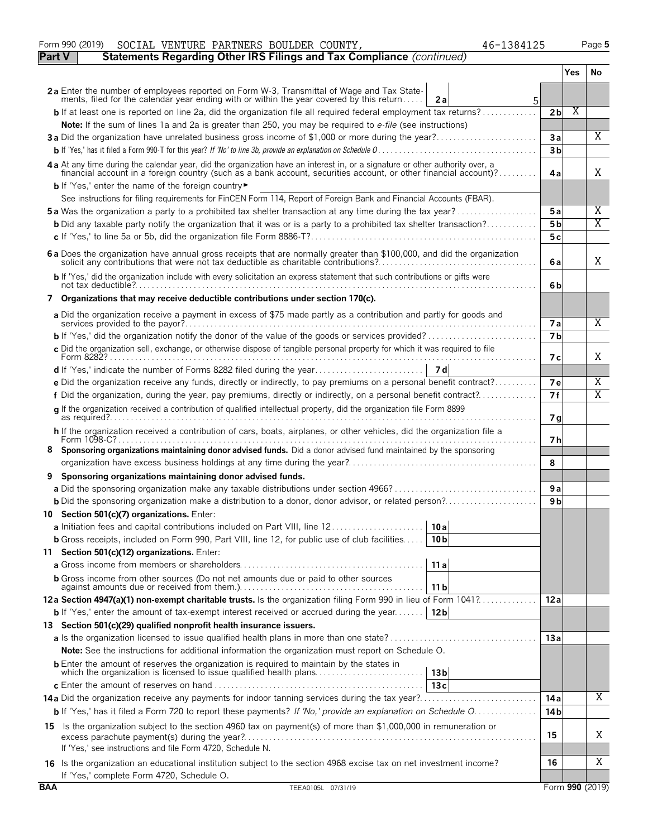|               | SOCIAL VENTURE PARTNERS BOULDER COUNTY,<br>Form 990 (2019)<br>46-1384125                                                                                                                                                                         |                             |                       | Page 5          |
|---------------|--------------------------------------------------------------------------------------------------------------------------------------------------------------------------------------------------------------------------------------------------|-----------------------------|-----------------------|-----------------|
| <b>Part V</b> | Statements Regarding Other IRS Filings and Tax Compliance (continued)                                                                                                                                                                            |                             |                       |                 |
|               |                                                                                                                                                                                                                                                  |                             | Yes                   | No              |
|               | 2a Enter the number of employees reported on Form W-3, Transmittal of Wage and Tax State-                                                                                                                                                        |                             |                       |                 |
|               | ments, filed for the calendar year ending with or within the year covered by this return<br>2a<br>5                                                                                                                                              |                             | $\overline{\text{X}}$ |                 |
|               | <b>b</b> If at least one is reported on line 2a, did the organization file all required federal employment tax returns?                                                                                                                          | 2 <sub>b</sub>              |                       |                 |
|               | Note: If the sum of lines 1a and 2a is greater than 250, you may be required to e-file (see instructions)<br>3a Did the organization have unrelated business gross income of \$1,000 or more during the year?                                    | 3a                          |                       | $\overline{X}$  |
|               |                                                                                                                                                                                                                                                  | 3 <sub>b</sub>              |                       |                 |
|               |                                                                                                                                                                                                                                                  |                             |                       |                 |
|               | 4a At any time during the calendar year, did the organization have an interest in, or a signature or other authority over, a<br>financial account in a foreign country (such as a bank account, securities account, or other financial account)? | 4a                          |                       | Χ               |
|               | b If 'Yes,' enter the name of the foreign country                                                                                                                                                                                                |                             |                       |                 |
|               | See instructions for filing requirements for FinCEN Form 114, Report of Foreign Bank and Financial Accounts (FBAR).                                                                                                                              |                             |                       | Χ               |
|               | <b>5a</b> Was the organization a party to a prohibited tax shelter transaction at any time during the tax year?                                                                                                                                  | 5a<br>5 <sub>b</sub>        |                       | $\overline{X}$  |
|               | <b>b</b> Did any taxable party notify the organization that it was or is a party to a prohibited tax shelter transaction?                                                                                                                        | 5c                          |                       |                 |
|               |                                                                                                                                                                                                                                                  |                             |                       |                 |
|               | 6 a Does the organization have annual gross receipts that are normally greater than \$100,000, and did the organization solicit any contributions that were not tax deductible as charitable contributions?                                      | 6a                          |                       | Χ               |
|               | b If 'Yes,' did the organization include with every solicitation an express statement that such contributions or gifts were                                                                                                                      | 6b                          |                       |                 |
|               | 7 Organizations that may receive deductible contributions under section 170(c).                                                                                                                                                                  |                             |                       |                 |
|               | a Did the organization receive a payment in excess of \$75 made partly as a contribution and partly for goods and                                                                                                                                |                             |                       | Χ               |
|               |                                                                                                                                                                                                                                                  | <b>7a</b><br>7 <sub>b</sub> |                       |                 |
|               | c Did the organization sell, exchange, or otherwise dispose of tangible personal property for which it was required to file                                                                                                                      |                             |                       |                 |
|               |                                                                                                                                                                                                                                                  | 7 с                         |                       | Χ               |
|               |                                                                                                                                                                                                                                                  |                             |                       |                 |
|               | e Did the organization receive any funds, directly or indirectly, to pay premiums on a personal benefit contract?                                                                                                                                | 7e                          |                       | $\overline{X}$  |
|               | f Did the organization, during the year, pay premiums, directly or indirectly, on a personal benefit contract?                                                                                                                                   | 7f                          |                       | X               |
|               | q If the organization received a contribution of qualified intellectual property, did the organization file Form 8899                                                                                                                            | 7 <sub>q</sub>              |                       |                 |
|               | h If the organization received a contribution of cars, boats, airplanes, or other vehicles, did the organization file a<br>Form $1098 - C$ ?                                                                                                     | 7 h                         |                       |                 |
| 8.            | Sponsoring organizations maintaining donor advised funds. Did a donor advised fund maintained by the sponsoring                                                                                                                                  |                             |                       |                 |
|               |                                                                                                                                                                                                                                                  | 8                           |                       |                 |
| 9             | Sponsoring organizations maintaining donor advised funds.                                                                                                                                                                                        |                             |                       |                 |
|               |                                                                                                                                                                                                                                                  | 9a                          |                       |                 |
|               |                                                                                                                                                                                                                                                  | 9 <sub>b</sub>              |                       |                 |
|               | 10 Section 501(c)(7) organizations. Enter:                                                                                                                                                                                                       |                             |                       |                 |
|               | a Initiation fees and capital contributions included on Part VIII, line 12<br>10 a                                                                                                                                                               |                             |                       |                 |
|               | <b>b</b> Gross receipts, included on Form 990, Part VIII, line 12, for public use of club facilities<br>10 <sub>b</sub>                                                                                                                          |                             |                       |                 |
|               | 11 Section 501(c)(12) organizations. Enter:                                                                                                                                                                                                      |                             |                       |                 |
|               | 11a                                                                                                                                                                                                                                              |                             |                       |                 |
|               | <b>b</b> Gross income from other sources (Do not net amounts due or paid to other sources<br>11 b                                                                                                                                                |                             |                       |                 |
|               | 12a Section 4947(a)(1) non-exempt charitable trusts. Is the organization filing Form 990 in lieu of Form 1041?                                                                                                                                   | 12a                         |                       |                 |
|               | <b>b</b> If 'Yes,' enter the amount of tax-exempt interest received or accrued during the year<br>12 <sub>b</sub>                                                                                                                                |                             |                       |                 |
|               | 13 Section 501(c)(29) qualified nonprofit health insurance issuers.                                                                                                                                                                              |                             |                       |                 |
|               |                                                                                                                                                                                                                                                  | 13a                         |                       |                 |
|               | Note: See the instructions for additional information the organization must report on Schedule O.                                                                                                                                                |                             |                       |                 |
|               | <b>b</b> Enter the amount of reserves the organization is required to maintain by the states in<br>which the organization is licensed to issue qualified health plans<br>13 <sub>b</sub>                                                         |                             |                       |                 |
|               | 13c                                                                                                                                                                                                                                              |                             |                       |                 |
|               |                                                                                                                                                                                                                                                  | 14 a                        |                       | Χ               |
|               | <b>b</b> If 'Yes,' has it filed a Form 720 to report these payments? If 'No,' provide an explanation on Schedule $0, \ldots, \ldots, \ldots$                                                                                                     | 14 b                        |                       |                 |
|               | 15 Is the organization subject to the section 4960 tax on payment(s) of more than \$1,000,000 in remuneration or                                                                                                                                 |                             |                       |                 |
|               |                                                                                                                                                                                                                                                  | 15                          |                       | Χ               |
|               | If 'Yes,' see instructions and file Form 4720, Schedule N.                                                                                                                                                                                       |                             |                       |                 |
|               | 16 Is the organization an educational institution subject to the section 4968 excise tax on net investment income?                                                                                                                               | 16                          |                       | Χ               |
| <b>BAA</b>    | If 'Yes,' complete Form 4720, Schedule O.<br>TEEA0105L 07/31/19                                                                                                                                                                                  |                             |                       | Form 990 (2019) |
|               |                                                                                                                                                                                                                                                  |                             |                       |                 |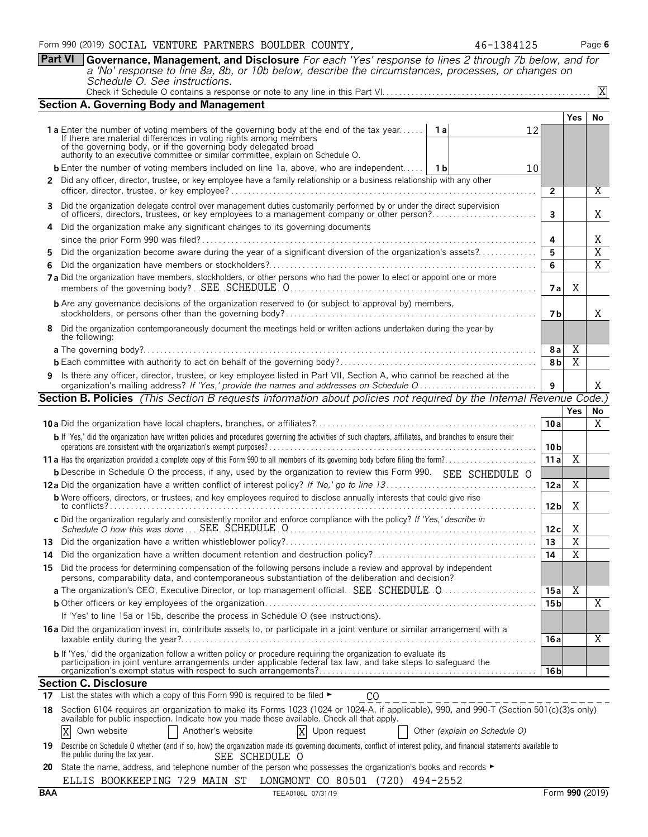**Part VI Governance, Management, and Disclosure** *For each 'Yes' response to lines 2 through 7b below, and for a 'No' response to line 8a, 8b, or 10b below, describe the circumstances, processes, or changes on Schedule O. See instructions.*

|  | Check if Schedule O contains a response or note to any line in this Part VI |  |  |  |  |  |
|--|-----------------------------------------------------------------------------|--|--|--|--|--|
|  |                                                                             |  |  |  |  |  |

|        | <b>Section A. Governing Body and Management</b>                                                                                                                                                                                                |  |                               |                         |                         |                                  |  |  |  |  |
|--------|------------------------------------------------------------------------------------------------------------------------------------------------------------------------------------------------------------------------------------------------|--|-------------------------------|-------------------------|-------------------------|----------------------------------|--|--|--|--|
|        |                                                                                                                                                                                                                                                |  |                               |                         | <b>Yes</b>              | No                               |  |  |  |  |
|        | <b>1a</b> Enter the number of voting members of the governing body at the end of the tax year <b>1a</b><br>If there are material differences in voting rights among members<br>of the governing body, or if the governing body delegated broad |  | 12                            |                         |                         |                                  |  |  |  |  |
|        | authority to an executive committee or similar committee, explain on Schedule O.<br><b>b</b> Enter the number of voting members included on line 1a, above, who are independent   1b                                                           |  | 10                            |                         |                         |                                  |  |  |  |  |
|        | 2 Did any officer, director, trustee, or key employee have a family relationship or a business relationship with any other                                                                                                                     |  |                               |                         |                         |                                  |  |  |  |  |
|        |                                                                                                                                                                                                                                                |  |                               |                         |                         |                                  |  |  |  |  |
| 3      | Did the organization delegate control over management duties customarily performed by or under the direct supervision<br>of officers, directors, trustees, or key employees to a management company or other person?                           |  |                               | $\overline{\mathbf{3}}$ |                         | X                                |  |  |  |  |
| 4      | Did the organization make any significant changes to its governing documents                                                                                                                                                                   |  |                               |                         |                         |                                  |  |  |  |  |
|        |                                                                                                                                                                                                                                                |  |                               | 4                       |                         | Χ                                |  |  |  |  |
| 5<br>6 | Did the organization become aware during the year of a significant diversion of the organization's assets?                                                                                                                                     |  |                               | 5<br>6                  |                         | $\overline{X}$<br>$\overline{X}$ |  |  |  |  |
|        | 7a Did the organization have members, stockholders, or other persons who had the power to elect or appoint one or more                                                                                                                         |  |                               | <b>7a</b>               | Χ                       |                                  |  |  |  |  |
|        | <b>b</b> Are any governance decisions of the organization reserved to (or subject to approval by) members,                                                                                                                                     |  |                               | 7 b                     |                         | Χ                                |  |  |  |  |
|        |                                                                                                                                                                                                                                                |  |                               |                         |                         |                                  |  |  |  |  |
| 8      | Did the organization contemporaneously document the meetings held or written actions undertaken during the year by<br>the following:                                                                                                           |  |                               |                         |                         |                                  |  |  |  |  |
|        |                                                                                                                                                                                                                                                |  |                               | 8а                      | $\overline{X}$          |                                  |  |  |  |  |
|        |                                                                                                                                                                                                                                                |  |                               | 8 <sub>b</sub>          | $\overline{\mathbf{X}}$ |                                  |  |  |  |  |
| 9      | Is there any officer, director, trustee, or key employee listed in Part VII, Section A, who cannot be reached at the<br>organization's mailing address? If 'Yes,' provide the names and addresses on Schedule Q                                |  |                               | 9                       |                         | X                                |  |  |  |  |
|        | Section B. Policies (This Section B requests information about policies not required by the Internal Revenue Code.)                                                                                                                            |  |                               |                         |                         |                                  |  |  |  |  |
|        |                                                                                                                                                                                                                                                |  |                               |                         | <b>Yes</b>              | No                               |  |  |  |  |
|        |                                                                                                                                                                                                                                                |  |                               | 10a                     |                         | X                                |  |  |  |  |
|        | b If 'Yes,' did the organization have written policies and procedures governing the activities of such chapters, affiliates, and branches to ensure their                                                                                      |  |                               | 10 <sub>b</sub>         |                         |                                  |  |  |  |  |
|        |                                                                                                                                                                                                                                                |  |                               | 11a                     | X                       |                                  |  |  |  |  |
|        | <b>b</b> Describe in Schedule O the process, if any, used by the organization to review this Form 990. SEE SCHEDULE O                                                                                                                          |  |                               |                         |                         |                                  |  |  |  |  |
|        |                                                                                                                                                                                                                                                |  |                               | 12a                     | Χ                       |                                  |  |  |  |  |
|        | <b>b</b> Were officers, directors, or trustees, and key employees required to disclose annually interests that could give rise                                                                                                                 |  | .                             | 12 <sub>b</sub>         | Χ                       |                                  |  |  |  |  |
|        | c Did the organization regularly and consistently monitor and enforce compliance with the policy? If 'Yes,' describe in<br>Schedule O how this was done SEE. SCHEDULE O                                                                        |  |                               | 12c                     | X                       |                                  |  |  |  |  |
|        |                                                                                                                                                                                                                                                |  |                               | 13                      | $\overline{X}$          |                                  |  |  |  |  |
| 14     |                                                                                                                                                                                                                                                |  |                               | 14                      | $\overline{X}$          |                                  |  |  |  |  |
|        | 15 Did the process for determining compensation of the following persons include a review and approval by independent<br>persons, comparability data, and contemporaneous substantiation of the deliberation and decision?                     |  |                               |                         |                         |                                  |  |  |  |  |
|        |                                                                                                                                                                                                                                                |  |                               | 15 a                    | Χ                       |                                  |  |  |  |  |
|        |                                                                                                                                                                                                                                                |  |                               | 15 b                    |                         | $\overline{X}$                   |  |  |  |  |
|        | If 'Yes' to line 15a or 15b, describe the process in Schedule O (see instructions).                                                                                                                                                            |  |                               |                         |                         |                                  |  |  |  |  |
|        | <b>16a</b> Did the organization invest in, contribute assets to, or participate in a joint venture or similar arrangement with a                                                                                                               |  |                               | 16 a                    |                         | Χ                                |  |  |  |  |
|        | <b>b</b> If 'Yes,' did the organization follow a written policy or procedure requiring the organization to evaluate its<br>participation in joint venture arrangements under applicable federal tax law, and take steps to safeguard the       |  |                               |                         |                         |                                  |  |  |  |  |
|        |                                                                                                                                                                                                                                                |  |                               | 16 b                    |                         |                                  |  |  |  |  |
|        | <b>Section C. Disclosure</b>                                                                                                                                                                                                                   |  |                               |                         |                         |                                  |  |  |  |  |
| 17     | List the states with which a copy of this Form 990 is required to be filed ►<br>C <sub>O</sub>                                                                                                                                                 |  |                               |                         |                         |                                  |  |  |  |  |
| 18     | Section 6104 requires an organization to make its Forms 1023 (1024 or 1024-A, if applicable), 990, and 990-T (Section 501(c)(3)s only)<br>available for public inspection. Indicate how you made these available. Check all that apply.        |  |                               |                         |                         |                                  |  |  |  |  |
|        | Own website<br>Another's website<br>X<br>Upon request                                                                                                                                                                                          |  | Other (explain on Schedule O) |                         |                         |                                  |  |  |  |  |
|        | 19 Describe on Schedule O whether (and if so, how) the organization made its governing documents, conflict of interest policy, and financial statements available to<br>the public during the tax year.<br>SEE SCHEDULE O                      |  |                               |                         |                         |                                  |  |  |  |  |
| 20     | State the name, address, and telephone number of the person who possesses the organization's books and records ►                                                                                                                               |  |                               |                         |                         |                                  |  |  |  |  |

|            | BOOKKEEPING | ST<br>729<br>MAIN | LONGMONT<br>80501<br>СO | 720) | 194- |                       |
|------------|-------------|-------------------|-------------------------|------|------|-----------------------|
| <b>BAA</b> |             |                   | 07/31/19<br>$-$ A0106L  |      |      | (2019)<br>990<br>Form |

Check if Schedule O contains a response or note to any line in this Part VI. . . . . . . . . . . . . . . . . . . . . . . . . . . . . . . . . . . . . . . . . . . . . . . . . .

X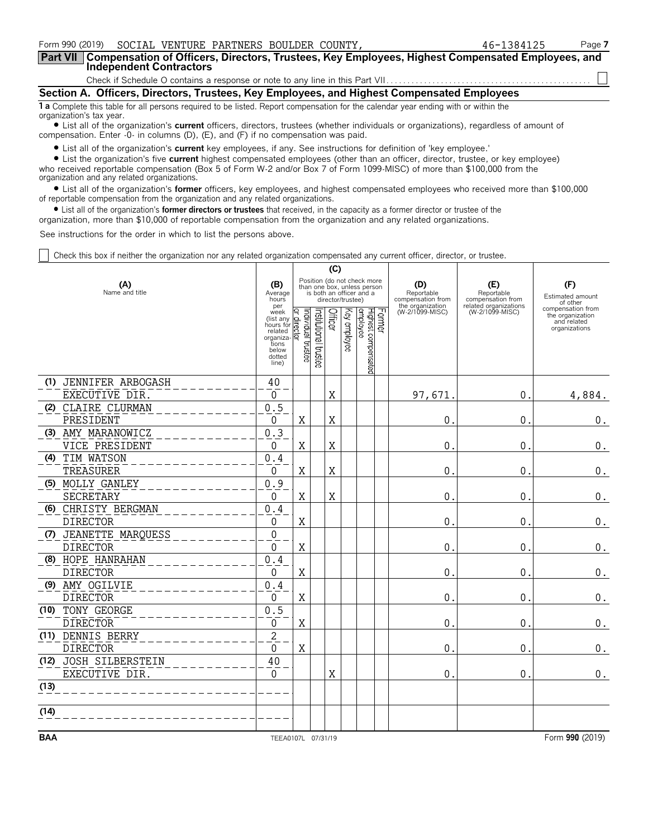| Form 990 (2019)  SOCIAL VENTURE PARTNERS BOULDER COUNTY,                                   |                                |  |  |  | 46-1384125                                                                                                                         | Page 7 |  |  |  |
|--------------------------------------------------------------------------------------------|--------------------------------|--|--|--|------------------------------------------------------------------------------------------------------------------------------------|--------|--|--|--|
|                                                                                            | <b>Independent Contractors</b> |  |  |  | Part VII   Compensation of Officers, Directors, Trustees, Key Employees, Highest Compensated Employees, and                        |        |  |  |  |
|                                                                                            |                                |  |  |  |                                                                                                                                    |        |  |  |  |
| Section A. Officers, Directors, Trustees, Key Employees, and Highest Compensated Employees |                                |  |  |  |                                                                                                                                    |        |  |  |  |
| organization's tax year.                                                                   |                                |  |  |  | 1 a Complete this table for all persons required to be listed. Report compensation for the calendar year ending with or within the |        |  |  |  |

? List all of the organization's **current** officers, directors, trustees (whether individuals or organizations), regardless of amount of compensation. Enter -0- in columns (D), (E), and (F) if no compensation was paid.

? List all of the organization's **current** key employees, if any. See instructions for definition of 'key employee.'

? List the organization's five **current** highest compensated employees (other than an officer, director, trustee, or key employee) who received reportable compensation (Box 5 of Form W-2 and/or Box 7 of Form 1099-MISC) of more than \$100,000 from the organization and any related organizations.

? List all of the organization's **former** officers, key employees, and highest compensated employees who received more than \$100,000 of reportable compensation from the organization and any related organizations.

? List all of the organization's **former directors or trustees** that received, in the capacity as a former director or trustee of the

organization, more than \$10,000 of reportable compensation from the organization and any related organizations.

See instructions for the order in which to list the persons above.

Check this box if neither the organization nor any related organization compensated any current officer, director, or trustee.

|            |                       | (C)                                                                                                                               |                         |                       |         |                   |                                                                                        |  |                                                            |                                          |                                                                       |
|------------|-----------------------|-----------------------------------------------------------------------------------------------------------------------------------|-------------------------|-----------------------|---------|-------------------|----------------------------------------------------------------------------------------|--|------------------------------------------------------------|------------------------------------------|-----------------------------------------------------------------------|
|            | (A)<br>Name and title | (B)<br>Average<br>hours<br>per                                                                                                    |                         |                       |         | director/trustee) | Position (do not check more<br>than one box, unless person<br>is both an officer and a |  | (D)<br>Reportable<br>compensation from<br>the organization | (E)<br>Reportable<br>compensation from   | (F)<br>Estimated amount<br>of other                                   |
|            |                       | week<br>week<br>(list any $\frac{Q}{R}$ )<br>hours for $\frac{Q}{Q}$<br>related<br>organiza-<br>tions<br>below<br>dotted<br>line) | Individual trustee<br>g | Institutional trustee | Officer | Key employee      | Former<br>Highest compensated<br>employee                                              |  | (W-2/1099-MISC)                                            | related organizations<br>(W-2/1099-MISC) | compensation from<br>the organization<br>and related<br>organizations |
|            | (1) JENNIFER ARBOGASH | 40                                                                                                                                |                         |                       |         |                   |                                                                                        |  |                                                            |                                          |                                                                       |
|            | EXECUTIVE DIR.        | $\Omega$                                                                                                                          |                         |                       | X       |                   |                                                                                        |  | 97,671                                                     | $\overline{0}$ .                         | 4,884.                                                                |
|            | (2) CLAIRE CLURMAN    | 0.5                                                                                                                               |                         |                       |         |                   |                                                                                        |  |                                                            |                                          |                                                                       |
|            | PRESIDENT             | 0                                                                                                                                 | X                       |                       | Χ       |                   |                                                                                        |  | $\pmb{0}$                                                  | 0                                        | $\boldsymbol{0}$ .                                                    |
|            | (3) AMY MARANOWICZ    | 0.3                                                                                                                               |                         |                       |         |                   |                                                                                        |  |                                                            |                                          |                                                                       |
|            | VICE PRESIDENT        | 0                                                                                                                                 | X                       |                       | X       |                   |                                                                                        |  | $\mathbf 0$                                                | $\mathbf 0$ .                            | $0_{.}$                                                               |
|            | (4) TIM WATSON        | 0.4                                                                                                                               |                         |                       |         |                   |                                                                                        |  |                                                            |                                          |                                                                       |
|            | TREASURER             | 0                                                                                                                                 | X                       |                       | X       |                   |                                                                                        |  | $\mathbf 0$                                                | $\mathbf{0}$ .                           | $\boldsymbol{0}$ .                                                    |
|            | (5) MOLLY GANLEY      | 0.9                                                                                                                               |                         |                       |         |                   |                                                                                        |  |                                                            |                                          |                                                                       |
|            | <b>SECRETARY</b>      | 0                                                                                                                                 | X                       |                       | X       |                   |                                                                                        |  | 0                                                          | $\mathbf 0$ .                            | $\boldsymbol{0}$ .                                                    |
|            | (6) CHRISTY BERGMAN   | 0.4                                                                                                                               |                         |                       |         |                   |                                                                                        |  |                                                            |                                          |                                                                       |
|            | <b>DIRECTOR</b>       | 0                                                                                                                                 | X                       |                       |         |                   |                                                                                        |  | $\mathbf 0$                                                | $\mathbf{0}$ .                           | $\boldsymbol{0}$ .                                                    |
|            | (7) JEANETTE MARQUESS | $\boldsymbol{0}$                                                                                                                  |                         |                       |         |                   |                                                                                        |  |                                                            |                                          |                                                                       |
|            | <b>DIRECTOR</b>       | 0                                                                                                                                 | X                       |                       |         |                   |                                                                                        |  | $\pmb{0}$                                                  | $\mathbf 0$ .                            | $\boldsymbol{0}$ .                                                    |
|            | (8) HOPE HANRAHAN     | 0.4                                                                                                                               |                         |                       |         |                   |                                                                                        |  |                                                            |                                          |                                                                       |
|            | <b>DIRECTOR</b>       | 0                                                                                                                                 | X                       |                       |         |                   |                                                                                        |  | $\mathbf 0$                                                | 0                                        | $\boldsymbol{0}$ .                                                    |
|            | (9) AMY OGILVIE       | 0.4                                                                                                                               |                         |                       |         |                   |                                                                                        |  |                                                            |                                          |                                                                       |
|            | <b>DIRECTOR</b>       | $\Omega$                                                                                                                          | $\rm X$                 |                       |         |                   |                                                                                        |  | $\mathbf 0$                                                | $\mathbf 0$                              | $\boldsymbol{0}$ .                                                    |
|            | (10) TONY GEORGE      | 0.5                                                                                                                               |                         |                       |         |                   |                                                                                        |  |                                                            |                                          |                                                                       |
|            | <b>DIRECTOR</b>       | 0                                                                                                                                 | X                       |                       |         |                   |                                                                                        |  | 0                                                          | $\mathbf 0$ .                            | $\boldsymbol{0}$ .                                                    |
|            | (11) DENNIS BERRY     | $\overline{2}$                                                                                                                    |                         |                       |         |                   |                                                                                        |  |                                                            |                                          |                                                                       |
|            | <b>DIRECTOR</b>       | $\mathbf 0$                                                                                                                       | $\mathbf X$             |                       |         |                   |                                                                                        |  | $\mathbf 0$                                                | $\mathbf 0$ .                            | $0$ .                                                                 |
|            | (12) JOSH SILBERSTEIN | 40                                                                                                                                |                         |                       |         |                   |                                                                                        |  |                                                            |                                          |                                                                       |
|            | EXECUTIVE DIR.        | $\overline{0}$                                                                                                                    |                         |                       | X       |                   |                                                                                        |  | $\mathbf{0}$ .                                             | $\mathbf 0$ .                            | $\boldsymbol{0}$ .                                                    |
| (13)       |                       |                                                                                                                                   |                         |                       |         |                   |                                                                                        |  |                                                            |                                          |                                                                       |
| (14)       |                       |                                                                                                                                   |                         |                       |         |                   |                                                                                        |  |                                                            |                                          |                                                                       |
| <b>BAA</b> |                       | TEEA0107L 07/31/19                                                                                                                |                         |                       |         |                   |                                                                                        |  |                                                            |                                          | Form 990 (2019)                                                       |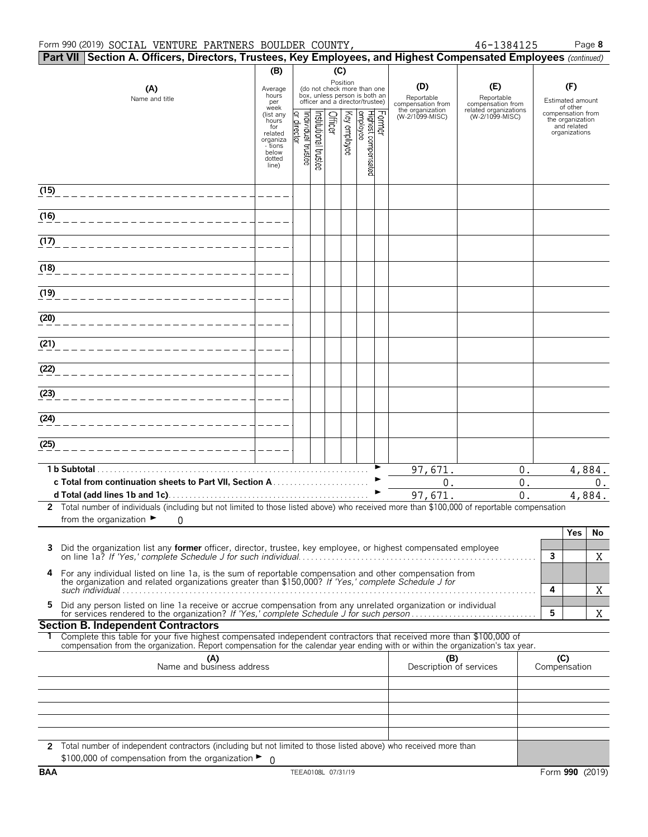#### Form 990 (2019) Page **8** SOCIAL VENTURE PARTNERS BOULDER COUNTY, 46-1384125

| 46-1384125 |  |
|------------|--|

|      | Part VII Section A. Officers, Directors, Trustees, Key Employees, and Highest Compensated Employees (continued)                                                                                                                                                                                     |                                                                   |                              |                      |                     |              |                                                                                                 |                                                                               |                                                                                    |                                                                              |
|------|-----------------------------------------------------------------------------------------------------------------------------------------------------------------------------------------------------------------------------------------------------------------------------------------------------|-------------------------------------------------------------------|------------------------------|----------------------|---------------------|--------------|-------------------------------------------------------------------------------------------------|-------------------------------------------------------------------------------|------------------------------------------------------------------------------------|------------------------------------------------------------------------------|
|      |                                                                                                                                                                                                                                                                                                     | (B)                                                               |                              |                      | (C)                 |              |                                                                                                 |                                                                               |                                                                                    |                                                                              |
|      | (A)<br>Name and title                                                                                                                                                                                                                                                                               | Average<br>hours<br>per<br>week<br>(list any<br>hours             | Q,                           |                      | Position<br>Officer |              | (do not check more than one<br>box, unless person is both an<br>officer and a director/trustee) | (D)<br>Reportable<br>compensation from<br>the organization<br>(W-2/1099-MISC) | (E)<br>Reportable<br>compensation from<br>related organizations<br>(W-2/1099-MISC) | (F)<br>Estimated amount<br>of other<br>compensation from<br>the organization |
|      |                                                                                                                                                                                                                                                                                                     | for<br>related<br>organiza<br>- tions<br>below<br>dotted<br>line) | Individual trustee<br>Ē<br>হ | nstitutional trustee |                     | Key employee | Former<br> Highest compensated<br> employee                                                     |                                                                               |                                                                                    | and related<br>organizations                                                 |
| (15) |                                                                                                                                                                                                                                                                                                     |                                                                   |                              |                      |                     |              |                                                                                                 |                                                                               |                                                                                    |                                                                              |
| (16) |                                                                                                                                                                                                                                                                                                     |                                                                   |                              |                      |                     |              |                                                                                                 |                                                                               |                                                                                    |                                                                              |
| (17) |                                                                                                                                                                                                                                                                                                     |                                                                   |                              |                      |                     |              |                                                                                                 |                                                                               |                                                                                    |                                                                              |
| (18) |                                                                                                                                                                                                                                                                                                     |                                                                   |                              |                      |                     |              |                                                                                                 |                                                                               |                                                                                    |                                                                              |
| (19) |                                                                                                                                                                                                                                                                                                     |                                                                   |                              |                      |                     |              |                                                                                                 |                                                                               |                                                                                    |                                                                              |
| (20) | _______________________                                                                                                                                                                                                                                                                             |                                                                   |                              |                      |                     |              |                                                                                                 |                                                                               |                                                                                    |                                                                              |
| (21) | _______________________                                                                                                                                                                                                                                                                             |                                                                   |                              |                      |                     |              |                                                                                                 |                                                                               |                                                                                    |                                                                              |
| (22) |                                                                                                                                                                                                                                                                                                     |                                                                   |                              |                      |                     |              |                                                                                                 |                                                                               |                                                                                    |                                                                              |
| (23) |                                                                                                                                                                                                                                                                                                     |                                                                   |                              |                      |                     |              |                                                                                                 |                                                                               |                                                                                    |                                                                              |
| (24) |                                                                                                                                                                                                                                                                                                     |                                                                   |                              |                      |                     |              |                                                                                                 |                                                                               |                                                                                    |                                                                              |
| (25) |                                                                                                                                                                                                                                                                                                     |                                                                   |                              |                      |                     |              |                                                                                                 |                                                                               |                                                                                    |                                                                              |
|      | 1 b Subtotal.                                                                                                                                                                                                                                                                                       |                                                                   |                              |                      |                     |              |                                                                                                 | 97,671.                                                                       | $0$ .                                                                              | 4,884.                                                                       |
|      |                                                                                                                                                                                                                                                                                                     |                                                                   |                              |                      |                     |              |                                                                                                 | $0$ .<br>97,671.                                                              | $0$ .<br>0.                                                                        | $0$ .<br>4,884.                                                              |
|      | 2 Total number of individuals (including but not limited to those listed above) who received more than \$100,000 of reportable compensation                                                                                                                                                         |                                                                   |                              |                      |                     |              |                                                                                                 |                                                                               |                                                                                    |                                                                              |
|      | from the organization $\blacktriangleright$<br>0                                                                                                                                                                                                                                                    |                                                                   |                              |                      |                     |              |                                                                                                 |                                                                               |                                                                                    | Yes<br>No                                                                    |
| 3    | Did the organization list any <b>former</b> officer, director, trustee, key employee, or highest compensated employee                                                                                                                                                                               |                                                                   |                              |                      |                     |              |                                                                                                 |                                                                               |                                                                                    | $\mathbf{3}$<br>X                                                            |
| 4    | For any individual listed on line 1a, is the sum of reportable compensation and other compensation from<br>the organization and related organizations greater than \$150,000? If 'Yes,' complete Schedule J for                                                                                     |                                                                   |                              |                      |                     |              |                                                                                                 |                                                                               |                                                                                    | 4<br>X                                                                       |
| 5    | Did any person listed on line 1a receive or accrue compensation from any unrelated organization or individual                                                                                                                                                                                       |                                                                   |                              |                      |                     |              |                                                                                                 |                                                                               |                                                                                    | 5<br>X                                                                       |
| 1.   | <b>Section B. Independent Contractors</b><br>Complete this table for your five highest compensated independent contractors that received more than \$100,000 of<br>compensation from the organization. Report compensation for the calendar year ending with or within the organization's tax year. |                                                                   |                              |                      |                     |              |                                                                                                 |                                                                               |                                                                                    |                                                                              |
|      | (A)<br>Name and business address                                                                                                                                                                                                                                                                    |                                                                   |                              |                      |                     |              |                                                                                                 | (B)<br>Description of services                                                |                                                                                    | (C)<br>Compensation                                                          |
|      |                                                                                                                                                                                                                                                                                                     |                                                                   |                              |                      |                     |              |                                                                                                 |                                                                               |                                                                                    |                                                                              |
|      |                                                                                                                                                                                                                                                                                                     |                                                                   |                              |                      |                     |              |                                                                                                 |                                                                               |                                                                                    |                                                                              |
|      |                                                                                                                                                                                                                                                                                                     |                                                                   |                              |                      |                     |              |                                                                                                 |                                                                               |                                                                                    |                                                                              |
|      | 2 Total number of independent contractors (including but not limited to those listed above) who received more than<br>\$100,000 of compensation from the organization $\blacktriangleright$ 0                                                                                                       |                                                                   |                              |                      |                     |              |                                                                                                 |                                                                               |                                                                                    |                                                                              |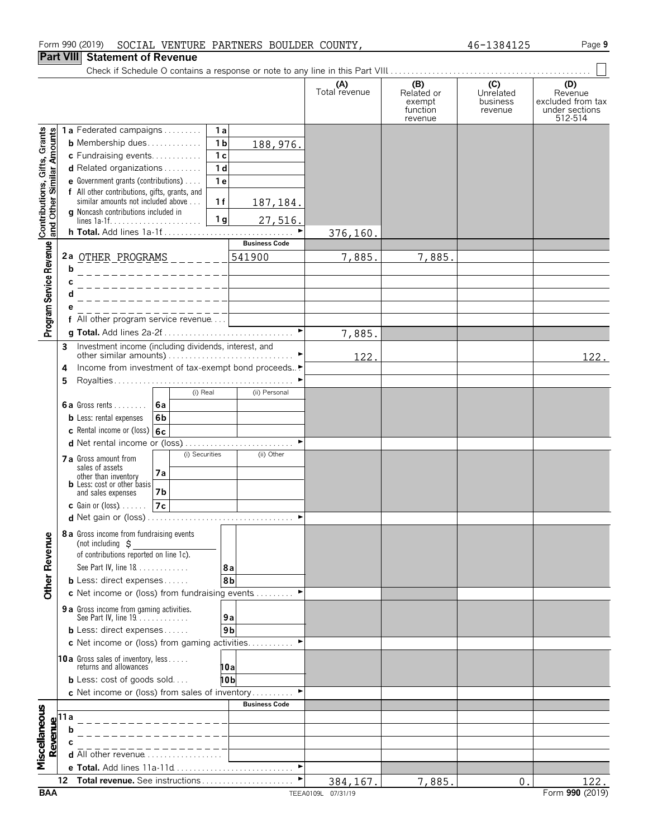#### Form 990 (2019) Page **9** SOCIAL VENTURE PARTNERS BOULDER COUNTY, 46-1384125

#### **Part VIII Statement of Revenue**

Check if Schedule O contains a response or note to any line in this Part VIII. . . . . . . . . . . . . . . . . . . . . . . . . . . . . . . . . . . . . . . . . . . . . . . . .

|                                                           |                                |                                                                                 |                |                |                |                       | (A)<br>Total revenue | (B)<br>Related or             | (C)<br>Unrelated    | (D)<br>Revenue                                 |
|-----------------------------------------------------------|--------------------------------|---------------------------------------------------------------------------------|----------------|----------------|----------------|-----------------------|----------------------|-------------------------------|---------------------|------------------------------------------------|
|                                                           |                                |                                                                                 |                |                |                |                       |                      | exempt<br>function<br>revenue | business<br>revenue | excluded from tax<br>under sections<br>512-514 |
|                                                           |                                | 1a Federated campaigns                                                          |                |                | 1a             |                       |                      |                               |                     |                                                |
| Contributions, Gifts, Grants<br>and Other Similar Amounts |                                | <b>b</b> Membership dues                                                        |                |                | 1 <sub>b</sub> | 188, 976.             |                      |                               |                     |                                                |
|                                                           |                                | c Fundraising events                                                            |                |                | 1 <sub>c</sub> |                       |                      |                               |                     |                                                |
|                                                           |                                | d Related organizations                                                         |                |                | 1 <sub>d</sub> |                       |                      |                               |                     |                                                |
|                                                           |                                | e Government grants (contributions)                                             |                |                | 1 <sub>e</sub> |                       |                      |                               |                     |                                                |
|                                                           |                                | f All other contributions, gifts, grants, and                                   |                |                |                |                       |                      |                               |                     |                                                |
|                                                           |                                | similar amounts not included above<br>g Noncash contributions included in       |                |                | 1f             | 187, 184.             |                      |                               |                     |                                                |
|                                                           |                                |                                                                                 |                |                | 1 <sub>g</sub> | 27,516.               |                      |                               |                     |                                                |
|                                                           |                                | h Total. Add lines 1a-1f                                                        |                |                |                |                       | 376,160.             |                               |                     |                                                |
|                                                           |                                |                                                                                 |                |                |                | <b>Business Code</b>  |                      |                               |                     |                                                |
|                                                           |                                | 2a OTHER PROGRAMS                                                               |                |                |                | 541900                | 7,885.               | 7,885.                        |                     |                                                |
|                                                           | b                              |                                                                                 |                |                |                |                       |                      |                               |                     |                                                |
|                                                           |                                |                                                                                 |                |                |                |                       |                      |                               |                     |                                                |
|                                                           |                                |                                                                                 |                |                |                |                       |                      |                               |                     |                                                |
|                                                           |                                | f All other program service revenue                                             |                |                |                |                       |                      |                               |                     |                                                |
| Program Service Revenue                                   |                                |                                                                                 |                |                |                | $\blacktriangleright$ | 7,885.               |                               |                     |                                                |
|                                                           | 3                              | Investment income (including dividends, interest, and                           |                |                |                |                       |                      |                               |                     |                                                |
|                                                           |                                |                                                                                 |                |                |                |                       | 122.                 |                               |                     | 122.                                           |
|                                                           | 4                              | Income from investment of tax-exempt bond proceeds▶                             |                |                |                |                       |                      |                               |                     |                                                |
|                                                           | 5                              |                                                                                 |                |                |                |                       |                      |                               |                     |                                                |
|                                                           |                                |                                                                                 |                | (i) Real       |                | (ii) Personal         |                      |                               |                     |                                                |
|                                                           |                                | <b>6a</b> Gross rents $\ldots$                                                  | 6a             |                |                |                       |                      |                               |                     |                                                |
|                                                           |                                | <b>b</b> Less: rental expenses<br><b>c</b> Rental income or (loss) $ 6c $       | 6 <sub>b</sub> |                |                |                       |                      |                               |                     |                                                |
|                                                           |                                | d Net rental income or (loss)                                                   |                |                |                |                       |                      |                               |                     |                                                |
|                                                           |                                |                                                                                 |                | (i) Securities |                | (ii) Other            |                      |                               |                     |                                                |
|                                                           |                                | 7 a Gross amount from<br>sales of assets                                        |                |                |                |                       |                      |                               |                     |                                                |
|                                                           |                                | other than inventory<br><b>b</b> Less: cost or other basis                      | 7a             |                |                |                       |                      |                               |                     |                                                |
|                                                           |                                | and sales expenses                                                              | 7b             |                |                |                       |                      |                               |                     |                                                |
|                                                           |                                | <b>c</b> Gain or (loss) $\ldots$                                                | 17 c           |                |                |                       |                      |                               |                     |                                                |
|                                                           |                                |                                                                                 |                |                |                | $\blacktriangleright$ |                      |                               |                     |                                                |
| nue                                                       |                                | 8 a Gross income from fundraising events<br>(not including $\zeta$              |                |                |                |                       |                      |                               |                     |                                                |
|                                                           |                                | of contributions reported on line 1c).                                          |                |                |                |                       |                      |                               |                     |                                                |
|                                                           |                                | See Part IV, line 18                                                            |                |                | 8а             |                       |                      |                               |                     |                                                |
| Other Reve                                                |                                | <b>b</b> Less: direct expenses $\ldots$ .                                       |                |                | 8b             |                       |                      |                               |                     |                                                |
|                                                           |                                | c Net income or (loss) from fundraising events                                  |                |                |                |                       |                      |                               |                     |                                                |
|                                                           |                                | <b>9 a</b> Gross income from gaming activities.<br>See Part IV, line 19         |                |                |                |                       |                      |                               |                     |                                                |
|                                                           |                                |                                                                                 |                |                | 9а             |                       |                      |                               |                     |                                                |
|                                                           |                                | <b>b</b> Less: direct expenses<br>c Net income or (loss) from gaming activities |                |                | 9 <sub>b</sub> | ▶                     |                      |                               |                     |                                                |
|                                                           |                                |                                                                                 |                |                |                |                       |                      |                               |                     |                                                |
|                                                           |                                | <b>10 a</b> Gross sales of inventory, less<br>returns and allowances            |                |                | l0a            |                       |                      |                               |                     |                                                |
|                                                           |                                | <b>b</b> Less: cost of goods sold                                               |                |                | l0b            |                       |                      |                               |                     |                                                |
|                                                           |                                | c Net income or (loss) from sales of inventory                                  |                |                |                |                       |                      |                               |                     |                                                |
|                                                           |                                |                                                                                 |                |                |                | <b>Business Code</b>  |                      |                               |                     |                                                |
| Miscellaneous                                             | Revenue<br>$\alpha$ o $\alpha$ |                                                                                 |                |                |                |                       |                      |                               |                     |                                                |
|                                                           |                                |                                                                                 |                |                |                |                       |                      |                               |                     |                                                |
|                                                           |                                |                                                                                 |                |                |                |                       |                      |                               |                     |                                                |
|                                                           |                                | d All other revenue<br>e Total. Add lines 11a-11d                               |                |                |                | ▶                     |                      |                               |                     |                                                |
|                                                           | 12                             | Total revenue. See instructions                                                 |                |                |                |                       | 384,167.             | 7,885                         | $\mathbf{0}$        | 122.                                           |
|                                                           |                                |                                                                                 |                |                |                |                       |                      |                               |                     |                                                |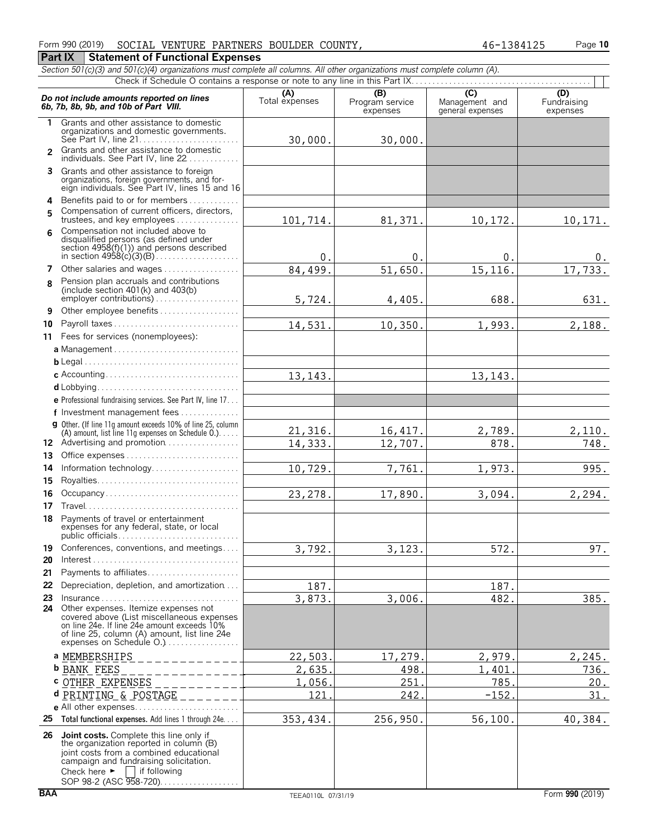#### Form 990 (2019) Page **10** SOCIAL VENTURE PARTNERS BOULDER COUNTY, 46-1384125

**Part IX Statement of Functional Expenses**

| Section 501(c)(3) and 501(c)(4) organizations must complete all columns. All other organizations must complete column (A). |                                                                                                                                                                                                                                                         |                       |                                    |                                           |                                |  |  |  |  |  |
|----------------------------------------------------------------------------------------------------------------------------|---------------------------------------------------------------------------------------------------------------------------------------------------------------------------------------------------------------------------------------------------------|-----------------------|------------------------------------|-------------------------------------------|--------------------------------|--|--|--|--|--|
|                                                                                                                            |                                                                                                                                                                                                                                                         |                       |                                    |                                           |                                |  |  |  |  |  |
|                                                                                                                            | Do not include amounts reported on lines<br>6b, 7b, 8b, 9b, and 10b of Part VIII.                                                                                                                                                                       | (A)<br>Total expenses | (B)<br>Program service<br>expenses | (C)<br>Management and<br>general expenses | (D)<br>Fundraising<br>expenses |  |  |  |  |  |
| $\mathbf{1}$                                                                                                               | Grants and other assistance to domestic<br>organizations and domestic governments.                                                                                                                                                                      | 30,000.               | 30,000.                            |                                           |                                |  |  |  |  |  |
| $\mathfrak{p}$                                                                                                             | Grants and other assistance to domestic<br>individuals. See Part IV, line 22                                                                                                                                                                            |                       |                                    |                                           |                                |  |  |  |  |  |
| 3                                                                                                                          | Grants and other assistance to foreign<br>organizations, foreign governments, and for-<br>eign individuals. See Part IV, lines 15 and 16                                                                                                                |                       |                                    |                                           |                                |  |  |  |  |  |
| 4                                                                                                                          | Benefits paid to or for members                                                                                                                                                                                                                         |                       |                                    |                                           |                                |  |  |  |  |  |
| 5                                                                                                                          | Compensation of current officers, directors,<br>trustees, and key employees                                                                                                                                                                             | 101,714.              | 81,371.                            | 10,172.                                   | 10, 171.                       |  |  |  |  |  |
| 6                                                                                                                          | Compensation not included above to<br>disqualified persons (as defined under<br>section $4958(f)(1)$ and persons described                                                                                                                              | 0.                    | 0.                                 | 0.                                        | 0.                             |  |  |  |  |  |
| 7                                                                                                                          | Other salaries and wages                                                                                                                                                                                                                                | 84,499.               | 51,650.                            | 15,116.                                   | 17,733.                        |  |  |  |  |  |
| 8                                                                                                                          | Pension plan accruals and contributions<br>(include section $401(k)$ and $403(b)$<br>employer contributions)<br>Other employee benefits                                                                                                                 | 5,724.                | 4,405.                             | 688.                                      | 631.                           |  |  |  |  |  |
| 9                                                                                                                          |                                                                                                                                                                                                                                                         |                       |                                    |                                           |                                |  |  |  |  |  |
| 10                                                                                                                         | Payroll taxes<br>Fees for services (nonemployees):                                                                                                                                                                                                      | 14,531.               | 10, 350.                           | 1,993.                                    | 2,188.                         |  |  |  |  |  |
| 11                                                                                                                         |                                                                                                                                                                                                                                                         |                       |                                    |                                           |                                |  |  |  |  |  |
|                                                                                                                            |                                                                                                                                                                                                                                                         |                       |                                    |                                           |                                |  |  |  |  |  |
|                                                                                                                            |                                                                                                                                                                                                                                                         | 13, 143.              |                                    | 13, 143.                                  |                                |  |  |  |  |  |
|                                                                                                                            |                                                                                                                                                                                                                                                         |                       |                                    |                                           |                                |  |  |  |  |  |
|                                                                                                                            | e Professional fundraising services. See Part IV, line 17                                                                                                                                                                                               |                       |                                    |                                           |                                |  |  |  |  |  |
|                                                                                                                            | f Investment management fees                                                                                                                                                                                                                            |                       |                                    |                                           |                                |  |  |  |  |  |
|                                                                                                                            | g Other. (If line 11g amount exceeds 10% of line 25, column                                                                                                                                                                                             |                       |                                    |                                           |                                |  |  |  |  |  |
|                                                                                                                            | (A) amount, list line 11g expenses on Schedule $0.$ )<br>12 Advertising and promotion                                                                                                                                                                   | 21,316.<br>14,333.    | 16, 417.<br>12,707.                | 2,789.<br>878.                            | 2,110.<br>748.                 |  |  |  |  |  |
| 13                                                                                                                         | Office expenses                                                                                                                                                                                                                                         |                       |                                    |                                           |                                |  |  |  |  |  |
| 14                                                                                                                         | Information technology                                                                                                                                                                                                                                  | 10,729.               | 7,761.                             | 1,973.                                    | 995.                           |  |  |  |  |  |
| 15                                                                                                                         |                                                                                                                                                                                                                                                         |                       |                                    |                                           |                                |  |  |  |  |  |
| 16                                                                                                                         | Occupancy                                                                                                                                                                                                                                               | 23, 278.              | 17,890.                            | 3,094.                                    | 2, 294.                        |  |  |  |  |  |
| 17                                                                                                                         |                                                                                                                                                                                                                                                         |                       |                                    |                                           |                                |  |  |  |  |  |
| 18                                                                                                                         | Payments of travel or entertainment<br>expenses for any federal, state, or local                                                                                                                                                                        |                       |                                    |                                           |                                |  |  |  |  |  |
| 19<br>20                                                                                                                   | Conferences, conventions, and meetings                                                                                                                                                                                                                  | 3,792.                | 3,123.                             | 572.                                      | 97.                            |  |  |  |  |  |
| 21                                                                                                                         | Payments to affiliates                                                                                                                                                                                                                                  |                       |                                    |                                           |                                |  |  |  |  |  |
| 22                                                                                                                         | Depreciation, depletion, and amortization                                                                                                                                                                                                               | 187.                  |                                    | 187.                                      |                                |  |  |  |  |  |
| 23                                                                                                                         | $Insurance \ldots \ldots \ldots \ldots \ldots \ldots \ldots \ldots \ldots$                                                                                                                                                                              | 3,873.                | 3,006.                             | 482.                                      | 385.                           |  |  |  |  |  |
| 24                                                                                                                         | Other expenses. Itemize expenses not<br>covered above (List miscellaneous expenses<br>on line 24e. If line 24e amount exceeds 10%<br>of line 25, column (A) amount, list line 24e<br>expenses on Schedule O.)                                           |                       |                                    |                                           |                                |  |  |  |  |  |
|                                                                                                                            | a MEMBERSHIPS                                                                                                                                                                                                                                           | 22,503.               | 17,279.                            | 2,979.                                    | 2,245.                         |  |  |  |  |  |
|                                                                                                                            | <b>b</b> BANK FEES                                                                                                                                                                                                                                      | 2,635.                | 498.                               | 1,401                                     | 736.                           |  |  |  |  |  |
|                                                                                                                            | C OTHER EXPENSES                                                                                                                                                                                                                                        | 1,056.                | 251                                | 785.                                      | 20.                            |  |  |  |  |  |
|                                                                                                                            | d PRINTING & POSTAGE _______                                                                                                                                                                                                                            | 121                   | 242.                               | $-152.$                                   | 31.                            |  |  |  |  |  |
|                                                                                                                            |                                                                                                                                                                                                                                                         |                       |                                    |                                           |                                |  |  |  |  |  |
|                                                                                                                            | 25 Total functional expenses. Add lines 1 through 24e                                                                                                                                                                                                   | 353, 434.             | 256,950.                           | 56,100.                                   | 40,384.                        |  |  |  |  |  |
|                                                                                                                            | 26 Joint costs. Complete this line only if<br>the organization reported in column (B)<br>joint costs from a combined educational<br>campaign and fundraising solicitation.<br>Check here $\blacktriangleright$   if following<br>SOP 98-2 (ASC 958-720) |                       |                                    |                                           |                                |  |  |  |  |  |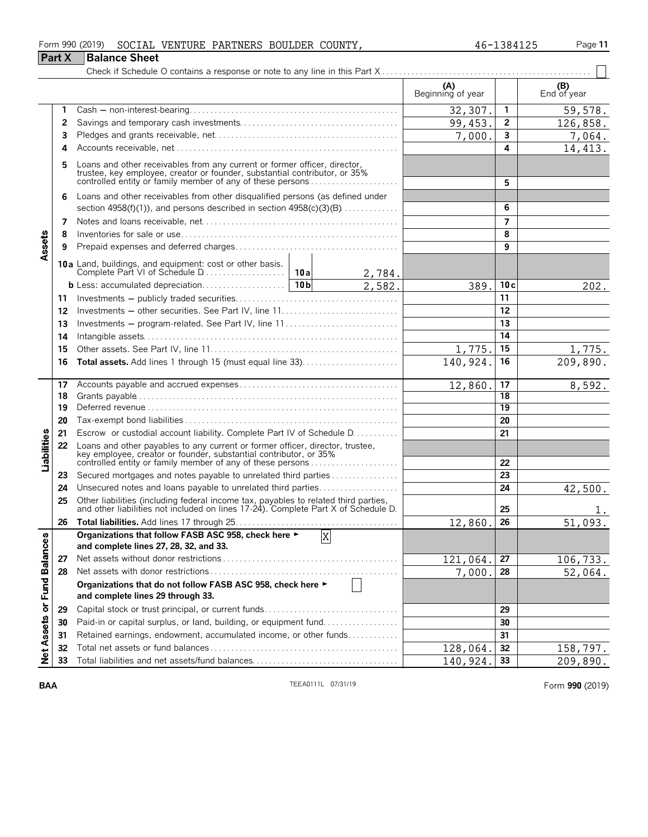|                             |               | Form 990 (2019)<br>SOCIAL VENTURE PARTNERS BOULDER COUNTY,                                                                                                                                                         |                          | 46-1384125 | Page 11            |
|-----------------------------|---------------|--------------------------------------------------------------------------------------------------------------------------------------------------------------------------------------------------------------------|--------------------------|------------|--------------------|
|                             | <b>Part X</b> | <b>Balance Sheet</b>                                                                                                                                                                                               |                          |            |                    |
|                             |               |                                                                                                                                                                                                                    |                          |            |                    |
|                             |               |                                                                                                                                                                                                                    | (A)<br>Beginning of year |            | (B)<br>End of year |
|                             |               |                                                                                                                                                                                                                    | 32,307.                  | 1          | 59,578.            |
|                             | 2             |                                                                                                                                                                                                                    | 99, 453.                 | 2          | 126,858.           |
|                             | 3             |                                                                                                                                                                                                                    | 7,000.                   | 3          | 7,064.             |
|                             | 4             |                                                                                                                                                                                                                    |                          | 4          | 14, 413.           |
|                             | 5             |                                                                                                                                                                                                                    |                          |            |                    |
|                             |               | Loans and other receivables from any current or former officer, director, trustee, key employee, creator or founder, substantial contributor, or 35%<br>controlled entity or family member of any of these persons |                          | 5          |                    |
|                             | 6             | Loans and other receivables from other disqualified persons (as defined under                                                                                                                                      |                          |            |                    |
|                             |               | section 4958(f)(1)), and persons described in section $4958(c)(3)(B)$                                                                                                                                              |                          | 6          |                    |
|                             | 7             |                                                                                                                                                                                                                    |                          | 7          |                    |
|                             | 8             |                                                                                                                                                                                                                    |                          | 8          |                    |
| Assets                      | 9             |                                                                                                                                                                                                                    |                          | 9          |                    |
|                             |               | 2,784.                                                                                                                                                                                                             |                          |            |                    |
|                             |               | 2,582.                                                                                                                                                                                                             | 389.                     | 10c        | 202.               |
|                             | 11            |                                                                                                                                                                                                                    |                          | 11         |                    |
|                             | 12            |                                                                                                                                                                                                                    |                          | 12         |                    |
|                             | 13            | Investments - program-related. See Part IV, line 11                                                                                                                                                                |                          | 13         |                    |
|                             | 14            |                                                                                                                                                                                                                    |                          | 14         |                    |
|                             | 15            |                                                                                                                                                                                                                    | 1,775.                   | 15         | 1,775.             |
|                             | 16            |                                                                                                                                                                                                                    | 140,924.                 | 16         | 209,890.           |
|                             | 17            |                                                                                                                                                                                                                    | 12,860.                  | 17         | 8,592.             |
|                             | 18            |                                                                                                                                                                                                                    |                          | 18         |                    |
|                             | 19            |                                                                                                                                                                                                                    |                          | 19         |                    |
|                             | 20            |                                                                                                                                                                                                                    |                          | 20         |                    |
|                             | 21            | Escrow or custodial account liability. Complete Part IV of Schedule D.                                                                                                                                             |                          | 21         |                    |
| Liabilities                 | 22            | Loans and other payables to any current or former officer, director, trustee,<br>key employee, creator or founder, substantial contributor, or 35%<br>controlled entity or family member of any of these persons   |                          | 22         |                    |
|                             | 23            | Secured mortgages and notes payable to unrelated third parties                                                                                                                                                     |                          | 23         |                    |
|                             | 24            | Unsecured notes and loans payable to unrelated third parties                                                                                                                                                       |                          | 24         | 42,500.            |
|                             | 25            | Other liabilities (including federal income tax, payables to related third parties, and other liabilities not included on lines 17-24). Complete Part X of Schedule D.                                             |                          | 25         | 1.                 |
|                             | 26            |                                                                                                                                                                                                                    | 12,860.                  | 26         | 51,093.            |
|                             |               | Organizations that follow FASB ASC 958, check here ►<br>X                                                                                                                                                          |                          |            |                    |
|                             |               | and complete lines 27, 28, 32, and 33.                                                                                                                                                                             |                          |            |                    |
|                             | 27            |                                                                                                                                                                                                                    | 121,064.                 | 27         | 106,733.           |
|                             | 28            |                                                                                                                                                                                                                    | 7,000.                   | 28         | 52,064.            |
| Net Assets or Fund Balances |               | Organizations that do not follow FASB ASC 958, check here ►<br>and complete lines 29 through 33.                                                                                                                   |                          |            |                    |
|                             | 29            |                                                                                                                                                                                                                    |                          | 29         |                    |
|                             | 30            | Paid-in or capital surplus, or land, building, or equipment fund                                                                                                                                                   |                          | 30         |                    |
|                             | 31            | Retained earnings, endowment, accumulated income, or other funds                                                                                                                                                   |                          | 31         |                    |
|                             | 32            |                                                                                                                                                                                                                    | 128,064.                 | 32         | 158,797.           |
|                             | 33            |                                                                                                                                                                                                                    | 140,924                  | 33         | 209,890.           |

**BAA** TEEA0111L 07/31/19 Form **990** (2019)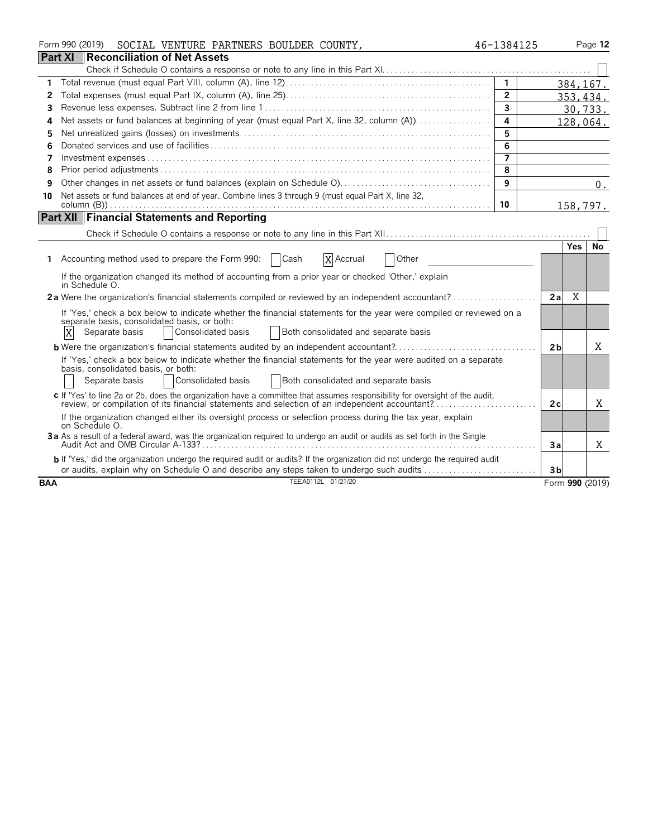|                | Form 990 (2019)<br>SOCIAL VENTURE PARTNERS BOULDER COUNTY,                                                                                                                                                                    | 46-1384125              |  |                | Page 12         |  |  |
|----------------|-------------------------------------------------------------------------------------------------------------------------------------------------------------------------------------------------------------------------------|-------------------------|--|----------------|-----------------|--|--|
| <b>Part XI</b> | <b>Reconciliation of Net Assets</b>                                                                                                                                                                                           |                         |  |                |                 |  |  |
|                |                                                                                                                                                                                                                               |                         |  |                |                 |  |  |
| 1              |                                                                                                                                                                                                                               | $\overline{1}$          |  | 384,167.       |                 |  |  |
| 2              |                                                                                                                                                                                                                               | $\overline{2}$          |  | 353,434.       |                 |  |  |
| 3              |                                                                                                                                                                                                                               | $\overline{\mathbf{3}}$ |  |                | 30,733.         |  |  |
| 4              | 4                                                                                                                                                                                                                             |                         |  |                |                 |  |  |
| 5              |                                                                                                                                                                                                                               | 5                       |  |                | 128,064.        |  |  |
| 6              |                                                                                                                                                                                                                               | 6                       |  |                |                 |  |  |
| 7              |                                                                                                                                                                                                                               | $\overline{ }$          |  |                |                 |  |  |
| 8              |                                                                                                                                                                                                                               | 8                       |  |                |                 |  |  |
| 9              |                                                                                                                                                                                                                               | 9                       |  |                | $0$ .           |  |  |
| 10             | Net assets or fund balances at end of year. Combine lines 3 through 9 (must equal Part X, line 32,                                                                                                                            |                         |  |                |                 |  |  |
|                |                                                                                                                                                                                                                               | 10                      |  | 158,797.       |                 |  |  |
|                | <b>Part XII Financial Statements and Reporting</b>                                                                                                                                                                            |                         |  |                |                 |  |  |
|                |                                                                                                                                                                                                                               |                         |  |                |                 |  |  |
|                |                                                                                                                                                                                                                               |                         |  | Yes I          | No              |  |  |
|                | X Accrual<br>1 Accounting method used to prepare the Form 990:<br>  Cash<br>Other                                                                                                                                             |                         |  |                |                 |  |  |
|                | If the organization changed its method of accounting from a prior year or checked 'Other,' explain<br>in Schedule O.                                                                                                          |                         |  |                |                 |  |  |
|                |                                                                                                                                                                                                                               |                         |  | X<br>2a        |                 |  |  |
|                | If 'Yes,' check a box below to indicate whether the financial statements for the year were compiled or reviewed on a<br>separate basis, consolidated basis, or both:                                                          |                         |  |                |                 |  |  |
|                | X<br>Consolidated basis<br>Separate basis<br>Both consolidated and separate basis                                                                                                                                             |                         |  |                |                 |  |  |
|                |                                                                                                                                                                                                                               |                         |  | 2 <sub>b</sub> | X               |  |  |
|                | If 'Yes,' check a box below to indicate whether the financial statements for the year were audited on a separate                                                                                                              |                         |  |                |                 |  |  |
|                | basis, consolidated basis, or both:                                                                                                                                                                                           |                         |  |                |                 |  |  |
|                | Consolidated basis<br>Separate basis<br>Both consolidated and separate basis                                                                                                                                                  |                         |  |                |                 |  |  |
|                | c If 'Yes' to line 2a or 2b, does the organization have a committee that assumes responsibility for oversight of the audit,<br>review, or compilation of its financial statements and selection of an independent accountant? |                         |  | 2c             | X               |  |  |
|                | If the organization changed either its oversight process or selection process during the tax year, explain<br>on Schedule O.                                                                                                  |                         |  |                |                 |  |  |
|                | 3a As a result of a federal award, was the organization required to undergo an audit or audits as set forth in the Single                                                                                                     |                         |  | 3a             | X               |  |  |
|                | <b>b</b> If 'Yes,' did the organization undergo the required audit or audits? If the organization did not undergo the required audit                                                                                          |                         |  |                |                 |  |  |
|                | or audits, explain why on Schedule O and describe any steps taken to undergo such audits                                                                                                                                      |                         |  | 3 <sub>b</sub> |                 |  |  |
| <b>BAA</b>     | TEEA0112L 01/21/20                                                                                                                                                                                                            |                         |  |                | Form 990 (2019) |  |  |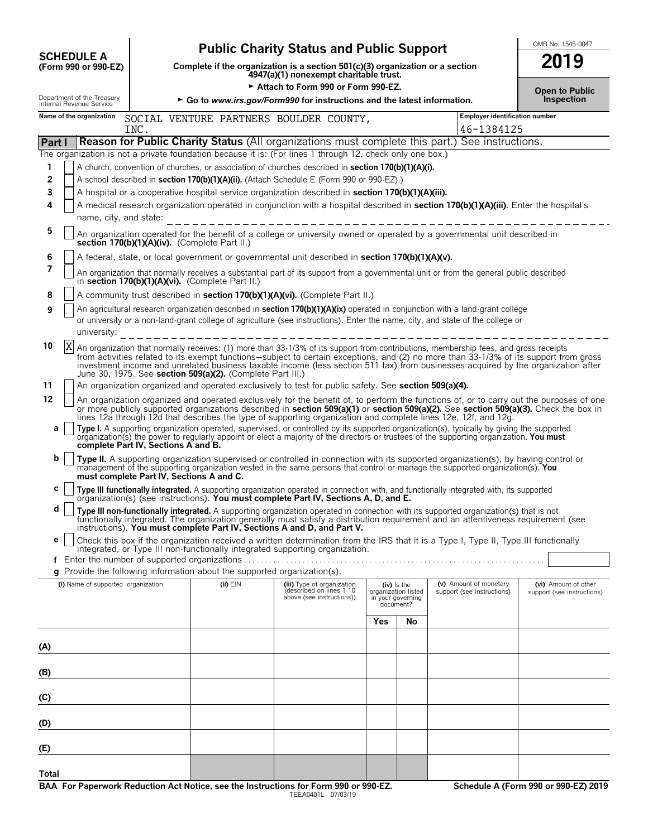|                                                                                                                                    |                                                                                                                                                                                                                                                                                                                                                                                                                                                                                                                                                                                                                                                                                                                                    |                                                                                                                         | <b>Public Charity Status and Public Support</b>                                                                                                                                                                                                                                                                                                                                                                                                                                                                                                                                                                                                                                                                                                                                                                                                                                                                                      |                                                                        |    |                                                      | OMB No. 1545-0047                                  |
|------------------------------------------------------------------------------------------------------------------------------------|------------------------------------------------------------------------------------------------------------------------------------------------------------------------------------------------------------------------------------------------------------------------------------------------------------------------------------------------------------------------------------------------------------------------------------------------------------------------------------------------------------------------------------------------------------------------------------------------------------------------------------------------------------------------------------------------------------------------------------|-------------------------------------------------------------------------------------------------------------------------|--------------------------------------------------------------------------------------------------------------------------------------------------------------------------------------------------------------------------------------------------------------------------------------------------------------------------------------------------------------------------------------------------------------------------------------------------------------------------------------------------------------------------------------------------------------------------------------------------------------------------------------------------------------------------------------------------------------------------------------------------------------------------------------------------------------------------------------------------------------------------------------------------------------------------------------|------------------------------------------------------------------------|----|------------------------------------------------------|----------------------------------------------------|
| <b>SCHEDULE A</b><br>(Form 990 or 990-EZ)                                                                                          |                                                                                                                                                                                                                                                                                                                                                                                                                                                                                                                                                                                                                                                                                                                                    | Complete if the organization is a section 501(c)(3) organization or a section<br>4947(a)(1) nonexempt charitable trust. | 2019                                                                                                                                                                                                                                                                                                                                                                                                                                                                                                                                                                                                                                                                                                                                                                                                                                                                                                                                 |                                                                        |    |                                                      |                                                    |
|                                                                                                                                    |                                                                                                                                                                                                                                                                                                                                                                                                                                                                                                                                                                                                                                                                                                                                    |                                                                                                                         | Attach to Form 990 or Form 990-EZ.                                                                                                                                                                                                                                                                                                                                                                                                                                                                                                                                                                                                                                                                                                                                                                                                                                                                                                   |                                                                        |    |                                                      | <b>Open to Public</b>                              |
| Department of the Treasury<br>Internal Revenue Service<br>► Go to www.irs.gov/Form990 for instructions and the latest information. |                                                                                                                                                                                                                                                                                                                                                                                                                                                                                                                                                                                                                                                                                                                                    |                                                                                                                         |                                                                                                                                                                                                                                                                                                                                                                                                                                                                                                                                                                                                                                                                                                                                                                                                                                                                                                                                      |                                                                        |    | Inspection                                           |                                                    |
| Name of the organization                                                                                                           | INC.                                                                                                                                                                                                                                                                                                                                                                                                                                                                                                                                                                                                                                                                                                                               |                                                                                                                         | SOCIAL VENTURE PARTNERS BOULDER COUNTY,                                                                                                                                                                                                                                                                                                                                                                                                                                                                                                                                                                                                                                                                                                                                                                                                                                                                                              |                                                                        |    | Employer identification number<br>46-1384125         |                                                    |
| Part I                                                                                                                             |                                                                                                                                                                                                                                                                                                                                                                                                                                                                                                                                                                                                                                                                                                                                    |                                                                                                                         | <b>Reason for Public Charity Status</b> (All organizations must complete this part.) See instructions.                                                                                                                                                                                                                                                                                                                                                                                                                                                                                                                                                                                                                                                                                                                                                                                                                               |                                                                        |    |                                                      |                                                    |
| 1<br>2<br>3<br>4<br>name, city, and state:<br>5<br>6<br>7                                                                          | section 170(b)(1)(A)(iv). (Complete Part II.)                                                                                                                                                                                                                                                                                                                                                                                                                                                                                                                                                                                                                                                                                      | in section 170(b)(1)(A)(vi). (Complete Part II.)                                                                        | The organization is not a private foundation because it is: (For lines 1 through 12, check only one box.)<br>A church, convention of churches, or association of churches described in section 170(b)(1)(A)(i).<br>A school described in section 170(b)(1)(A)(ii). (Attach Schedule E (Form 990 or 990-EZ).)<br>A hospital or a cooperative hospital service organization described in section 170(b)(1)(A)(iii).<br>A medical research organization operated in conjunction with a hospital described in section 170(b)(1)(A)(iii). Enter the hospital's<br>An organization operated for the benefit of a college or university owned or operated by a governmental unit described in<br>A federal, state, or local government or governmental unit described in section 170(b)(1)(A)(v).<br>An organization that normally receives a substantial part of its support from a governmental unit or from the general public described |                                                                        |    |                                                      |                                                    |
| 8                                                                                                                                  |                                                                                                                                                                                                                                                                                                                                                                                                                                                                                                                                                                                                                                                                                                                                    |                                                                                                                         | A community trust described in section 170(b)(1)(A)(vi). (Complete Part II.)                                                                                                                                                                                                                                                                                                                                                                                                                                                                                                                                                                                                                                                                                                                                                                                                                                                         |                                                                        |    |                                                      |                                                    |
| 9<br>university:                                                                                                                   |                                                                                                                                                                                                                                                                                                                                                                                                                                                                                                                                                                                                                                                                                                                                    |                                                                                                                         | An agricultural research organization described in section 170(b)(1)(A)(ix) operated in conjunction with a land-grant college<br>or university or a non-land-grant college of agriculture (see instructions). Enter the name, city, and state of the college or                                                                                                                                                                                                                                                                                                                                                                                                                                                                                                                                                                                                                                                                      |                                                                        |    |                                                      |                                                    |
| 10<br>X                                                                                                                            |                                                                                                                                                                                                                                                                                                                                                                                                                                                                                                                                                                                                                                                                                                                                    | June 30, 1975. See section 509(a)(2). (Complete Part III.)                                                              | An organization that normally receives: (1) more than 33-1/3% of its support from contributions, membership fees, and gross receipts<br>from activities related to its exempt functions-subject to certain exceptions, and (2) no more than 33-1/3% of its support from gross<br>investment income and unrelated business taxable income (less section 511 tax) from businesses acquired by the organization after                                                                                                                                                                                                                                                                                                                                                                                                                                                                                                                   |                                                                        |    |                                                      |                                                    |
| 11                                                                                                                                 |                                                                                                                                                                                                                                                                                                                                                                                                                                                                                                                                                                                                                                                                                                                                    |                                                                                                                         | An organization organized and operated exclusively to test for public safety. See section 509(a)(4).                                                                                                                                                                                                                                                                                                                                                                                                                                                                                                                                                                                                                                                                                                                                                                                                                                 |                                                                        |    |                                                      |                                                    |
| 12<br>а                                                                                                                            | An organization organized and operated exclusively for the benefit of, to perform the functions of, or to carry out the purposes of one<br>or more publicly supported organizations described in section 509(a)(1) or section 509(a)(2). See section 509(a)(3). Check the box in<br>lines 12a through 12d that describes the type of supporting organization and complete lines 12e, 12f, and 12g.<br>Type I. A supporting organization operated, supervised, or controlled by its supported organization(s), typically by giving the supported<br>organization(s) the power to regularly appoint or elect a majority of the directors or trustees of the supporting organization. You must<br>complete Part IV, Sections A and B. |                                                                                                                         |                                                                                                                                                                                                                                                                                                                                                                                                                                                                                                                                                                                                                                                                                                                                                                                                                                                                                                                                      |                                                                        |    |                                                      |                                                    |
| b                                                                                                                                  | must complete Part IV, Sections A and C.                                                                                                                                                                                                                                                                                                                                                                                                                                                                                                                                                                                                                                                                                           |                                                                                                                         | Type II. A supporting organization supervised or controlled in connection with its supported organization(s), by having control or<br>management of the supporting organization vested in the same persons that control or manage the supported organization(s). You                                                                                                                                                                                                                                                                                                                                                                                                                                                                                                                                                                                                                                                                 |                                                                        |    |                                                      |                                                    |
| С                                                                                                                                  |                                                                                                                                                                                                                                                                                                                                                                                                                                                                                                                                                                                                                                                                                                                                    |                                                                                                                         | Type III functionally integrated. A supporting organization operated in connection with, and functionally integrated with, its supported organization(s) (see instructions). You must complete Part IV, Sections A, D, and E.                                                                                                                                                                                                                                                                                                                                                                                                                                                                                                                                                                                                                                                                                                        |                                                                        |    |                                                      |                                                    |
| d<br>е                                                                                                                             |                                                                                                                                                                                                                                                                                                                                                                                                                                                                                                                                                                                                                                                                                                                                    |                                                                                                                         | Type III non-functionally integrated. A supporting organization operated in connection with its supported organization(s) that is not<br>functionally integrated. The organization generally must satisfy a distribution requirement and an attentiveness requirement (see<br>instructions). You must complete Part IV, Sections A and D, and Part V.<br>Check this box if the organization received a written determination from the IRS that it is a Type I, Type II, Type III functionally<br>integrated, or Type III non-functionally integrated supporting organization.                                                                                                                                                                                                                                                                                                                                                        |                                                                        |    |                                                      |                                                    |
|                                                                                                                                    |                                                                                                                                                                                                                                                                                                                                                                                                                                                                                                                                                                                                                                                                                                                                    |                                                                                                                         |                                                                                                                                                                                                                                                                                                                                                                                                                                                                                                                                                                                                                                                                                                                                                                                                                                                                                                                                      |                                                                        |    |                                                      |                                                    |
|                                                                                                                                    |                                                                                                                                                                                                                                                                                                                                                                                                                                                                                                                                                                                                                                                                                                                                    | g Provide the following information about the supported organization(s).                                                |                                                                                                                                                                                                                                                                                                                                                                                                                                                                                                                                                                                                                                                                                                                                                                                                                                                                                                                                      |                                                                        |    |                                                      |                                                    |
| (i) Name of supported organization                                                                                                 |                                                                                                                                                                                                                                                                                                                                                                                                                                                                                                                                                                                                                                                                                                                                    | $(ii)$ $EIN$                                                                                                            | (iii) Type of organization<br>described on lines 1-10<br>above (see instructions))                                                                                                                                                                                                                                                                                                                                                                                                                                                                                                                                                                                                                                                                                                                                                                                                                                                   | $(iv)$ is the<br>organization listed<br>in your governing<br>document? |    | (v) Amount of monetary<br>support (see instructions) | (vi) Amount of other<br>support (see instructions) |
|                                                                                                                                    |                                                                                                                                                                                                                                                                                                                                                                                                                                                                                                                                                                                                                                                                                                                                    |                                                                                                                         |                                                                                                                                                                                                                                                                                                                                                                                                                                                                                                                                                                                                                                                                                                                                                                                                                                                                                                                                      | <b>Yes</b>                                                             | No |                                                      |                                                    |
| (A)                                                                                                                                |                                                                                                                                                                                                                                                                                                                                                                                                                                                                                                                                                                                                                                                                                                                                    |                                                                                                                         |                                                                                                                                                                                                                                                                                                                                                                                                                                                                                                                                                                                                                                                                                                                                                                                                                                                                                                                                      |                                                                        |    |                                                      |                                                    |
| (B)                                                                                                                                |                                                                                                                                                                                                                                                                                                                                                                                                                                                                                                                                                                                                                                                                                                                                    |                                                                                                                         |                                                                                                                                                                                                                                                                                                                                                                                                                                                                                                                                                                                                                                                                                                                                                                                                                                                                                                                                      |                                                                        |    |                                                      |                                                    |
| (C)                                                                                                                                |                                                                                                                                                                                                                                                                                                                                                                                                                                                                                                                                                                                                                                                                                                                                    |                                                                                                                         |                                                                                                                                                                                                                                                                                                                                                                                                                                                                                                                                                                                                                                                                                                                                                                                                                                                                                                                                      |                                                                        |    |                                                      |                                                    |
| (D)                                                                                                                                |                                                                                                                                                                                                                                                                                                                                                                                                                                                                                                                                                                                                                                                                                                                                    |                                                                                                                         |                                                                                                                                                                                                                                                                                                                                                                                                                                                                                                                                                                                                                                                                                                                                                                                                                                                                                                                                      |                                                                        |    |                                                      |                                                    |
| (E)                                                                                                                                |                                                                                                                                                                                                                                                                                                                                                                                                                                                                                                                                                                                                                                                                                                                                    |                                                                                                                         |                                                                                                                                                                                                                                                                                                                                                                                                                                                                                                                                                                                                                                                                                                                                                                                                                                                                                                                                      |                                                                        |    |                                                      |                                                    |
| Total                                                                                                                              |                                                                                                                                                                                                                                                                                                                                                                                                                                                                                                                                                                                                                                                                                                                                    |                                                                                                                         |                                                                                                                                                                                                                                                                                                                                                                                                                                                                                                                                                                                                                                                                                                                                                                                                                                                                                                                                      |                                                                        |    |                                                      |                                                    |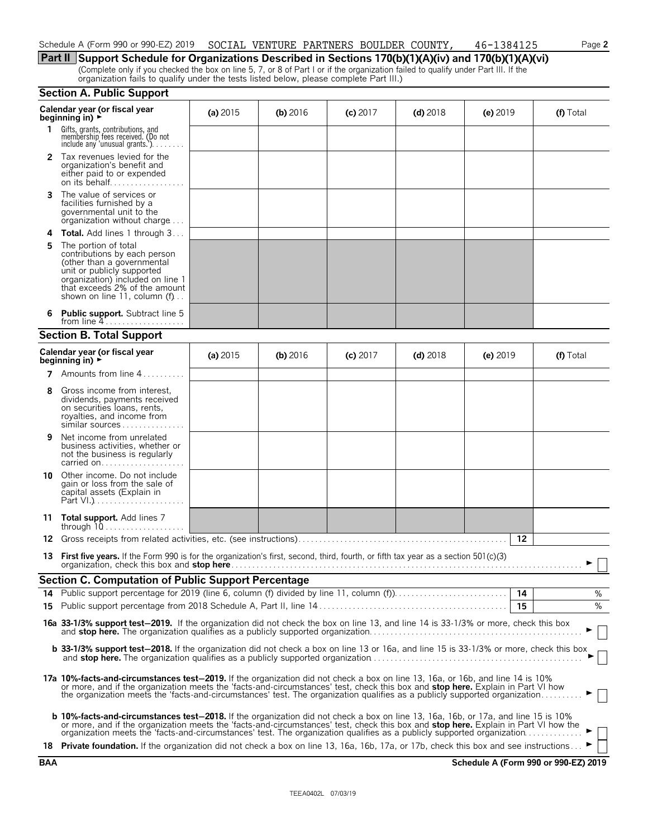#### Schedule A (Form 990 or 990-EZ) 2019 SOCIAL VENTURE PARTNERS BOULDER COUNTY, 46-1384125 Page **2**

**Part II Support Schedule for Organizations Described in Sections 170(b)(1)(A)(iv) and 170(b)(1)(A)(vi)** (Complete only if you checked the box on line 5, 7, or 8 of Part I or if the organization failed to qualify under Part III. If the organization fails to qualify under the tests listed below, please complete Part III.)

#### **Section A. Public Support**

|     | Calendar year (or fiscal year<br>beginning in) $\rightarrow$                                                                                                                                                                                                                                                                                                                                              | (a) $2015$ | (b) 2016 | $(c)$ 2017 | $(d)$ 2018 | $(e)$ 2019 | (f) Total |
|-----|-----------------------------------------------------------------------------------------------------------------------------------------------------------------------------------------------------------------------------------------------------------------------------------------------------------------------------------------------------------------------------------------------------------|------------|----------|------------|------------|------------|-----------|
| 1.  | Gifts, grants, contributions, and<br>membership fees received. (Do not<br>include any 'unusual grants.'). $\ldots$                                                                                                                                                                                                                                                                                        |            |          |            |            |            |           |
|     | Tax revenues levied for the<br>organization's benefit and<br>either paid to or expended<br>on its behalf                                                                                                                                                                                                                                                                                                  |            |          |            |            |            |           |
| 3.  | The value of services or<br>facilities furnished by a<br>governmental unit to the<br>organization without charge                                                                                                                                                                                                                                                                                          |            |          |            |            |            |           |
|     | <b>Total.</b> Add lines 1 through 3                                                                                                                                                                                                                                                                                                                                                                       |            |          |            |            |            |           |
| 5   | The portion of total<br>contributions by each person<br>(other than a governmental<br>unit or publicly supported<br>organization) included on line 1<br>that exceeds 2% of the amount<br>shown on line 11, column (f)                                                                                                                                                                                     |            |          |            |            |            |           |
|     | <b>Public support.</b> Subtract line 5<br>from line $4 \ldots \ldots \ldots \ldots \ldots$                                                                                                                                                                                                                                                                                                                |            |          |            |            |            |           |
|     | <b>Section B. Total Support</b>                                                                                                                                                                                                                                                                                                                                                                           |            |          |            |            |            |           |
|     | Calendar year (or fiscal year<br>beainnina in) ►                                                                                                                                                                                                                                                                                                                                                          | (a) $2015$ | (b) 2016 | $(c)$ 2017 | $(d)$ 2018 | (e) $2019$ | (f) Total |
|     | <b>7</b> Amounts from line 4                                                                                                                                                                                                                                                                                                                                                                              |            |          |            |            |            |           |
| 8   | Gross income from interest,<br>dividends, payments received<br>on securities loans, rents,<br>royalties, and income from<br>similar sources                                                                                                                                                                                                                                                               |            |          |            |            |            |           |
| 9   | Net income from unrelated<br>business activities, whether or<br>not the business is regularly<br>carried on                                                                                                                                                                                                                                                                                               |            |          |            |            |            |           |
| 10. | Other income. Do not include<br>gain or loss from the sale of<br>capital assets (Explain in                                                                                                                                                                                                                                                                                                               |            |          |            |            |            |           |
|     | 11 <b>Total support.</b> Add lines 7                                                                                                                                                                                                                                                                                                                                                                      |            |          |            |            |            |           |
| 12. |                                                                                                                                                                                                                                                                                                                                                                                                           |            |          |            |            | 12         |           |
|     | 13 First five years. If the Form 990 is for the organization's first, second, third, fourth, or fifth tax year as a section 501(c)(3)                                                                                                                                                                                                                                                                     |            |          |            |            |            |           |
|     | <b>Section C. Computation of Public Support Percentage</b>                                                                                                                                                                                                                                                                                                                                                |            |          |            |            |            |           |
|     |                                                                                                                                                                                                                                                                                                                                                                                                           |            |          |            |            |            | %         |
|     |                                                                                                                                                                                                                                                                                                                                                                                                           |            |          |            |            | 15         | %         |
|     | 16a 33-1/3% support test-2019. If the organization did not check the box on line 13, and line 14 is 33-1/3% or more, check this box                                                                                                                                                                                                                                                                       |            |          |            |            |            |           |
|     | b 33-1/3% support test-2018. If the organization did not check a box on line 13 or 16a, and line 15 is 33-1/3% or more, check this box                                                                                                                                                                                                                                                                    |            |          |            |            |            |           |
|     | 17a 10%-facts-and-circumstances test-2019. If the organization did not check a box on line 13, 16a, or 16b, and line 14 is 10%<br>or more, and if the organization meets the 'facts-and-circumstances' test, check this box and stop here. Explain in Part VI how<br>the organization meets the 'facts-and-circumstances' test. The organization qualifies as a publicly supported organization           |            |          |            |            |            |           |
|     | <b>b 10%-facts-and-circumstances test-2018.</b> If the organization did not check a box on line 13, 16a, 16b, or 17a, and line 15 is 10%<br>or more, and if the organization meets the 'facts-and-circumstances' test, check this box and stop here. Explain in Part VI how the<br>organization meets the 'facts-and-circumstances' test. The organization qualifies as a publicly supported organization |            |          |            |            |            |           |
|     | 18 Private foundation. If the organization did not check a box on line 13, 16a, 16b, 17a, or 17b, check this box and see instructions                                                                                                                                                                                                                                                                     |            |          |            |            |            |           |

**BAA Schedule A (Form 990 or 990-EZ) 2019**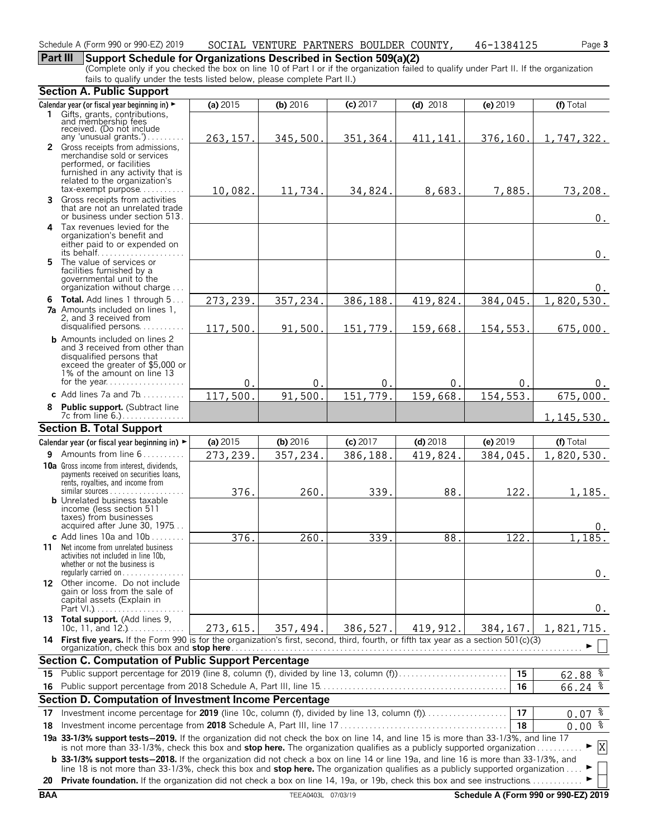#### Schedule A (Form 990 or 990-EZ) 2019 SOCIAL VENTURE PARTNERS BOULDER COUNTY, 46-1384125 Page **3**

#### **Part III Support Schedule for Organizations Described in Section 509(a)(2)**

(Complete only if you checked the box on line 10 of Part I or if the organization failed to qualify under Part II. If the organization fails to qualify under the tests listed below, please complete Part II.)

|    | <b>Section A. Public Support</b>                                                                                                                                                    |                |                |            |            |          |                   |
|----|-------------------------------------------------------------------------------------------------------------------------------------------------------------------------------------|----------------|----------------|------------|------------|----------|-------------------|
|    | Calendar year (or fiscal year beginning in) ►                                                                                                                                       | (a) 2015       | (b) 2016       | (c) 2017   | $(d)$ 2018 | (e) 2019 | (f) Total         |
|    | 1 Gifts, grants, contributions,                                                                                                                                                     |                |                |            |            |          |                   |
|    | and membership fees<br>received. (Do not include                                                                                                                                    |                |                |            |            |          |                   |
|    | any 'unusual grants.')<br>2 Gross receipts from admissions,                                                                                                                         | 263,157        | 345,500        | 351,364.   | 411,141.   | 376,160. | 1,747,322.        |
|    | merchandise sold or services                                                                                                                                                        |                |                |            |            |          |                   |
|    | performed, or facilities                                                                                                                                                            |                |                |            |            |          |                   |
|    | furnished in any activity that is<br>related to the organization's                                                                                                                  |                |                |            |            |          |                   |
|    | $tax$ -exempt purpose                                                                                                                                                               | 10,082.        | 11,734.        | 34,824.    | 8,683.     | 7,885.   | 73,208.           |
|    | 3 Gross receipts from activities                                                                                                                                                    |                |                |            |            |          |                   |
|    | that are not an unrelated trade<br>or business under section 513.                                                                                                                   |                |                |            |            |          |                   |
|    | 4 Tax revenues levied for the                                                                                                                                                       |                |                |            |            |          | $0$ .             |
|    | organization's benefit and                                                                                                                                                          |                |                |            |            |          |                   |
|    | either paid to or expended on                                                                                                                                                       |                |                |            |            |          |                   |
| 5. | The value of services or                                                                                                                                                            |                |                |            |            |          | $0$ .             |
|    | facilities furnished by a                                                                                                                                                           |                |                |            |            |          |                   |
|    | governmental unit to the<br>organization without charge                                                                                                                             |                |                |            |            |          | 0.                |
|    | <b>6 Total.</b> Add lines 1 through 5                                                                                                                                               | 273,239.       | 357,234        | 386,188.   | 419,824.   | 384,045. | 1,820,530.        |
|    | <b>7a</b> Amounts included on lines 1,                                                                                                                                              |                |                |            |            |          |                   |
|    | 2, and 3 received from                                                                                                                                                              |                |                |            |            |          |                   |
|    | disqualified persons                                                                                                                                                                | 117,500        | 91,500         | 151,779.   | 159,668.   | 154,553. | 675,000.          |
|    | <b>b</b> Amounts included on lines 2<br>and 3 received from other than                                                                                                              |                |                |            |            |          |                   |
|    | disqualified persons that                                                                                                                                                           |                |                |            |            |          |                   |
|    | exceed the greater of \$5,000 or<br>1% of the amount on line 13                                                                                                                     |                |                |            |            |          |                   |
|    | for the year                                                                                                                                                                        | $\mathsf{O}$ . | $\mathbf{0}$ . | 0.         | 0.         | 0.       | 0.                |
|    | c Add lines $7a$ and $7b$                                                                                                                                                           | 117,500        | 91,500         | 151,779.   | 159,668.   | 154,553. | 675,000.          |
| 8  | Public support. (Subtract line                                                                                                                                                      |                |                |            |            |          |                   |
|    | 7c from line 6.).                                                                                                                                                                   |                |                |            |            |          | 1, 145, 530.      |
|    | <b>Section B. Total Support</b>                                                                                                                                                     |                |                |            |            |          |                   |
|    | Calendar year (or fiscal year beginning in) ►                                                                                                                                       | (a) 2015       | (b) 2016       | (c) $2017$ | $(d)$ 2018 | (e) 2019 | (f) Total         |
|    | <b>9</b> Amounts from line $6$                                                                                                                                                      | 273, 239.      | 357,234.       | 386,188.   | 419,824.   | 384,045. | 1,820,530.        |
|    | <b>10a</b> Gross income from interest, dividends,<br>payments received on securities loans,                                                                                         |                |                |            |            |          |                   |
|    | rents, royalties, and income from                                                                                                                                                   |                |                |            |            |          |                   |
|    |                                                                                                                                                                                     | 376.           | 260            | 339.       | 88.        | 122.     | 1,185.            |
|    | <b>b</b> Unrelated business taxable<br>income (less section 511                                                                                                                     |                |                |            |            |          |                   |
|    | taxes) from businesses                                                                                                                                                              |                |                |            |            |          |                   |
|    | acquired after June 30, 1975                                                                                                                                                        |                |                |            |            |          |                   |
|    | c Add lines 10a and $10b$<br><b>11</b> Net income from unrelated business                                                                                                           | 376.           | 260            | 339.       | 88.        | 122.     | 1,185.            |
|    | activities not included in line 10b,                                                                                                                                                |                |                |            |            |          |                   |
|    | whether or not the business is                                                                                                                                                      |                |                |            |            |          |                   |
|    | regularly carried on $\dots\dots\dots\dots$<br>12 Other income. Do not include                                                                                                      |                |                |            |            |          | $0$ .             |
|    | gain or loss from the sale of                                                                                                                                                       |                |                |            |            |          |                   |
|    | capital assets (Explain in                                                                                                                                                          |                |                |            |            |          | 0.                |
|    | 13 Total support. (Add lines 9,                                                                                                                                                     |                |                |            |            |          |                   |
|    | 10c, 11, and $12.$ )                                                                                                                                                                | 273,615.       | 357,494.       | 386,527.   | 419,912.   | 384,167. | 1,821,715.        |
|    | 14 First five years. If the Form 990 is for the organization's first, second, third, fourth, or fifth tax year as a section 501(c)(3)<br>organization, check this box and stop here |                |                |            |            |          |                   |
|    | <b>Section C. Computation of Public Support Percentage</b>                                                                                                                          |                |                |            |            |          |                   |
| 15 | Public support percentage for 2019 (line 8, column (f), divided by line 13, column (f)                                                                                              |                |                |            |            | 15       | $62.88$ $%$       |
| 16 |                                                                                                                                                                                     |                |                |            |            | 16       | 66.24 %           |
|    | Section D. Computation of Investment Income Percentage                                                                                                                              |                |                |            |            |          |                   |
|    | Investment income percentage for 2019 (line 10c, column (f), divided by line 13, column (f)                                                                                         |                |                |            |            | 17       |                   |
| 17 |                                                                                                                                                                                     |                |                |            |            | 18       | $0.07$ $%$        |
| 18 | 19a 33-1/3% support tests-2019. If the organization did not check the box on line 14, and line 15 is more than 33-1/3%, and line 17                                                 |                |                |            |            |          | $0.00\frac{2}{3}$ |
|    | is not more than 33-1/3%, check this box and stop here. The organization qualifies as a publicly supported organization                                                             |                |                |            |            |          | X                 |
|    | <b>b</b> 33-1/3% support tests-2018. If the organization did not check a box on line 14 or line 19a, and line 16 is more than 33-1/3%, and                                          |                |                |            |            |          |                   |
|    | line 18 is not more than 33-1/3%, check this box and stop here. The organization qualifies as a publicly supported organization                                                     |                |                |            |            |          |                   |
|    | 20 Private foundation. If the organization did not check a box on line 14, 19a, or 19b, check this box and see instructions                                                         |                |                |            |            |          |                   |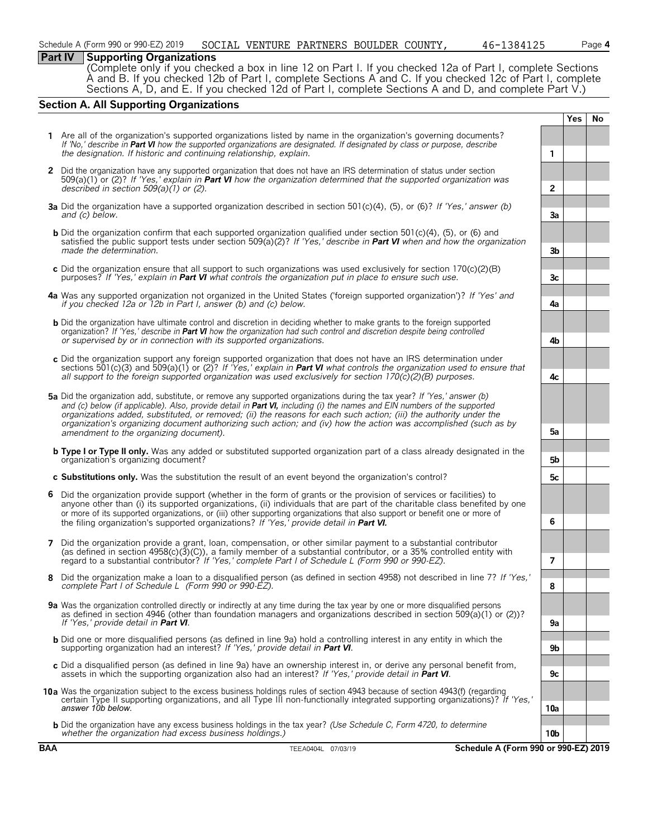#### **Part IV Supporting Organizations**

(Complete only if you checked a box in line 12 on Part I. If you checked 12a of Part I, complete Sections A and B. If you checked 12b of Part I, complete Sections A and C. If you checked 12c of Part I, complete Sections A, D, and E. If you checked 12d of Part I, complete Sections A and D, and complete Part V.)

#### **Section A. All Supporting Organizations**

**Yes No 1** Are all of the organization's supported organizations listed by name in the organization's governing documents? *If 'No,' describe in Part VI how the supported organizations are designated. If designated by class or purpose, describe the designation. If historic and continuing relationship, explain.* **1 2** Did the organization have any supported organization that does not have an IRS determination of status under section 509(a)(1) or (2)? *If 'Yes,' explain in Part VI how the organization determined that the supported organization was described in section 509(a)(1) or (2).* **2 3a** Did the organization have a supported organization described in section 501(c)(4), (5), or (6)? *If 'Yes,' answer (b) and (c) below.* **3a b** Did the organization confirm that each supported organization qualified under section 501(c)(4), (5), or (6) and satisfied the public support tests under section 509(a)(2)? *If 'Yes,' describe in Part VI when and how the organization made the determination.* **3b c** Did the organization ensure that all support to such organizations was used exclusively for section 170(c)(2)(B) purposes? *If 'Yes,' explain in Part VI what controls the organization put in place to ensure such use.*  $\begin{bmatrix} 1 & 3c \\ 2c & 3c \end{bmatrix}$  *3c* **a4** Was any supported organization not organized in the United States ('foreign supported organization')? *If 'Yes' and if you checked 12a or 12b in Part I, answer (b) and (c) below.* **4a b** Did the organization have ultimate control and discretion in deciding whether to make grants to the foreign supported organization? *If 'Yes,' describe in Part VI how the organization had such control and discretion despite being controlled or supervised by or in connection with its supported organizations.* **4b c** Did the organization support any foreign supported organization that does not have an IRS determination under sections 501(c)(3) and 509(a)(1) or (2)? *If 'Yes,' explain in Part VI what controls the organization used to ensure that all support to the foreign supported organization was used exclusively for section 170(c)(2)(B) purposes.* **4c 5a** Did the organization add, substitute, or remove any supported organizations during the tax year? *If 'Yes,' answer (b)* and (c) below (if applicable). Also, provide detail in **Part VI**, including (i) the names and EIN numbers of the supported *organizations added, substituted, or removed; (ii) the reasons for each such action; (iii) the authority under the organization's organizing document authorizing such action; and (iv) how the action was accomplished (such as by* amendment to the organizing document). **Same of the organizing document** (see all the organizing document). **b Type I or Type II only.** Was any added or substituted supported organization part of a class already designated in the organization's organizing document? **5b c Substitutions only.** Was the substitution the result of an event beyond the organization's control? **5c 6** Did the organization provide support (whether in the form of grants or the provision of services or facilities) to anyone other than (i) its supported organizations, (ii) individuals that are part of the charitable class benefited by one or more of its supported organizations, or (iii) other supporting organizations that also support or benefit one or more of the filing organization's supported organizations? *If 'Yes,' provide detail in Part VI.* **6 7** Did the organization provide a grant, loan, compensation, or other similar payment to a substantial contributor (as defined in section 4958(c)(3)(C)), a family member of a substantial contributor, or a 35% controlled entity with regard to a substantial contributor? *If 'Yes,' complete Part I of Schedule L (Form 990 or 990-EZ).* **7 8** Did the organization make a loan to a disqualified person (as defined in section 4958) not described in line 7? *If 'Yes,' complete Part I of Schedule L (Form 990 or 990-EZ).* **8 9a** Was the organization controlled directly or indirectly at any time during the tax year by one or more disqualified persons as defined in section 4946 (other than foundation managers and organizations described in section 509(a)(1) or (2))? *If 'Yes,' provide detail in Part VI*. **b** Did one or more disqualified persons (as defined in line 9a) hold a controlling interest in any entity in which the supporting organization had an interest? *If 'Yes,' provide detail in Part VI*. **9b c** Did a disqualified person (as defined in line 9a) have an ownership interest in, or derive any personal benefit from, assets in which the supporting organization also had an interest? *If 'Yes,' provide detail in Part VI*. **9c 10a** Was the organization subject to the excess business holdings rules of section 4943 because of section 4943(f) (regarding certain Type II supporting organizations, and all Type III non-functionally integrated supporting organizations)? *If 'Yes,' answer 10b below.* **10a b** Did the organization have any excess business holdings in the tax year? *(Use Schedule C, Form 4720, to determine whether the organization had excess business holdings.)* **10b**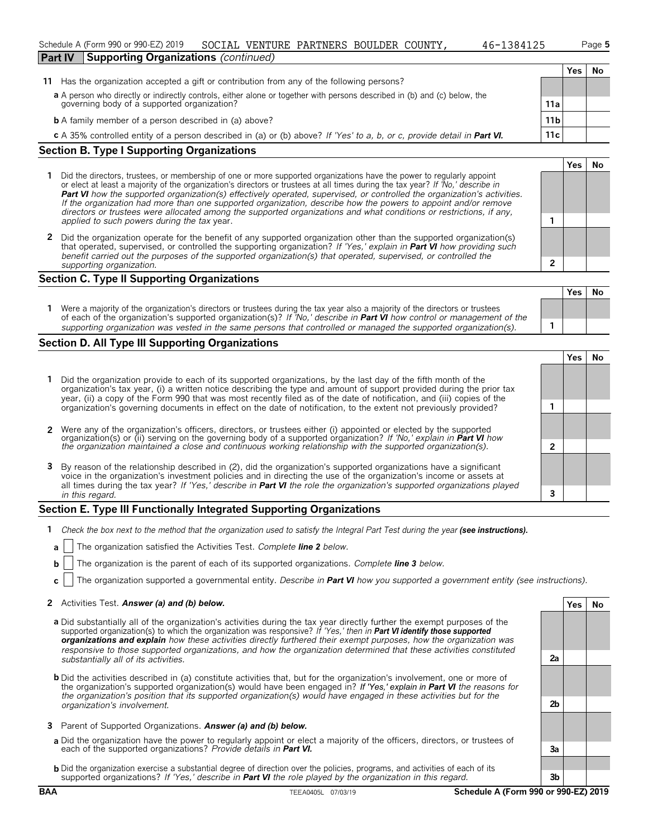| <b>Part IV</b>                                                                                                            | <b>Supporting Organizations (continued)</b>                                                                                    |             |     |           |
|---------------------------------------------------------------------------------------------------------------------------|--------------------------------------------------------------------------------------------------------------------------------|-------------|-----|-----------|
|                                                                                                                           |                                                                                                                                |             | res | <b>Nc</b> |
| 11                                                                                                                        | Has the organization accepted a gift or contribution from any of the following persons?                                        |             |     |           |
| a A person who directly or indirectly controls, either alone or together with persons described in (b) and (c) below, the |                                                                                                                                |             |     |           |
|                                                                                                                           | governing body of a supported organization?                                                                                    |             |     |           |
|                                                                                                                           | <b>b</b> A family member of a person described in (a) above?                                                                   | 11 <b>b</b> |     |           |
|                                                                                                                           | c A 35% controlled entity of a person described in (a) or (b) above? If 'Yes' to a, b, or c, provide detail in <b>Part VI.</b> | 11c         |     |           |

Schedule A (Form 990 or 990-EZ) 2019 SOCIAL VENTURE PARTNERS BOULDER COUNTY, 46-1384125 Page **5** 

#### **Section B. Type I Supporting Organizations**

- **1** Did the directors, trustees, or membership of one or more supported organizations have the power to regularly appoint or elect at least a majority of the organization's directors or trustees at all times during the tax year? *If 'No,' describe in Part VI how the supported organization(s) effectively operated, supervised, or controlled the organization's activities. If the organization had more than one supported organization, describe how the powers to appoint and/or remove directors or trustees were allocated among the supported organizations and what conditions or restrictions, if any, applied to such powers during the tax* year. **1**
- **2** Did the organization operate for the benefit of any supported organization other than the supported organization(s) that operated, supervised, or controlled the supporting organization? *If 'Yes,' explain in Part VI how providing such benefit carried out the purposes of the supported organization(s) that operated, supervised, or controlled the supporting organization.* **2**

#### **Section C. Type II Supporting Organizations**

| Were a majority of the organization's directors or trustees during the tax year also a majority of the directors or trustees  | - 11 v | . |  |
|-------------------------------------------------------------------------------------------------------------------------------|--------|---|--|
| of each of the organization's supported organization(s)? If 'No,' describe in <b>Part VI</b> how control or management of the |        |   |  |
| supporting organization was vested in the same persons that controlled or managed the supported organization(s).              |        |   |  |

#### **Section D. All Type III Supporting Organizations**

|                                                                                                                                                                                                                                                                                                                                                                             |  | 'es |  |
|-----------------------------------------------------------------------------------------------------------------------------------------------------------------------------------------------------------------------------------------------------------------------------------------------------------------------------------------------------------------------------|--|-----|--|
| 1 Did the organization provide to each of its supported organizations, by the last day of the fifth month of the<br>organization's tax year, (i) a written notice describing the type and amount of support provided during the prior tax<br>year, (ii) a copy of the Form 990 that was most recently filed as of the date of notification, and (iii) copies of the         |  |     |  |
| organization's governing documents in effect on the date of notification, to the extent not previously provided?                                                                                                                                                                                                                                                            |  |     |  |
| 2 Were any of the organization's officers, directors, or trustees either (i) appointed or elected by the supported<br>organization(s) or (ii) serving on the governing body of a supported organization? If 'No,' explain in Part VI how                                                                                                                                    |  |     |  |
| the organization maintained a close and continuous working relationship with the supported organization(s).                                                                                                                                                                                                                                                                 |  |     |  |
| 3 By reason of the relationship described in (2), did the organization's supported organizations have a significant<br>voice in the organization's investment policies and in directing the use of the organization's income or assets at<br>all times during the tax year? If 'Yes,' describe in <b>Part VI</b> the role the organization's supported organizations played |  |     |  |
| in this regard.                                                                                                                                                                                                                                                                                                                                                             |  |     |  |

#### **Section E. Type III Functionally Integrated Supporting Organizations**

- **1** Check the box next to the method that the organization used to satisfy the Integral Part Test during the year (see instructions).
	- **a** The organization satisfied the Activities Test. *Complete line 2 below.*
	- **b** The organization is the parent of each of its supported organizations. *Complete line 3 below.*
	- **c** The organization supported a governmental entity. *Describe in Part VI how you supported a government entity (see instructions).*

#### **2** Activities Test. *Answer (a) and (b) below.* **Yes No**

- **a** Did substantially all of the organization's activities during the tax year directly further the exempt purposes of the supported organization(s) to which the organization was responsive? *If 'Yes,' then in Part VI identify those supported organizations and explain how these activities directly furthered their exempt purposes, how the organization was responsive to those supported organizations, and how the organization determined that these activities constituted substantially all of its activities.* **2a**
- **b** Did the activities described in (a) constitute activities that, but for the organization's involvement, one or more of the organization's supported organization(s) would have been engaged in? *If 'Yes,' explain in Part VI the reasons for the organization's position that its supported organization(s) would have engaged in these activities but for the organization's involvement.* **2b**
- **3** Parent of Supported Organizations. *Answer (a) and (b) below.*
- **a** Did the organization have the power to regularly appoint or elect a majority of the officers, directors, or trustees of each of the supported organizations? *Provide details in Part VI.* **3a**
- **b** Did the organization exercise a substantial degree of direction over the policies, programs, and activities of each of its supported organizations? *If 'Yes,' describe in Part VI the role played by the organization in this regard.* **3b**

**Yes No**

**Yes No**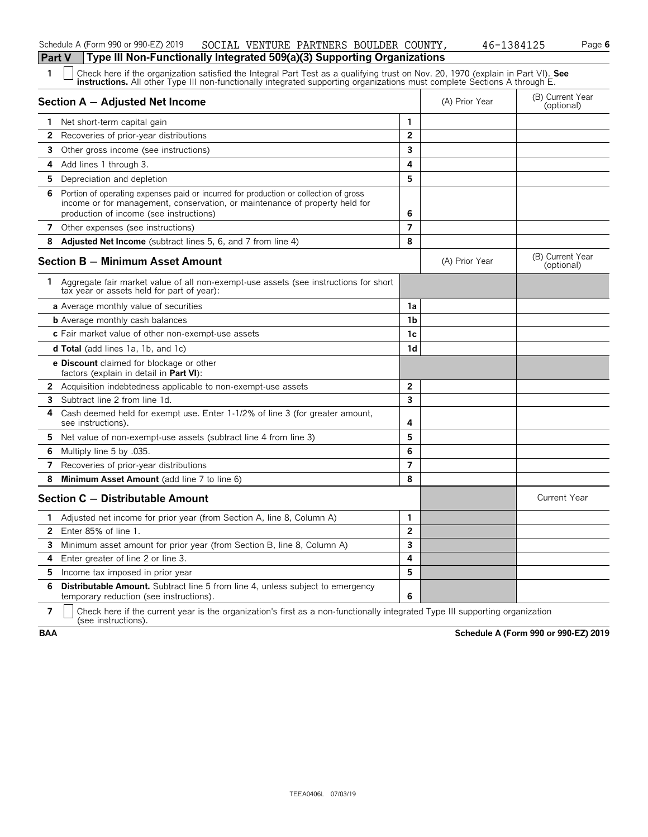| Schedule A (Form 990 or 990-EZ) 2019                                                            |  |  | SOCIAL VENTURE PARTNERS BOULDER COUNTY, |  |  | 46-1384125 | Page 6 |  |
|-------------------------------------------------------------------------------------------------|--|--|-----------------------------------------|--|--|------------|--------|--|
| <b>Type III Non-Functionally Integrated 509(a)(3) Supporting Organizations</b><br><b>Part V</b> |  |  |                                         |  |  |            |        |  |

| ı<br>ĸ |  |
|--------|--|
|        |  |

| 1            | Check here if the organization satisfied the Integral Part Test as a qualifying trust on Nov. 20, 1970 (explain in Part VI). See<br><b>instructions.</b> All other Type III non-functionally integrated supporting organizations must complete Sections A through E. |                |                |                                |
|--------------|----------------------------------------------------------------------------------------------------------------------------------------------------------------------------------------------------------------------------------------------------------------------|----------------|----------------|--------------------------------|
|              | Section A - Adjusted Net Income                                                                                                                                                                                                                                      |                | (A) Prior Year | (B) Current Year<br>(optional) |
| 1            | Net short-term capital gain                                                                                                                                                                                                                                          | 1              |                |                                |
| $\mathbf{2}$ | Recoveries of prior-year distributions                                                                                                                                                                                                                               | $\overline{2}$ |                |                                |
| 3            | Other gross income (see instructions)                                                                                                                                                                                                                                | 3              |                |                                |
| 4            | Add lines 1 through 3.                                                                                                                                                                                                                                               | 4              |                |                                |
| 5.           | Depreciation and depletion                                                                                                                                                                                                                                           | 5              |                |                                |
| 6            | Portion of operating expenses paid or incurred for production or collection of gross<br>income or for management, conservation, or maintenance of property held for<br>production of income (see instructions)                                                       | 6              |                |                                |
| 7            | Other expenses (see instructions)                                                                                                                                                                                                                                    | $\overline{7}$ |                |                                |
| 8            | <b>Adjusted Net Income</b> (subtract lines 5, 6, and 7 from line 4)                                                                                                                                                                                                  | 8              |                |                                |
|              | Section B - Minimum Asset Amount                                                                                                                                                                                                                                     |                | (A) Prior Year | (B) Current Year<br>(optional) |
| 1.           | Aggregate fair market value of all non-exempt-use assets (see instructions for short<br>tax year or assets held for part of year):                                                                                                                                   |                |                |                                |
|              | a Average monthly value of securities                                                                                                                                                                                                                                | 1a             |                |                                |
|              | <b>b</b> Average monthly cash balances                                                                                                                                                                                                                               | 1 <sub>b</sub> |                |                                |
|              | c Fair market value of other non-exempt-use assets                                                                                                                                                                                                                   | 1c             |                |                                |
|              | <b>d Total</b> (add lines 1a, 1b, and 1c)                                                                                                                                                                                                                            | 1d             |                |                                |
|              | e Discount claimed for blockage or other<br>factors (explain in detail in Part VI):                                                                                                                                                                                  |                |                |                                |
|              | <b>2</b> Acquisition indebtedness applicable to non-exempt-use assets                                                                                                                                                                                                | $\overline{2}$ |                |                                |
| 3            | Subtract line 2 from line 1d.                                                                                                                                                                                                                                        | 3              |                |                                |
| 4            | Cash deemed held for exempt use. Enter 1-1/2% of line 3 (for greater amount,<br>see instructions).                                                                                                                                                                   | 4              |                |                                |
| 5.           | Net value of non-exempt-use assets (subtract line 4 from line 3)                                                                                                                                                                                                     | 5              |                |                                |
| 6            | .035. Multiply line 5 by                                                                                                                                                                                                                                             | 6              |                |                                |
| 7            | Recoveries of prior-year distributions                                                                                                                                                                                                                               | $\overline{7}$ |                |                                |
| 8            | Minimum Asset Amount (add line 7 to line 6)                                                                                                                                                                                                                          | 8              |                |                                |
|              | Section C - Distributable Amount                                                                                                                                                                                                                                     |                |                | <b>Current Year</b>            |
| 1.           | Adjusted net income for prior year (from Section A, line 8, Column A)                                                                                                                                                                                                | 1              |                |                                |
| $\mathbf{2}$ | Enter 85% of line 1.                                                                                                                                                                                                                                                 | $\overline{2}$ |                |                                |
| 3            | Minimum asset amount for prior year (from Section B, line 8, Column A)                                                                                                                                                                                               | $\overline{3}$ |                |                                |
| 4            | Enter greater of line 2 or line 3.                                                                                                                                                                                                                                   | 4              |                |                                |
| 5            | Income tax imposed in prior year                                                                                                                                                                                                                                     | 5              |                |                                |
| 6            | Distributable Amount. Subtract line 5 from line 4, unless subject to emergency<br>temporary reduction (see instructions).                                                                                                                                            | 6              |                |                                |

**7**  $\mid$  Check here if the current year is the organization's first as a non-functionally integrated Type III supporting organization (see instructions).

**BAA Schedule A (Form 990 or 990-EZ) 2019**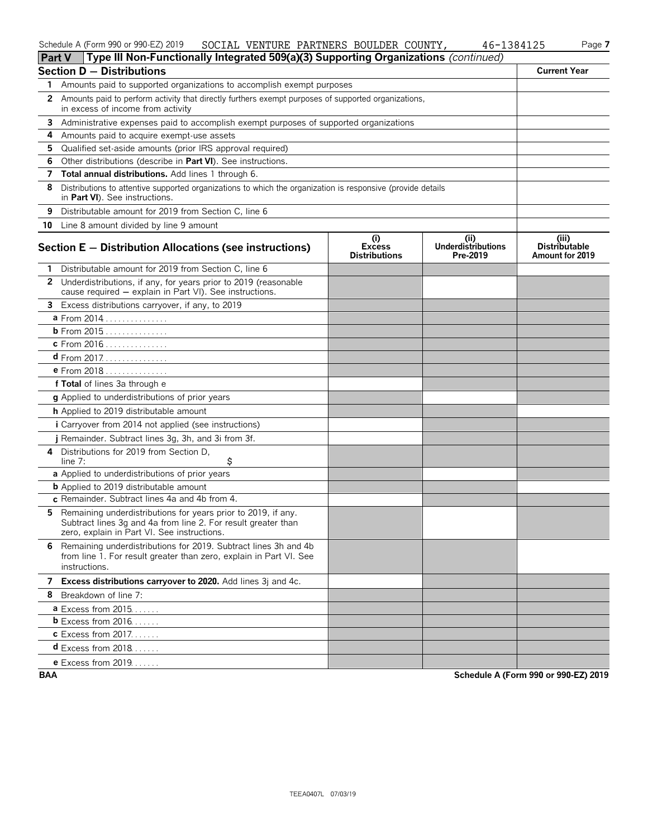#### Schedule A (Form 990 or 990-EZ) 2019 SOCIAL VENTURE PARTNERS BOULDER COUNTY, 46-1384125 Page **7**

| ۹ρ<br>2HC<br>×<br>۰, |
|----------------------|
|----------------------|

| <b>Part V</b>         | (Type III Non-Functionally Integrated 509(a)(3) Supporting Organizations (continued)                                                                                          |                                              |                                               |                                                  |
|-----------------------|-------------------------------------------------------------------------------------------------------------------------------------------------------------------------------|----------------------------------------------|-----------------------------------------------|--------------------------------------------------|
|                       | <b>Section D - Distributions</b>                                                                                                                                              |                                              |                                               | <b>Current Year</b>                              |
| 1                     | Amounts paid to supported organizations to accomplish exempt purposes                                                                                                         |                                              |                                               |                                                  |
| $\mathbf{2}^{\prime}$ | Amounts paid to perform activity that directly furthers exempt purposes of supported organizations,<br>in excess of income from activity                                      |                                              |                                               |                                                  |
| 3                     | Administrative expenses paid to accomplish exempt purposes of supported organizations                                                                                         |                                              |                                               |                                                  |
| 4                     | Amounts paid to acquire exempt-use assets                                                                                                                                     |                                              |                                               |                                                  |
| 5.                    | Qualified set-aside amounts (prior IRS approval required)                                                                                                                     |                                              |                                               |                                                  |
| 6                     | Other distributions (describe in Part VI). See instructions.                                                                                                                  |                                              |                                               |                                                  |
| 7                     | Total annual distributions. Add lines 1 through 6.                                                                                                                            |                                              |                                               |                                                  |
| 8                     | Distributions to attentive supported organizations to which the organization is responsive (provide details<br>in Part VI). See instructions.                                 |                                              |                                               |                                                  |
| 9                     | Distributable amount for 2019 from Section C, line 6                                                                                                                          |                                              |                                               |                                                  |
|                       | 10 Line 8 amount divided by line 9 amount                                                                                                                                     |                                              |                                               |                                                  |
|                       | Section E - Distribution Allocations (see instructions)                                                                                                                       | (i)<br><b>Excess</b><br><b>Distributions</b> | (ii)<br><b>Underdistributions</b><br>Pre-2019 | (iii)<br><b>Distributable</b><br>Amount for 2019 |
|                       | Distributable amount for 2019 from Section C, line 6                                                                                                                          |                                              |                                               |                                                  |
|                       | 2 Underdistributions, if any, for years prior to 2019 (reasonable<br>cause required - explain in Part VI). See instructions.                                                  |                                              |                                               |                                                  |
| 3                     | Excess distributions carryover, if any, to 2019                                                                                                                               |                                              |                                               |                                                  |
|                       | a From 2014                                                                                                                                                                   |                                              |                                               |                                                  |
|                       | <b>b</b> From 2015                                                                                                                                                            |                                              |                                               |                                                  |
|                       | c From 2016                                                                                                                                                                   |                                              |                                               |                                                  |
|                       | <b>d</b> From 2017.                                                                                                                                                           |                                              |                                               |                                                  |
|                       | <b>e</b> From 2018                                                                                                                                                            |                                              |                                               |                                                  |
|                       | f Total of lines 3a through e                                                                                                                                                 |                                              |                                               |                                                  |
|                       | g Applied to underdistributions of prior years                                                                                                                                |                                              |                                               |                                                  |
|                       | h Applied to 2019 distributable amount                                                                                                                                        |                                              |                                               |                                                  |
|                       | i Carryover from 2014 not applied (see instructions)                                                                                                                          |                                              |                                               |                                                  |
|                       | j Remainder. Subtract lines 3g, 3h, and 3i from 3f.                                                                                                                           |                                              |                                               |                                                  |
| 4                     | Distributions for 2019 from Section D.<br>\$<br>line $7:$                                                                                                                     |                                              |                                               |                                                  |
|                       | a Applied to underdistributions of prior years                                                                                                                                |                                              |                                               |                                                  |
|                       | <b>b</b> Applied to 2019 distributable amount                                                                                                                                 |                                              |                                               |                                                  |
|                       | c Remainder. Subtract lines 4a and 4b from 4.                                                                                                                                 |                                              |                                               |                                                  |
| 5.                    | Remaining underdistributions for years prior to 2019, if any.<br>Subtract lines 3g and 4a from line 2. For result greater than<br>zero, explain in Part VI. See instructions. |                                              |                                               |                                                  |
|                       | 6 Remaining underdistributions for 2019. Subtract lines 3h and 4b<br>from line 1. For result greater than zero, explain in Part VI. See<br>instructions.                      |                                              |                                               |                                                  |
|                       | 7 Excess distributions carryover to 2020. Add lines 3j and 4c.                                                                                                                |                                              |                                               |                                                  |
|                       | 8 Breakdown of line 7:                                                                                                                                                        |                                              |                                               |                                                  |
|                       | <b>a</b> Excess from $2015$                                                                                                                                                   |                                              |                                               |                                                  |
|                       | <b>b</b> Excess from 2016                                                                                                                                                     |                                              |                                               |                                                  |
|                       | <b>c</b> Excess from 2017.                                                                                                                                                    |                                              |                                               |                                                  |
|                       | <b>d</b> Excess from 2018                                                                                                                                                     |                                              |                                               |                                                  |
|                       | e Excess from 2019.                                                                                                                                                           |                                              |                                               |                                                  |

**BAA Schedule A (Form 990 or 990-EZ) 2019**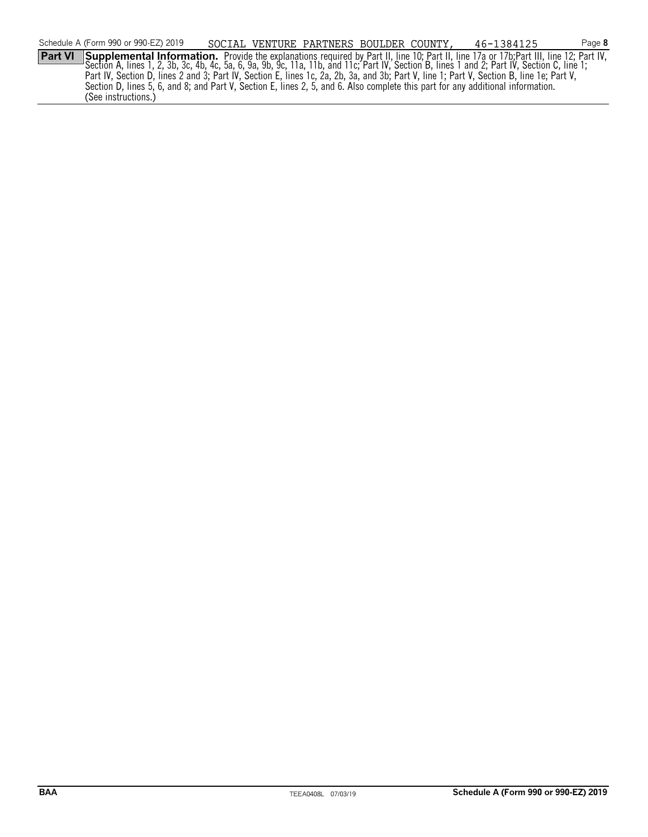Section D, lines 5, 6, and 8; and Part V, Section E, lines 2, 5, and 6. Also complete this part for any additional information.

(See instructions.)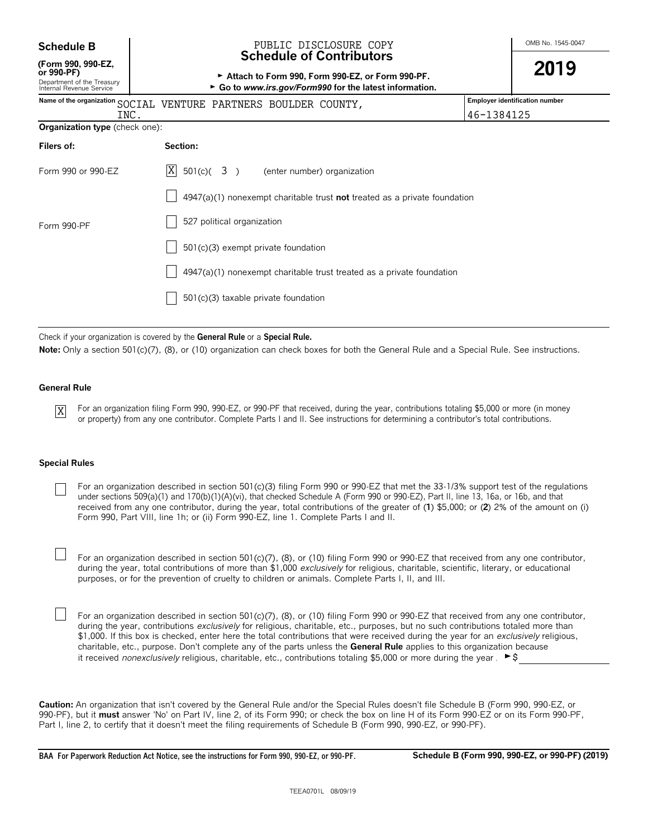**(Form 990, 990-EZ,**

#### Department of the Treasury

#### OMB No. 1545-0047 **Schedule B** PUBLIC DISCLOSURE COPY **Schedule of Contributors**

**a** Attach to Form 990, Form 990-EZ, or Form 990-PF. **2019** 

| Department of the Freasury<br>Internal Revenue Service             | ► Go to www.irs.gov/Form990 for the latest information.                            |                                |  |  |  |
|--------------------------------------------------------------------|------------------------------------------------------------------------------------|--------------------------------|--|--|--|
| Name of the organization SOCIAL VENTURE PARTNERS BOULDER COUNTY,   |                                                                                    | Employer identification number |  |  |  |
| INC.                                                               |                                                                                    | 46-1384125                     |  |  |  |
| <b>Organization type</b> (check one):                              |                                                                                    |                                |  |  |  |
| Filers of:                                                         | Section:                                                                           |                                |  |  |  |
| $ X $ 501(c)( 3) (enter number) organization<br>Form 990 or 990-EZ |                                                                                    |                                |  |  |  |
|                                                                    | $4947(a)(1)$ nonexempt charitable trust <b>not</b> treated as a private foundation |                                |  |  |  |
| Form 990-PF                                                        | 527 political organization                                                         |                                |  |  |  |
|                                                                    | 501(c)(3) exempt private foundation                                                |                                |  |  |  |
|                                                                    | 4947(a)(1) nonexempt charitable trust treated as a private foundation              |                                |  |  |  |
|                                                                    | 501(c)(3) taxable private foundation                                               |                                |  |  |  |
|                                                                    |                                                                                    |                                |  |  |  |

Check if your organization is covered by the **General Rule** or a **Special Rule.**

Note: Only a section 501(c)(7), (8), or (10) organization can check boxes for both the General Rule and a Special Rule. See instructions.

#### **General Rule**

X

For an organization filing Form 990, 990-EZ, or 990-PF that received, during the year, contributions totaling \$5,000 or more (in money or property) from any one contributor. Complete Parts I and II. See instructions for determining a contributor's total contributions.

#### **Special Rules**

For an organization described in section 501(c)(3) filing Form 990 or 990-EZ that met the 33-1/3% support test of the regulations under sections 509(a)(1) and 170(b)(1)(A)(vi), that checked Schedule A (Form 990 or 990-EZ), Part II, line 13, 16a, or 16b, and that received from any one contributor, during the year, total contributions of the greater of (**1**) \$5,000; or (**2**) 2% of the amount on (i) Form 990, Part VIII, line 1h; or (ii) Form 990-EZ, line 1. Complete Parts I and II.

For an organization described in section 501(c)(7), (8), or (10) filing Form 990 or 990-EZ that received from any one contributor, during the year, total contributions of more than \$1,000 *exclusively* for religious, charitable, scientific, literary, or educational purposes, or for the prevention of cruelty to children or animals. Complete Parts I, II, and III.

For an organization described in section 501(c)(7), (8), or (10) filing Form 990 or 990-EZ that received from any one contributor, during the year, contributions *exclusively* for religious, charitable, etc., purposes, but no such contributions totaled more than \$1,000. If this box is checked, enter here the total contributions that were received during the year for an *exclusively* religious, charitable, etc., purpose. Don't complete any of the parts unless the **General Rule** applies to this organization because it received *nonexclusively* religious, charitable, etc., contributions totaling \$5,000 or more during the year .  $\blacktriangleright$ \$

**Caution:** An organization that isn't covered by the General Rule and/or the Special Rules doesn't file Schedule B (Form 990, 990-EZ, or 990-PF), but it **must** answer 'No' on Part IV, line 2, of its Form 990; or check the box on line H of its Form 990-EZ or on its Form 990-PF, Part I, line 2, to certify that it doesn't meet the filing requirements of Schedule B (Form 990, 990-EZ, or 990-PF).

**BAA For Paperwork Reduction Act Notice, see the instructions for Form 990, 990-EZ, or 990-PF. Schedule B (Form 990, 990-EZ, or 990-PF) (2019)**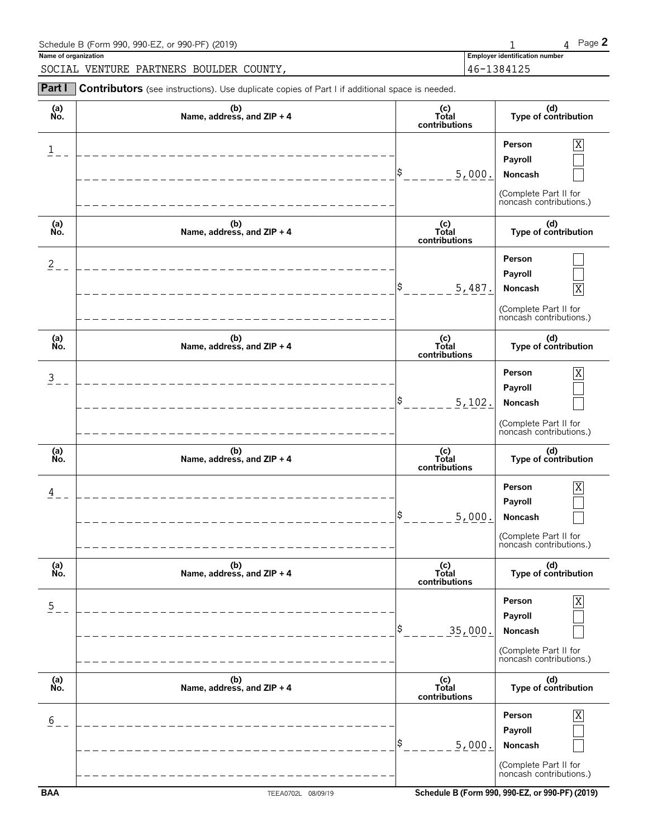| Schedule B (Form 990, 990-EZ, or 990-PF) (2019)                                                              |                                       | Page 2 |
|--------------------------------------------------------------------------------------------------------------|---------------------------------------|--------|
| Name of organization                                                                                         | <b>Employer identification number</b> |        |
| SOCIAL VENTURE PARTNERS BOULDER COUNTY,                                                                      | 46-1384125                            |        |
| <b>Part I</b> Contributors (see instructions). Use duplicate copies of Part I if additional space is needed. |                                       |        |

| (a)<br>No.     | (b)<br>Name, address, and ZIP + 4   | (c)<br>Total<br>contributions | (d)<br>Type of contribution                                                           |
|----------------|-------------------------------------|-------------------------------|---------------------------------------------------------------------------------------|
| 1              |                                     | \$<br>5,000.                  | Person<br>Χ<br>Payroll<br>Noncash<br>(Complete Part II for<br>noncash contributions.) |
| (a)<br>No.     | (b)<br>Name, address, and ZIP + 4   | (c)<br>Total<br>contributions | (d)<br>Type of contribution                                                           |
| $\overline{2}$ |                                     | \$<br>5,487.                  | Person<br>Payroll<br>X<br>Noncash<br>(Complete Part II for<br>noncash contributions.) |
| (a)<br>No.     | (b)<br>Name, address, and ZIP + 4   | (c)<br>Total<br>contributions | (d)<br>Type of contribution                                                           |
| $\overline{3}$ |                                     | \$<br>5,102.                  | Person<br>Χ<br>Payroll<br>Noncash<br>(Complete Part II for<br>noncash contributions.) |
|                |                                     |                               |                                                                                       |
| (a)<br>No.     | (b)<br>Name, address, and ZIP + 4   | (c)<br>Total<br>contributions | (d)<br>Type of contribution                                                           |
| 4              |                                     | \$<br>5,000.                  | Person<br>Χ<br>Payroll<br>Noncash<br>(Complete Part II for<br>noncash contributions.) |
| (a)<br>No.     | (b)<br>Name, address, and ZIP + 4   | (c)<br>Total<br>contributions | (d)<br>Type of contribution                                                           |
| $\overline{5}$ |                                     | \$<br>35,000.                 | Person<br>Χ<br>Payroll<br>Noncash<br>(Complete Part II for<br>noncash contributions.) |
| (a)<br>No.     | (b)<br>Name, address, and $ZIP + 4$ | (c)<br>Total<br>contributions | (d)<br>Type of contribution                                                           |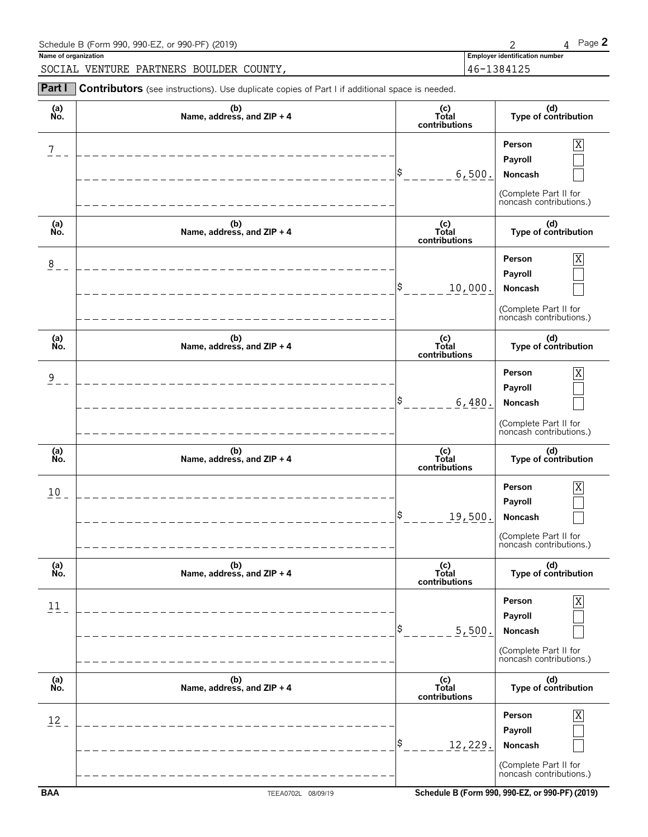| Schedule B (Form 990, 990-EZ, or 990-PF) (2019)                                                              |                                       | Page 2 |
|--------------------------------------------------------------------------------------------------------------|---------------------------------------|--------|
| Name of organization                                                                                         | <b>Employer identification number</b> |        |
| SOCIAL VENTURE PARTNERS BOULDER COUNTY,                                                                      | 46-1384125                            |        |
| <b>Part I</b> Contributors (see instructions). Use duplicate copies of Part I if additional space is needed. |                                       |        |

| (a)<br>No.     | (b)<br>Name, address, and ZIP + 4 | (c)<br>Total<br>contributions                                 | (d)<br>Type of contribution                                                           |
|----------------|-----------------------------------|---------------------------------------------------------------|---------------------------------------------------------------------------------------|
| $\overline{1}$ |                                   | S<br>6,500.                                                   | X<br>Person<br>Payroll<br>Noncash<br>(Complete Part II for<br>noncash contributions.) |
| (a)<br>No.     | (b)<br>Name, address, and ZIP + 4 | (c)<br>Total<br>contributions                                 | (d)<br>Type of contribution                                                           |
| $\overline{8}$ |                                   | 10,000.                                                       | Χ<br>Person<br>Payroll<br>Noncash<br>(Complete Part II for<br>noncash contributions.) |
| (a)<br>No.     | (b)<br>Name, address, and ZIP + 4 | (c)<br>Total<br>contributions                                 | (d)<br>Type of contribution                                                           |
| $\overline{9}$ |                                   | 6,480.                                                        | X<br>Person<br>Payroll<br>Noncash<br>(Complete Part II for<br>noncash contributions.) |
| (a)<br>No.     | (b)<br>Name, address, and ZIP + 4 | $\begin{matrix}\n(c) \\ Total\n\end{matrix}$<br>contributions | (d)<br>Type of contribution                                                           |
| 10             |                                   | S<br>19,500.                                                  | Person<br>Χ<br>Payroll<br>Noncash<br>(Complete Part II for<br>noncash contributions.) |
| (a)<br>No.     | (b)<br>Name, address, and ZIP + 4 | (c)<br>Total<br>contributions                                 | (d)<br>Type of contribution                                                           |
| 11             |                                   | \$<br>5,500.                                                  | Person<br>Χ<br>Payroll<br>Noncash<br>(Complete Part II for<br>noncash contributions.) |
| (a)<br>No.     | (b)<br>Name, address, and ZIP + 4 | (c)<br>Total<br>contributions                                 | (d)<br>Type of contribution                                                           |
|                |                                   |                                                               |                                                                                       |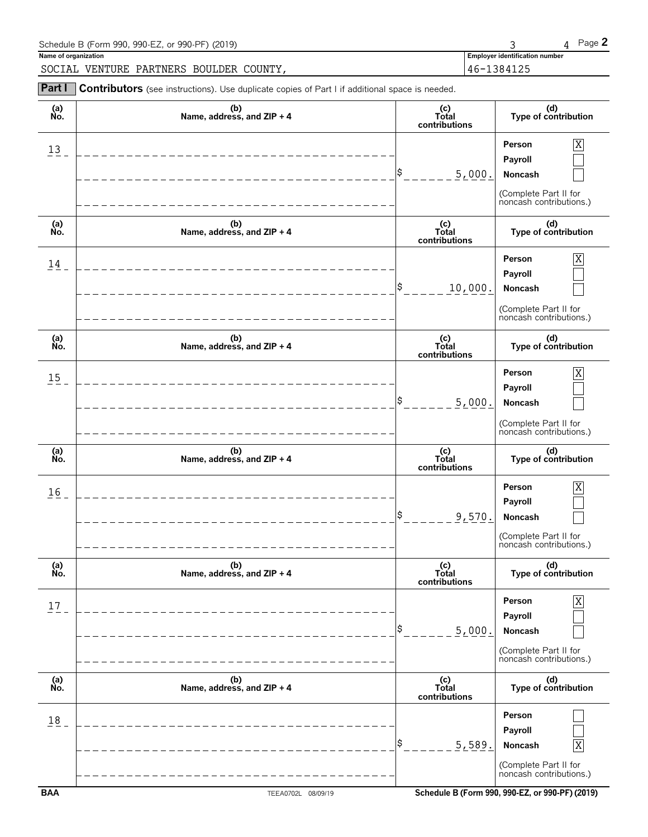| Schedule B (Form 990, 990-EZ, or 990-PF) (2019)                                                              |                                       | Page 2 |
|--------------------------------------------------------------------------------------------------------------|---------------------------------------|--------|
| Name of organization                                                                                         | <b>Employer identification number</b> |        |
| SOCIAL VENTURE PARTNERS BOULDER COUNTY,                                                                      | 46-1384125                            |        |
| <b>Part I</b> Contributors (see instructions). Use duplicate copies of Part I if additional space is needed. |                                       |        |

| (a)<br>No. | (b)<br>Name, address, and ZIP + 4 | (c)<br>Total<br>contributions | (d)<br>Type of contribution                                                                        |
|------------|-----------------------------------|-------------------------------|----------------------------------------------------------------------------------------------------|
| 13         |                                   | \$<br>5,000.                  | $\overline{X}$<br>Person<br>Payroll<br>Noncash<br>(Complete Part II for<br>noncash contributions.) |
| (a)<br>No. | (b)<br>Name, address, and ZIP + 4 | (c)<br>Total<br>contributions | (d)<br>Type of contribution                                                                        |
| 14         |                                   | \$<br>10,000.                 | Person<br>Χ<br>Payroll<br>Noncash<br>(Complete Part II for<br>noncash contributions.)              |
| (a)<br>No. | (b)<br>Name, address, and ZIP + 4 | (c)<br>Total<br>contributions | (d)<br>Type of contribution                                                                        |
| 15         |                                   | \$<br>5,000.                  | Person<br>Χ<br>Payroll<br>Noncash<br>(Complete Part II for<br>noncash contributions.)              |
| (a)<br>No. | (b)<br>Name, address, and ZIP + 4 | (c)<br>Total<br>contributions | (d)<br>Type of contribution                                                                        |
| 16         |                                   | \$<br>9,570.                  | Person<br>Χ<br>Payroll<br>Noncash<br>(Complete Part II for<br>noncash contributions.)              |
| (a)<br>No. | (b)<br>Name, address, and ZIP + 4 | C<br>Total<br>contributions   | (d)<br>Type of contribution                                                                        |
| 17         |                                   | \$<br>5,000.                  | Person<br>Χ<br>Payroll<br>Noncash<br>(Complete Part II for<br>noncash contributions.)              |
| (a)<br>No. | (b)<br>Name, address, and ZIP + 4 | (c)<br>Total<br>contributions | (d)<br>Type of contribution                                                                        |
| 18         |                                   | \$<br>5,589.                  | Person<br>Payroll<br>Noncash<br>(Complete Part II for<br>noncash contributions.)                   |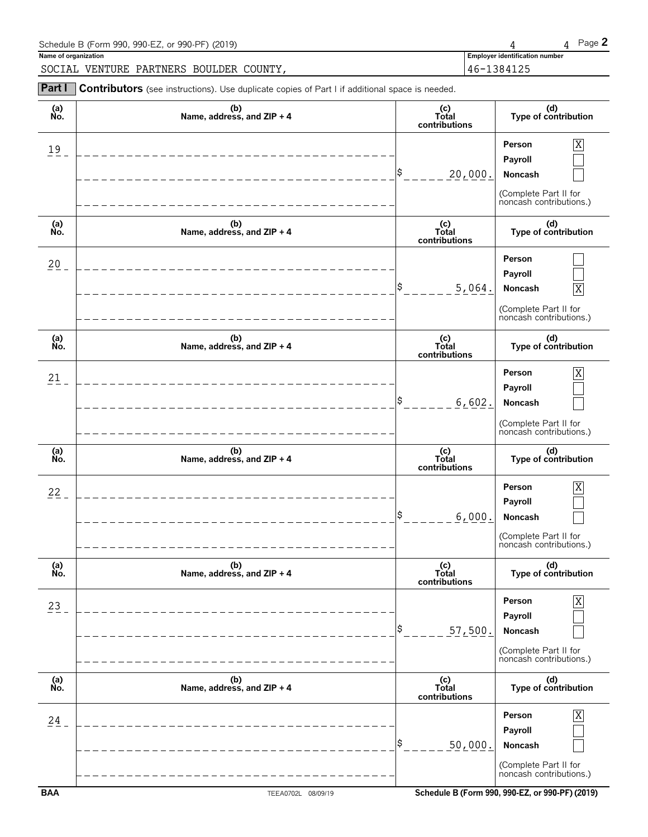| Schedule B (Form 990, 990-EZ, or 990-PF) (2019)                                                              |                                       | Page 2 |
|--------------------------------------------------------------------------------------------------------------|---------------------------------------|--------|
| Name of organization                                                                                         | <b>Employer identification number</b> |        |
| SOCIAL VENTURE PARTNERS BOULDER COUNTY,                                                                      | 46-1384125                            |        |
| <b>Part I</b> Contributors (see instructions). Use duplicate copies of Part I if additional space is needed. |                                       |        |

| (a)<br>No. | (b)<br>Name, address, and ZIP + 4 | (c)<br>Total<br>contributions | (d)<br>Type of contribution                                                                               |
|------------|-----------------------------------|-------------------------------|-----------------------------------------------------------------------------------------------------------|
| 19         |                                   | Ş<br>20,000.                  | Person<br>X<br>Payroll<br>Noncash<br>(Complete Part II for<br>noncash contributions.)                     |
| (a)<br>No. | (b)<br>Name, address, and ZIP + 4 | (c)<br>Total<br>contributions | (d)<br>Type of contribution                                                                               |
| 20         |                                   | \$<br>5,064.                  | Person<br>Payroll<br>$\overline{\text{X}}$<br>Noncash<br>(Complete Part II for<br>noncash contributions.) |
| (a)<br>No. | (b)<br>Name, address, and ZIP + 4 | (c)<br>Total<br>contributions | (d)<br>Type of contribution                                                                               |
| 21         |                                   | \$<br>6,602.                  | Person<br>Χ<br>Payroll<br>Noncash<br>(Complete Part II for<br>noncash contributions.)                     |
|            | (b)                               |                               |                                                                                                           |
| (a)<br>No. | Name, address, and ZIP + 4        | (c)<br>Total<br>contributions | (d)<br>Type of contribution                                                                               |
| 22         |                                   | \$<br>6,000.                  | Person<br>Χ<br>Payroll<br>Noncash<br>(Complete Part II for<br>noncash contributions.)                     |
| (a)<br>No. | (b)<br>Name, address, and ZIP + 4 | (c)<br>Total<br>contributions | (d)<br>Type of contribution                                                                               |
| 23         |                                   | \$<br>57,500.                 | Person<br>X<br>Payroll<br>Noncash<br>(Complete Part II for<br>noncash contributions.)                     |
| (a)<br>No. | (b)<br>Name, address, and ZIP + 4 | (c)<br>Total<br>contributions | (d)<br>Type of contribution                                                                               |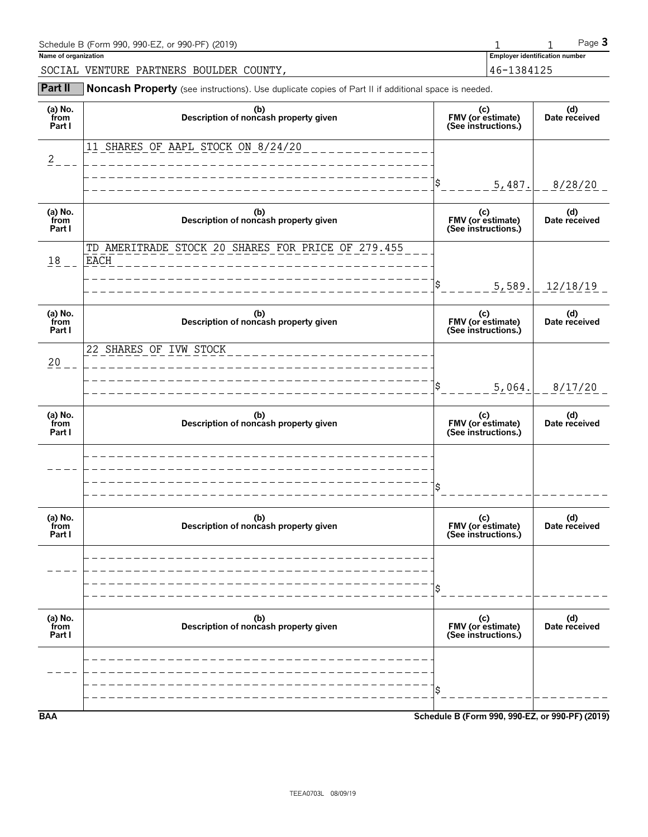| Schedule B (Form 990, 990-EZ, or 990-PF) (2019) |                                  | Page 3 |
|-------------------------------------------------|----------------------------------|--------|
| Name of organization                            | I Employer identification number |        |
| SOCIAL<br>VENTURE PARTNERS BOULDER COUNTY,      | 46-1384125                       |        |

**Part II** Noncash Property (see instructions). Use duplicate copies of Part II if additional space is needed.

| (a) No.<br>from<br>Part I | (b)<br>Description of noncash property given                      | c)<br>FMV (or estimate)<br>(See instructions.)  | (d)<br>Date received |
|---------------------------|-------------------------------------------------------------------|-------------------------------------------------|----------------------|
| $\overline{2}$            | 11 SHARES OF AAPL STOCK ON 8/24/20                                |                                                 |                      |
|                           |                                                                   | 5,487.                                          | 8/28/20              |
| (a) No.<br>from<br>Part I | (b)<br>Description of noncash property given                      | (c)<br>FMV (or estimate)<br>(See instructions.) | (d)<br>Date received |
| $\frac{18}{10}$           | TD AMERITRADE STOCK 20 SHARES FOR PRICE OF 279.455<br><b>EACH</b> |                                                 |                      |
|                           |                                                                   | 5,589.                                          | 12/18/19             |
| (a) No.<br>from<br>Part I | (b)<br>Description of noncash property given                      | (c)<br>FMV (or estimate)<br>(See instructions.) | (d)<br>Date received |
| 20                        | 22 SHARES OF IVW STOCK                                            |                                                 |                      |
|                           |                                                                   | 5,064.                                          | 8/17/20              |
| (a) No.<br>from<br>Part I | (b)<br>Description of noncash property given                      | (c)<br>FMV (or estimate)<br>(See instructions.) | (d)<br>Date received |
|                           |                                                                   |                                                 |                      |
|                           |                                                                   |                                                 |                      |
| (a) No.<br>from<br>Part I | (b)<br>Description of noncash property given                      | c)<br>FMV (or estimate)<br>(See instructions.)  | (d)<br>Date received |
|                           |                                                                   |                                                 |                      |
|                           |                                                                   |                                                 |                      |
| (a) $No.$ from<br>Part I  | (b)<br>Description of noncash property given                      | (c)<br>FMV (or estimate)<br>(See instructions.) | (d)<br>Date received |
|                           |                                                                   |                                                 |                      |
|                           |                                                                   |                                                 |                      |
| <b>BAA</b>                |                                                                   | Schedule B (Form 990, 990-EZ, or 990-PF) (2019) |                      |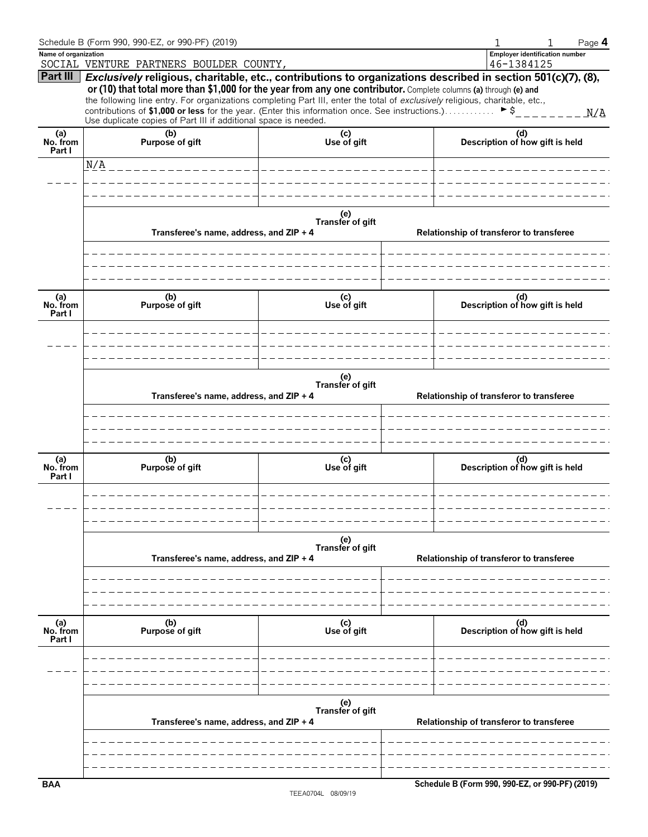|                           | Schedule B (Form 990, 990-EZ, or 990-PF) (2019)                                                                                                                                                                                                                                                                                                                                                                                              |                                        |  | Page 4                                                                                                              |
|---------------------------|----------------------------------------------------------------------------------------------------------------------------------------------------------------------------------------------------------------------------------------------------------------------------------------------------------------------------------------------------------------------------------------------------------------------------------------------|----------------------------------------|--|---------------------------------------------------------------------------------------------------------------------|
| Name of organization      | SOCIAL VENTURE PARTNERS BOULDER COUNTY,                                                                                                                                                                                                                                                                                                                                                                                                      |                                        |  | Employer identification number<br>46-1384125                                                                        |
|                           | Part III Exclusively religious, charitable, etc., contributions to organizations described in section 501(c)(7), (8),<br>or (10) that total more than \$1,000 for the year from any one contributor. Complete columns (a) through (e) and<br>the following line entry. For organizations completing Part III, enter the total of exclusively religious, charitable, etc.,<br>Use duplicate copies of Part III if additional space is needed. |                                        |  | contributions of \$1,000 or less for the year. (Enter this information once. See instructions.) $\triangleright$ \$ |
| (a)<br>No. from<br>Part I | (b)<br>Purpose of gift                                                                                                                                                                                                                                                                                                                                                                                                                       | (d)<br>Description of how gift is held |  |                                                                                                                     |
|                           |                                                                                                                                                                                                                                                                                                                                                                                                                                              |                                        |  |                                                                                                                     |
|                           |                                                                                                                                                                                                                                                                                                                                                                                                                                              |                                        |  |                                                                                                                     |
|                           | Transferee's name, address, and ZIP + 4                                                                                                                                                                                                                                                                                                                                                                                                      | (e)<br>Transfer of gift                |  | Relationship of transferor to transferee                                                                            |
| (a)<br>No. from<br>Part I | (b)<br>Purpose of gift                                                                                                                                                                                                                                                                                                                                                                                                                       | (c)<br>Use of gift                     |  | (d)<br>Description of how gift is held                                                                              |
|                           | Transferee's name, address, and ZIP + 4                                                                                                                                                                                                                                                                                                                                                                                                      | (e)<br>Transfer of gift                |  | Relationship of transferor to transferee                                                                            |
| (a)<br>No. from<br>Part I | (b)<br>Purpose of gift                                                                                                                                                                                                                                                                                                                                                                                                                       | (c)<br>Use of gift                     |  | (d)<br>Description of how gift is held                                                                              |
|                           | Transferee's name, address, and ZIP + 4                                                                                                                                                                                                                                                                                                                                                                                                      | (e)<br>Transfer of gift                |  | Relationship of transferor to transferee                                                                            |
| (a)<br>No. from<br>Part I | (b)<br>Purpose of gift                                                                                                                                                                                                                                                                                                                                                                                                                       | (c)<br>Use of gift                     |  | (d)<br>Description of how gift is held                                                                              |
|                           |                                                                                                                                                                                                                                                                                                                                                                                                                                              |                                        |  |                                                                                                                     |
|                           | Transferee's name, address, and ZIP + 4                                                                                                                                                                                                                                                                                                                                                                                                      | (e)<br>Transfer of gift                |  | Relationship of transferor to transferee                                                                            |
| <b>BAA</b>                |                                                                                                                                                                                                                                                                                                                                                                                                                                              |                                        |  | Schedule B (Form 990, 990-EZ, or 990-PF) (2019)                                                                     |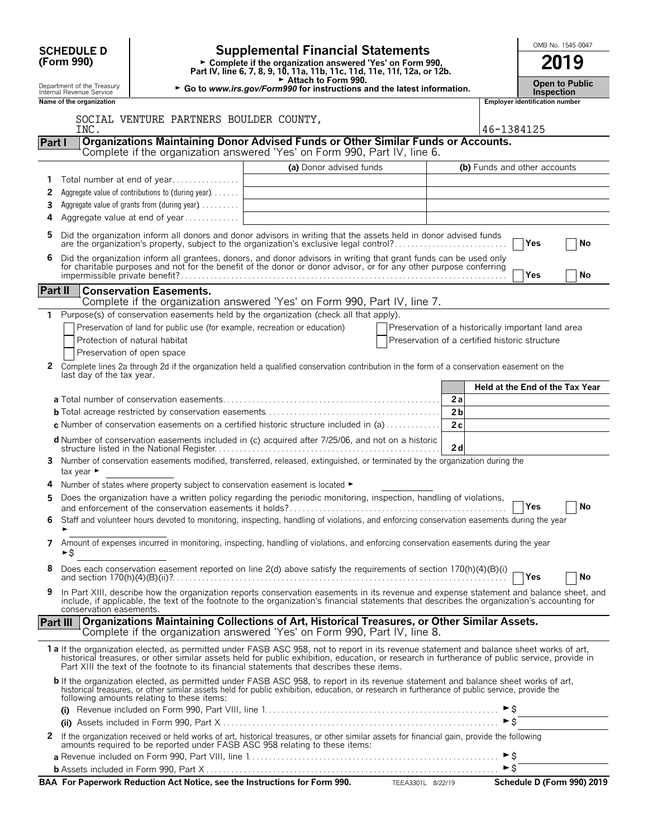|                 |                                                        |                                                                                                             |                                                                                                                                                                                                                                                                                                                                                                                        |                                                    |                |                                | OMB No. 1545-0047                          |      |    |
|-----------------|--------------------------------------------------------|-------------------------------------------------------------------------------------------------------------|----------------------------------------------------------------------------------------------------------------------------------------------------------------------------------------------------------------------------------------------------------------------------------------------------------------------------------------------------------------------------------------|----------------------------------------------------|----------------|--------------------------------|--------------------------------------------|------|----|
|                 | <b>SCHEDULE D</b><br>(Form 990)                        |                                                                                                             | <b>Supplemental Financial Statements</b><br>► Complete if the organization answered 'Yes' on Form 990,<br>Part IV, line 6, 7, 8, 9, 10, 11a, 11b, 11c, 11d, 11e, 11f, 12a, or 12b.                                                                                                                                                                                                     |                                                    |                |                                |                                            | 2019 |    |
|                 | Department of the Treasury<br>Internal Revenue Service |                                                                                                             | Attach to Form 990.<br>► Go to www.irs.gov/Form990 for instructions and the latest information.                                                                                                                                                                                                                                                                                        |                                                    |                |                                | <b>Open to Public</b><br><b>Inspection</b> |      |    |
|                 | Name of the organization                               |                                                                                                             |                                                                                                                                                                                                                                                                                                                                                                                        |                                                    |                |                                | <b>Employer identification number</b>      |      |    |
|                 | INC.                                                   | SOCIAL VENTURE PARTNERS BOULDER COUNTY,                                                                     |                                                                                                                                                                                                                                                                                                                                                                                        |                                                    |                |                                | 46-1384125                                 |      |    |
| Part I          |                                                        |                                                                                                             | Organizations Maintaining Donor Advised Funds or Other Similar Funds or Accounts.                                                                                                                                                                                                                                                                                                      |                                                    |                |                                |                                            |      |    |
|                 |                                                        |                                                                                                             | Complete if the organization answered 'Yes' on Form 990, Part IV, line 6.                                                                                                                                                                                                                                                                                                              |                                                    |                |                                |                                            |      |    |
|                 |                                                        |                                                                                                             | (a) Donor advised funds                                                                                                                                                                                                                                                                                                                                                                |                                                    |                |                                | (b) Funds and other accounts               |      |    |
|                 |                                                        | Total number at end of year                                                                                 |                                                                                                                                                                                                                                                                                                                                                                                        |                                                    |                |                                |                                            |      |    |
| 2               |                                                        | Aggregate value of contributions to (during year)                                                           |                                                                                                                                                                                                                                                                                                                                                                                        |                                                    |                |                                |                                            |      |    |
| 3               |                                                        | Aggregate value of grants from (during year)                                                                |                                                                                                                                                                                                                                                                                                                                                                                        |                                                    |                |                                |                                            |      |    |
| 4               |                                                        | Aggregate value at end of year                                                                              |                                                                                                                                                                                                                                                                                                                                                                                        |                                                    |                |                                |                                            |      |    |
| 5               |                                                        |                                                                                                             | Did the organization inform all donors and donor advisors in writing that the assets held in donor advised funds<br>are the organization's property, subject to the organization's exclusive legal control?                                                                                                                                                                            |                                                    |                |                                | Yes                                        |      | No |
| 6               |                                                        |                                                                                                             | Did the organization inform all grantees, donors, and donor advisors in writing that grant funds can be used only<br>for charitable purposes and not for the benefit of the donor or donor advisor, or for any other purpose conferring                                                                                                                                                |                                                    |                |                                |                                            |      |    |
|                 |                                                        |                                                                                                             |                                                                                                                                                                                                                                                                                                                                                                                        |                                                    |                |                                | Yes                                        |      | No |
| Part II         |                                                        | <b>Conservation Easements.</b>                                                                              |                                                                                                                                                                                                                                                                                                                                                                                        |                                                    |                |                                |                                            |      |    |
|                 |                                                        |                                                                                                             | Complete if the organization answered 'Yes' on Form 990, Part IV, line 7.                                                                                                                                                                                                                                                                                                              |                                                    |                |                                |                                            |      |    |
| 1.              |                                                        |                                                                                                             | Purpose(s) of conservation easements held by the organization (check all that apply).                                                                                                                                                                                                                                                                                                  | Preservation of a historically important land area |                |                                |                                            |      |    |
|                 |                                                        | Preservation of land for public use (for example, recreation or education)<br>Protection of natural habitat |                                                                                                                                                                                                                                                                                                                                                                                        | Preservation of a certified historic structure     |                |                                |                                            |      |    |
|                 |                                                        | Preservation of open space                                                                                  |                                                                                                                                                                                                                                                                                                                                                                                        |                                                    |                |                                |                                            |      |    |
| 2               |                                                        |                                                                                                             | Complete lines 2a through 2d if the organization held a qualified conservation contribution in the form of a conservation easement on the                                                                                                                                                                                                                                              |                                                    |                |                                |                                            |      |    |
|                 | last day of the tax year.                              |                                                                                                             |                                                                                                                                                                                                                                                                                                                                                                                        |                                                    |                |                                |                                            |      |    |
|                 |                                                        |                                                                                                             |                                                                                                                                                                                                                                                                                                                                                                                        |                                                    |                |                                | <b>Held at the End of the Tax Year</b>     |      |    |
|                 |                                                        |                                                                                                             |                                                                                                                                                                                                                                                                                                                                                                                        |                                                    | 2a             |                                |                                            |      |    |
|                 |                                                        |                                                                                                             |                                                                                                                                                                                                                                                                                                                                                                                        |                                                    | 2 <sub>b</sub> |                                |                                            |      |    |
|                 |                                                        |                                                                                                             | c Number of conservation easements on a certified historic structure included in (a)                                                                                                                                                                                                                                                                                                   |                                                    | 2c             |                                |                                            |      |    |
|                 |                                                        |                                                                                                             | <b>d</b> Number of conservation easements included in (c) acquired after 7/25/06, and not on a historic                                                                                                                                                                                                                                                                                |                                                    | 2d             |                                |                                            |      |    |
| 3.              | tax year $\blacktriangleright$                         |                                                                                                             | Number of conservation easements modified, transferred, released, extinguished, or terminated by the organization during the                                                                                                                                                                                                                                                           |                                                    |                |                                |                                            |      |    |
|                 |                                                        | Number of states where property subject to conservation easement is located ►                               |                                                                                                                                                                                                                                                                                                                                                                                        |                                                    |                |                                |                                            |      |    |
| 5               |                                                        |                                                                                                             | Does the organization have a written policy regarding the periodic monitoring, inspection, handling of violations,                                                                                                                                                                                                                                                                     |                                                    |                |                                |                                            |      | No |
| 6               |                                                        |                                                                                                             | Staff and volunteer hours devoted to monitoring, inspecting, handling of violations, and enforcing conservation easements during the year                                                                                                                                                                                                                                              |                                                    |                |                                |                                            |      |    |
| 7               | ►\$                                                    |                                                                                                             | Amount of expenses incurred in monitoring, inspecting, handling of violations, and enforcing conservation easements during the year                                                                                                                                                                                                                                                    |                                                    |                |                                |                                            |      |    |
| 8               |                                                        |                                                                                                             | Does each conservation easement reported on line 2(d) above satisfy the requirements of section $170(h)(4)(B)(i)$ ,                                                                                                                                                                                                                                                                    |                                                    |                |                                |                                            |      | No |
| 9               | conservation easements.                                |                                                                                                             | In Part XIII, describe how the organization reports conservation easements in its revenue and expense statement and balance sheet, and<br>include, if applicable, the text of the footnote to the organization's financial statements that describes the organization's accounting for                                                                                                 |                                                    |                |                                |                                            |      |    |
| <b>Part III</b> |                                                        |                                                                                                             | Organizations Maintaining Collections of Art, Historical Treasures, or Other Similar Assets.<br>Complete if the organization answered 'Yes' on Form 990, Part IV, line 8.                                                                                                                                                                                                              |                                                    |                |                                |                                            |      |    |
|                 |                                                        |                                                                                                             | 1a If the organization elected, as permitted under FASB ASC 958, not to report in its revenue statement and balance sheet works of art,<br>historical treasures, or other similar assets held for public exhibition, education, or research in furtherance of public service, provide in<br>Part XIII the text of the footnote to its financial statements that describes these items. |                                                    |                |                                |                                            |      |    |
|                 |                                                        | following amounts relating to these items:                                                                  | <b>b</b> If the organization elected, as permitted under FASB ASC 958, to report in its revenue statement and balance sheet works of art,<br>historical treasures, or other similar assets held for public exhibition, education, or research in furtherance of public service, provide the                                                                                            |                                                    |                |                                |                                            |      |    |
|                 |                                                        |                                                                                                             |                                                                                                                                                                                                                                                                                                                                                                                        |                                                    |                | ► \$                           |                                            |      |    |
|                 |                                                        |                                                                                                             |                                                                                                                                                                                                                                                                                                                                                                                        |                                                    |                | $\triangleright$ \$            |                                            |      |    |
| 2               |                                                        |                                                                                                             | If the organization received or held works of art, historical treasures, or other similar assets for financial gain, provide the following<br>amounts required to be reported under FASB ASC 958 relating to these items:                                                                                                                                                              |                                                    |                |                                |                                            |      |    |
|                 |                                                        |                                                                                                             |                                                                                                                                                                                                                                                                                                                                                                                        |                                                    |                | $\blacktriangleright$ \$<br>►Ŝ |                                            |      |    |
|                 |                                                        |                                                                                                             |                                                                                                                                                                                                                                                                                                                                                                                        |                                                    |                |                                |                                            |      |    |
|                 |                                                        |                                                                                                             | BAA For Paperwork Reduction Act Notice, see the Instructions for Form 990. TEEA3301L 8/22/19                                                                                                                                                                                                                                                                                           |                                                    |                |                                | Schedule D (Form 990) 2019                 |      |    |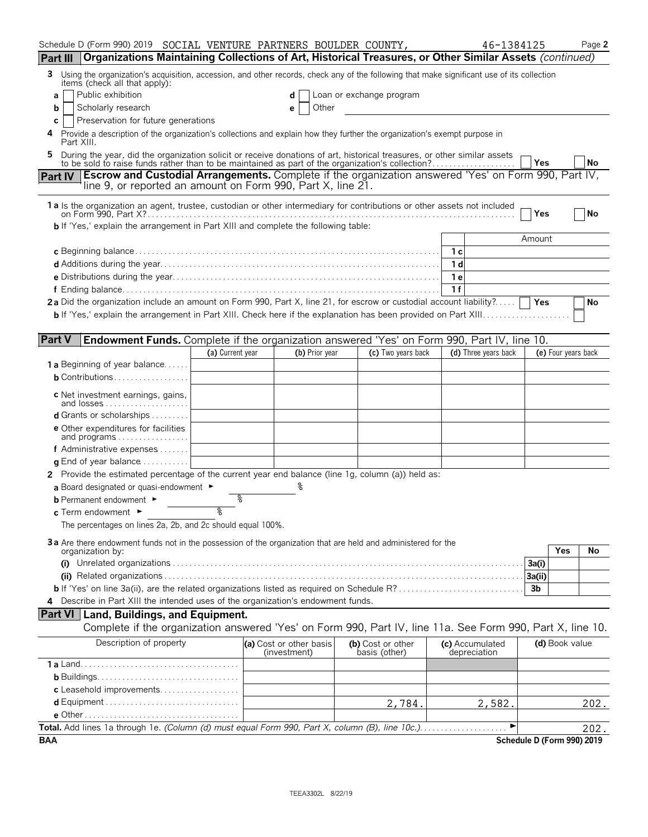| Schedule D (Form 990) 2019  SOCIAL VENTURE PARTNERS BOULDER COUNTY,<br>Organizations Maintaining Collections of Art, Historical Treasures, or Other Similar Assets (continued)                                                 |                  |                         |                |                          | 46-1384125           |                            | Page 2 |
|--------------------------------------------------------------------------------------------------------------------------------------------------------------------------------------------------------------------------------|------------------|-------------------------|----------------|--------------------------|----------------------|----------------------------|--------|
| <b>Part III</b>                                                                                                                                                                                                                |                  |                         |                |                          |                      |                            |        |
| Using the organization's acquisition, accession, and other records, check any of the following that make significant use of its collection<br>3<br>items (check all that apply):                                               |                  |                         |                |                          |                      |                            |        |
| Public exhibition<br>a                                                                                                                                                                                                         |                  | d                       |                | Loan or exchange program |                      |                            |        |
| Scholarly research<br>b                                                                                                                                                                                                        |                  | е                       | Other          |                          |                      |                            |        |
| Preservation for future generations<br>С                                                                                                                                                                                       |                  |                         |                |                          |                      |                            |        |
| Provide a description of the organization's collections and explain how they further the organization's exempt purpose in<br>4<br>Part XIII.                                                                                   |                  |                         |                |                          |                      |                            |        |
| During the year, did the organization solicit or receive donations of art, historical treasures, or other similar assets to be sold to raise funds rather than to be maintained as part of the organization's collection?<br>5 |                  |                         |                |                          |                      | Yes                        | No     |
| <b>Escrow and Custodial Arrangements.</b> Complete if the organization answered 'Yes' on Form 990, Part IV,<br><b>Part IV</b>                                                                                                  |                  |                         |                |                          |                      |                            |        |
| line 9, or reported an amount on Form 990, Part X, line 21.                                                                                                                                                                    |                  |                         |                |                          |                      |                            |        |
| 1 a Is the organization an agent, trustee, custodian or other intermediary for contributions or other assets not included                                                                                                      |                  |                         |                |                          |                      | Yes                        | No     |
| <b>b</b> If 'Yes,' explain the arrangement in Part XIII and complete the following table:                                                                                                                                      |                  |                         |                |                          |                      |                            |        |
|                                                                                                                                                                                                                                |                  |                         |                |                          |                      | Amount                     |        |
|                                                                                                                                                                                                                                |                  |                         |                |                          | 1 с                  |                            |        |
|                                                                                                                                                                                                                                |                  |                         |                |                          | 1 <sub>d</sub>       |                            |        |
|                                                                                                                                                                                                                                |                  |                         |                |                          | 1e                   |                            |        |
|                                                                                                                                                                                                                                |                  |                         |                |                          | 1f                   |                            |        |
| 2a Did the organization include an amount on Form 990, Part X, line 21, for escrow or custodial account liability?                                                                                                             |                  |                         |                |                          |                      | Yes                        | No     |
|                                                                                                                                                                                                                                |                  |                         |                |                          |                      |                            |        |
|                                                                                                                                                                                                                                |                  |                         |                |                          |                      |                            |        |
| <b>Part V</b><br>Endowment Funds. Complete if the organization answered 'Yes' on Form 990, Part IV, line 10.                                                                                                                   |                  |                         |                |                          |                      |                            |        |
|                                                                                                                                                                                                                                | (a) Current year |                         | (b) Prior year | (c) Two years back       | (d) Three years back | (e) Four years back        |        |
| <b>1 a</b> Beginning of year balance                                                                                                                                                                                           |                  |                         |                |                          |                      |                            |        |
| <b>b</b> Contributions                                                                                                                                                                                                         |                  |                         |                |                          |                      |                            |        |
| c Net investment earnings, gains,<br>and losses                                                                                                                                                                                |                  |                         |                |                          |                      |                            |        |
| d Grants or scholarships                                                                                                                                                                                                       |                  |                         |                |                          |                      |                            |        |
| <b>e</b> Other expenditures for facilities<br>and programs $\ldots \ldots \ldots \ldots \ldots$                                                                                                                                |                  |                         |                |                          |                      |                            |        |
| <b>f</b> Administrative expenses $\dots$                                                                                                                                                                                       |                  |                         |                |                          |                      |                            |        |
| <b>q</b> End of year balance $\dots\dots\dots\dots$                                                                                                                                                                            |                  |                         |                |                          |                      |                            |        |
| 2 Provide the estimated percentage of the current year end balance (line 1g, column (a)) held as:                                                                                                                              |                  |                         |                |                          |                      |                            |        |
| a Board designated or quasi-endowment $\blacktriangleright$                                                                                                                                                                    |                  |                         |                |                          |                      |                            |        |
| <b>b</b> Permanent endowment ►                                                                                                                                                                                                 |                  |                         |                |                          |                      |                            |        |
| c Term endowment ►                                                                                                                                                                                                             | ত্               |                         |                |                          |                      |                            |        |
|                                                                                                                                                                                                                                |                  |                         |                |                          |                      |                            |        |
| The percentages on lines 2a, 2b, and 2c should equal 100%.                                                                                                                                                                     |                  |                         |                |                          |                      |                            |        |
| 3a Are there endowment funds not in the possession of the organization that are held and administered for the                                                                                                                  |                  |                         |                |                          |                      | <b>Yes</b>                 |        |
| organization by:                                                                                                                                                                                                               |                  |                         |                |                          |                      |                            | No     |
|                                                                                                                                                                                                                                |                  |                         |                |                          |                      | 3a(i)                      |        |
|                                                                                                                                                                                                                                |                  |                         |                |                          |                      | 3a(ii)<br>3 <sub>b</sub>   |        |
|                                                                                                                                                                                                                                |                  |                         |                |                          |                      |                            |        |
| 4 Describe in Part XIII the intended uses of the organization's endowment funds.                                                                                                                                               |                  |                         |                |                          |                      |                            |        |
| <b>Part VI   Land, Buildings, and Equipment.</b><br>Complete if the organization answered 'Yes' on Form 990, Part IV, line 11a. See Form 990, Part X, line 10.                                                                 |                  |                         |                |                          |                      |                            |        |
| Description of property                                                                                                                                                                                                        |                  | (a) Cost or other basis |                | (b) Cost or other        | (c) Accumulated      | (d) Book value             |        |
|                                                                                                                                                                                                                                |                  | (investment)            |                | basis (other)            | depreciation         |                            |        |
|                                                                                                                                                                                                                                |                  |                         |                |                          |                      |                            |        |
| c Leasehold improvements                                                                                                                                                                                                       |                  |                         |                |                          |                      |                            |        |
|                                                                                                                                                                                                                                |                  |                         |                |                          |                      |                            |        |
|                                                                                                                                                                                                                                |                  |                         |                | 2,784.                   | 2,582.               |                            | 202.   |
|                                                                                                                                                                                                                                |                  |                         |                |                          | ►                    |                            |        |
| Total. Add lines 1a through 1e. (Column (d) must equal Form 990, Part X, column (B), line 10c.)                                                                                                                                |                  |                         |                |                          |                      |                            | 202.   |
| <b>BAA</b>                                                                                                                                                                                                                     |                  |                         |                |                          |                      | Schedule D (Form 990) 2019 |        |

TEEA3302L 8/22/19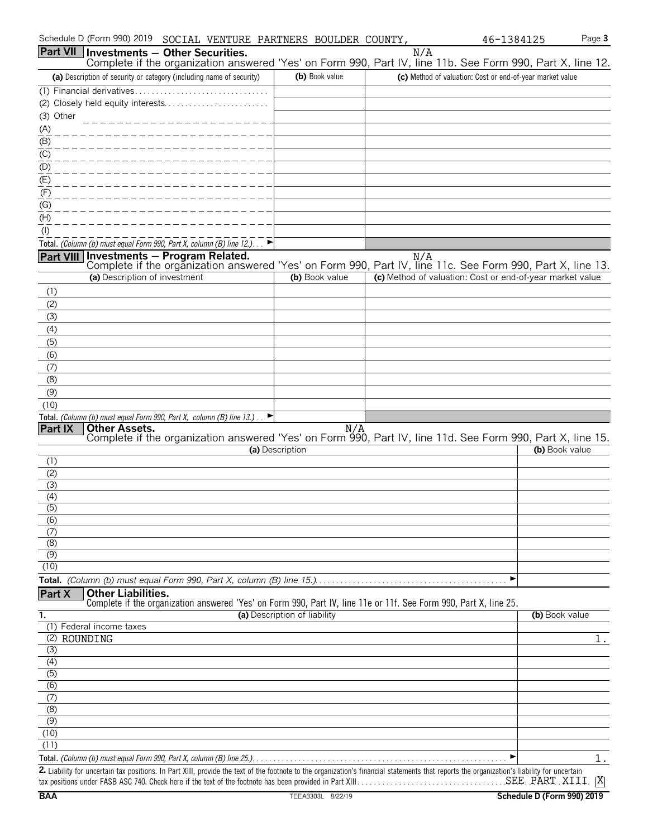|                                                                       | Schedule D (Form 990) 2019  SOCIAL VENTURE PARTNERS BOULDER COUNTY,                                                                                                                         |                              |     | 46-1384125                                                | Page 3 |
|-----------------------------------------------------------------------|---------------------------------------------------------------------------------------------------------------------------------------------------------------------------------------------|------------------------------|-----|-----------------------------------------------------------|--------|
| <b>Part VII   Investments - Other Securities.</b>                     |                                                                                                                                                                                             |                              | N/A |                                                           |        |
|                                                                       | Complete if the organization answered 'Yes' on Form 990, Part IV, line 11b. See Form 990, Part X, line 12.                                                                                  |                              |     |                                                           |        |
|                                                                       | (a) Description of security or category (including name of security)                                                                                                                        | (b) Book value               |     | (c) Method of valuation: Cost or end-of-year market value |        |
|                                                                       |                                                                                                                                                                                             |                              |     |                                                           |        |
| (3) Other                                                             |                                                                                                                                                                                             |                              |     |                                                           |        |
| (A)                                                                   |                                                                                                                                                                                             |                              |     |                                                           |        |
| $\overline{(\mathsf{B})}$                                             |                                                                                                                                                                                             |                              |     |                                                           |        |
| $\frac{(C)}{C}$                                                       |                                                                                                                                                                                             |                              |     |                                                           |        |
| (D)                                                                   |                                                                                                                                                                                             |                              |     |                                                           |        |
| $\overline{E)}$                                                       |                                                                                                                                                                                             |                              |     |                                                           |        |
| (F)                                                                   |                                                                                                                                                                                             |                              |     |                                                           |        |
| (G)                                                                   |                                                                                                                                                                                             |                              |     |                                                           |        |
| (H)                                                                   |                                                                                                                                                                                             |                              |     |                                                           |        |
| $\frac{( )}{( )}$                                                     | Total. (Column (b) must equal Form 990, Part X, column (B) line 12.). $\Box$                                                                                                                |                              |     |                                                           |        |
| Part VIII                                                             | Investments - Program Related.                                                                                                                                                              |                              | N/A |                                                           |        |
|                                                                       | Complete if the organization answered 'Yes' on Form 990, Part IV, line 11c. See Form 990, Part X, line 13.                                                                                  |                              |     |                                                           |        |
| (a) Description of investment                                         |                                                                                                                                                                                             | (b) Book value               |     | (c) Method of valuation: Cost or end-of-year market value |        |
| (1)                                                                   |                                                                                                                                                                                             |                              |     |                                                           |        |
| (2)                                                                   |                                                                                                                                                                                             |                              |     |                                                           |        |
| (3)                                                                   |                                                                                                                                                                                             |                              |     |                                                           |        |
| (4)<br>(5)                                                            |                                                                                                                                                                                             |                              |     |                                                           |        |
| (6)                                                                   |                                                                                                                                                                                             |                              |     |                                                           |        |
| (7)                                                                   |                                                                                                                                                                                             |                              |     |                                                           |        |
| (8)                                                                   |                                                                                                                                                                                             |                              |     |                                                           |        |
| (9)                                                                   |                                                                                                                                                                                             |                              |     |                                                           |        |
| (10)                                                                  |                                                                                                                                                                                             |                              |     |                                                           |        |
| Total. (Column (b) must equal Form 990, Part X, column (B) line 13.). | ▸                                                                                                                                                                                           |                              |     |                                                           |        |
| <b>Part IX</b><br><b>Other Assets.</b>                                | Complete if the organization answered 'Yes' on Form 990, Part IV, line 11d. See Form 990, Part X, line 15.                                                                                  | N/A                          |     |                                                           |        |
|                                                                       |                                                                                                                                                                                             | (a) Description              |     | (b) Book value                                            |        |
| (1)                                                                   |                                                                                                                                                                                             |                              |     |                                                           |        |
| (2)                                                                   |                                                                                                                                                                                             |                              |     |                                                           |        |
| (3)<br>(4)                                                            |                                                                                                                                                                                             |                              |     |                                                           |        |
| (5)                                                                   |                                                                                                                                                                                             |                              |     |                                                           |        |
| (6)                                                                   |                                                                                                                                                                                             |                              |     |                                                           |        |
| $\overline{(7)}$                                                      |                                                                                                                                                                                             |                              |     |                                                           |        |
| (8)                                                                   |                                                                                                                                                                                             |                              |     |                                                           |        |
| (9)<br>(10)                                                           |                                                                                                                                                                                             |                              |     |                                                           |        |
|                                                                       |                                                                                                                                                                                             |                              |     |                                                           |        |
| Part X<br><b>Other Liabilities.</b>                                   |                                                                                                                                                                                             |                              |     |                                                           |        |
|                                                                       | Complete if the organization answered 'Yes' on Form 990, Part IV, line 11e or 11f. See Form 990, Part X, line 25.                                                                           |                              |     |                                                           |        |
| 1.                                                                    |                                                                                                                                                                                             | (a) Description of liability |     | (b) Book value                                            |        |
| (1) Federal income taxes                                              |                                                                                                                                                                                             |                              |     |                                                           |        |
| (2) ROUNDING<br>(3)                                                   |                                                                                                                                                                                             |                              |     |                                                           | l.     |
| (4)                                                                   |                                                                                                                                                                                             |                              |     |                                                           |        |
| (5)                                                                   |                                                                                                                                                                                             |                              |     |                                                           |        |
| (6)                                                                   |                                                                                                                                                                                             |                              |     |                                                           |        |
| (7)                                                                   |                                                                                                                                                                                             |                              |     |                                                           |        |
| (8)                                                                   |                                                                                                                                                                                             |                              |     |                                                           |        |
| (9)<br>(10)                                                           |                                                                                                                                                                                             |                              |     |                                                           |        |
| $(1\overline{1})$                                                     |                                                                                                                                                                                             |                              |     |                                                           |        |
|                                                                       |                                                                                                                                                                                             |                              |     |                                                           | 1.     |
|                                                                       | 2. Liability for uncertain tax positions. In Part XIII, provide the text of the footnote to the organization's financial statements that reports the organization's liability for uncertain |                              |     |                                                           |        |

tax positions under FASB ASC 740. Check here if the text of the footnote has been provided in Part XIII. . . . . . . . . . . . . . . . . . . . . . . . . . . . . . . . . . . . . . . . . . . . . . . . . . . . . . . . X SEE PART XIII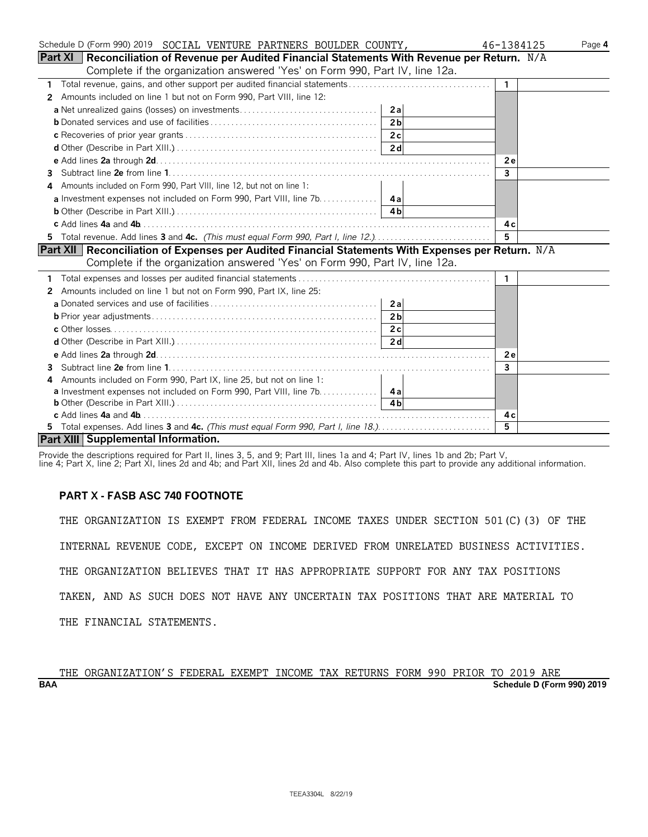| Schedule D (Form 990) 2019  SOCIAL VENTURE PARTNERS BOULDER COUNTY,                                        | 46-1384125   | Page 4 |
|------------------------------------------------------------------------------------------------------------|--------------|--------|
| <b>Part XI</b>   Reconciliation of Revenue per Audited Financial Statements With Revenue per Return. $N/A$ |              |        |
| Complete if the organization answered 'Yes' on Form 990, Part IV, line 12a.                                |              |        |
| $\mathbf{1}$                                                                                               | $\mathbf{1}$ |        |
| Amounts included on line 1 but not on Form 990, Part VIII, line 12:<br>2                                   |              |        |
| 2al                                                                                                        |              |        |
| 2 <sub>b</sub>                                                                                             |              |        |
| 2c                                                                                                         |              |        |
|                                                                                                            |              |        |
|                                                                                                            | 2e           |        |
| 3.                                                                                                         | $\mathbf{3}$ |        |
| Amounts included on Form 990, Part VIII, line 12, but not on line 1:<br>4                                  |              |        |
|                                                                                                            |              |        |
|                                                                                                            |              |        |
|                                                                                                            | 4 c          |        |
| 5 Total revenue. Add lines 3 and 4c. (This must equal Form 990, Part I, line 12.)                          | 5            |        |
| Part XII Reconciliation of Expenses per Audited Financial Statements With Expenses per Return. N/A         |              |        |
| Complete if the organization answered 'Yes' on Form 990, Part IV, line 12a.                                |              |        |
|                                                                                                            | 1            |        |
| Amounts included on line 1 but not on Form 990, Part IX, line 25:<br>2                                     |              |        |
| 2al                                                                                                        |              |        |
| 2 <sub>b</sub>                                                                                             |              |        |
|                                                                                                            |              |        |
| 2d                                                                                                         |              |        |
|                                                                                                            | 2e           |        |
| 3                                                                                                          | 3.           |        |
| Amounts included on Form 990, Part IX, line 25, but not on line 1:<br>4                                    |              |        |
| <b>a</b> Investment expenses not included on Form 990, Part VIII, line 7b. 4a                              |              |        |
|                                                                                                            |              |        |
|                                                                                                            | 4 c          |        |
|                                                                                                            | 5.           |        |
| Part XIII Supplemental Information.                                                                        |              |        |

Provide the descriptions required for Part II, lines 3, 5, and 9; Part III, lines 1a and 4; Part IV, lines 1b and 2b; Part V,

#### line 4; Part X, line 2; Part XI, lines 2d and 4b; and Part XII, lines 2d and 4b. Also complete this part to provide any additional information.

#### **PART X - FASB ASC 740 FOOTNOTE**

THE ORGANIZATION IS EXEMPT FROM FEDERAL INCOME TAXES UNDER SECTION 501(C)(3) OF THE INTERNAL REVENUE CODE, EXCEPT ON INCOME DERIVED FROM UNRELATED BUSINESS ACTIVITIES. THE ORGANIZATION BELIEVES THAT IT HAS APPROPRIATE SUPPORT FOR ANY TAX POSITIONS TAKEN, AND AS SUCH DOES NOT HAVE ANY UNCERTAIN TAX POSITIONS THAT ARE MATERIAL TO THE FINANCIAL STATEMENTS.

**BAA Schedule D (Form 990) 2019** THE ORGANIZATION'S FEDERAL EXEMPT INCOME TAX RETURNS FORM 990 PRIOR TO 2019 ARE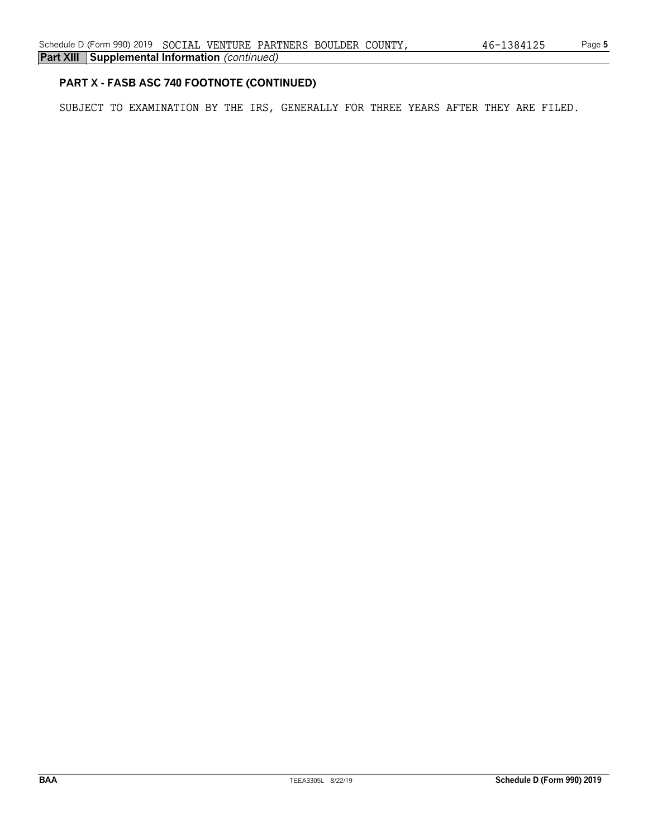### **PART X - FASB ASC 740 FOOTNOTE (CONTINUED)**

SUBJECT TO EXAMINATION BY THE IRS, GENERALLY FOR THREE YEARS AFTER THEY ARE FILED.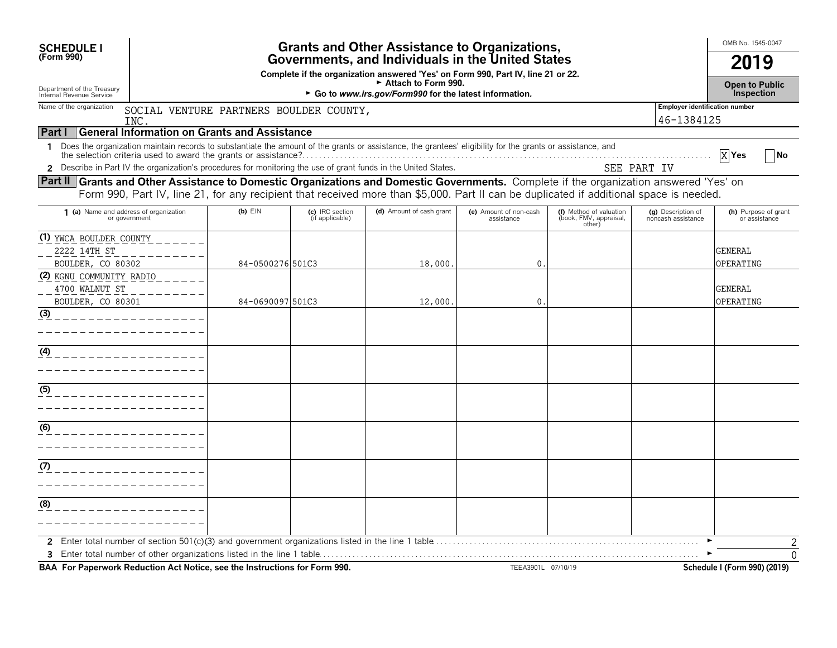| <b>SCHEDULE I</b>                                                                                                                                                                                                                                                                        |                                         |                                    | <b>Grants and Other Assistance to Organizations,</b>                                                                                  |                                      |                                                             |                                                     | OMB No. 1545-0047                     |
|------------------------------------------------------------------------------------------------------------------------------------------------------------------------------------------------------------------------------------------------------------------------------------------|-----------------------------------------|------------------------------------|---------------------------------------------------------------------------------------------------------------------------------------|--------------------------------------|-------------------------------------------------------------|-----------------------------------------------------|---------------------------------------|
| (Form 990)                                                                                                                                                                                                                                                                               |                                         |                                    | Governments, and Individuals in the United States<br>Complete if the organization answered 'Yes' on Form 990, Part IV, line 21 or 22. |                                      |                                                             |                                                     | 2019                                  |
| Department of the Treasury<br>Internal Revenue Service                                                                                                                                                                                                                                   |                                         |                                    | Attach to Form 990.<br>► Go to www.irs.gov/Form990 for the latest information.                                                        |                                      |                                                             |                                                     | Open to Public<br><b>Inspection</b>   |
| Name of the organization<br>INC.                                                                                                                                                                                                                                                         | SOCIAL VENTURE PARTNERS BOULDER COUNTY, |                                    |                                                                                                                                       |                                      |                                                             | <b>Employer identification number</b><br>46-1384125 |                                       |
| <b>General Information on Grants and Assistance</b><br>Part I                                                                                                                                                                                                                            |                                         |                                    |                                                                                                                                       |                                      |                                                             |                                                     |                                       |
| Does the organization maintain records to substantiate the amount of the grants or assistance, the grantees' eligibility for the grants or assistance, and<br>1.                                                                                                                         |                                         |                                    |                                                                                                                                       |                                      |                                                             |                                                     | X Yes<br><b>INo</b>                   |
| 2 Describe in Part IV the organization's procedures for monitoring the use of grant funds in the United States.                                                                                                                                                                          |                                         |                                    |                                                                                                                                       |                                      |                                                             | SEE PART IV                                         |                                       |
| <b>Part II Grants and Other Assistance to Domestic Organizations and Domestic Governments.</b> Complete if the organization answered 'Yes' on<br>Form 990, Part IV, line 21, for any recipient that received more than \$5,000. Part II can be duplicated if additional space is needed. |                                         |                                    |                                                                                                                                       |                                      |                                                             |                                                     |                                       |
| 1 (a) Name and address of organization<br>or government                                                                                                                                                                                                                                  | $(b)$ $EIN$                             | (c) IRC section<br>(if applicable) | (d) Amount of cash grant                                                                                                              | (e) Amount of non-cash<br>assistance | (f) Method of valuation<br>(book, FMV, appraisal,<br>other) | (g) Description of<br>noncash assistance            | (h) Purpose of grant<br>or assistance |
| (1) YWCA BOULDER COUNTY<br>2222 14TH ST                                                                                                                                                                                                                                                  |                                         |                                    |                                                                                                                                       |                                      |                                                             |                                                     | <b>GENERAL</b>                        |
| BOULDER, CO 80302                                                                                                                                                                                                                                                                        | 84-0500276 501C3                        |                                    | 18,000                                                                                                                                | $\mathbf 0$                          |                                                             |                                                     | OPERATING                             |
| (2) KGNU COMMUNITY RADIO<br>4700 WALNUT ST<br>BOULDER, CO 80301                                                                                                                                                                                                                          | 84-0690097 501C3                        |                                    | 12,000.                                                                                                                               | 0.                                   |                                                             |                                                     | GENERAL<br>OPERATING                  |
| (3)                                                                                                                                                                                                                                                                                      |                                         |                                    |                                                                                                                                       |                                      |                                                             |                                                     |                                       |
|                                                                                                                                                                                                                                                                                          |                                         |                                    |                                                                                                                                       |                                      |                                                             |                                                     |                                       |
| (4)                                                                                                                                                                                                                                                                                      |                                         |                                    |                                                                                                                                       |                                      |                                                             |                                                     |                                       |
|                                                                                                                                                                                                                                                                                          |                                         |                                    |                                                                                                                                       |                                      |                                                             |                                                     |                                       |
| (5)                                                                                                                                                                                                                                                                                      |                                         |                                    |                                                                                                                                       |                                      |                                                             |                                                     |                                       |
|                                                                                                                                                                                                                                                                                          |                                         |                                    |                                                                                                                                       |                                      |                                                             |                                                     |                                       |
| (6)                                                                                                                                                                                                                                                                                      |                                         |                                    |                                                                                                                                       |                                      |                                                             |                                                     |                                       |
| (7)                                                                                                                                                                                                                                                                                      |                                         |                                    |                                                                                                                                       |                                      |                                                             |                                                     |                                       |
|                                                                                                                                                                                                                                                                                          |                                         |                                    |                                                                                                                                       |                                      |                                                             |                                                     |                                       |
| (8)                                                                                                                                                                                                                                                                                      |                                         |                                    |                                                                                                                                       |                                      |                                                             |                                                     |                                       |
|                                                                                                                                                                                                                                                                                          |                                         |                                    |                                                                                                                                       |                                      |                                                             |                                                     |                                       |
|                                                                                                                                                                                                                                                                                          |                                         |                                    |                                                                                                                                       |                                      |                                                             |                                                     | $\mathbf{2}$<br>0                     |
| BAA For Paperwork Reduction Act Notice, see the Instructions for Form 990.                                                                                                                                                                                                               |                                         |                                    |                                                                                                                                       | TEEA3901L 07/10/19                   |                                                             |                                                     | Schedule I (Form 990) (2019)          |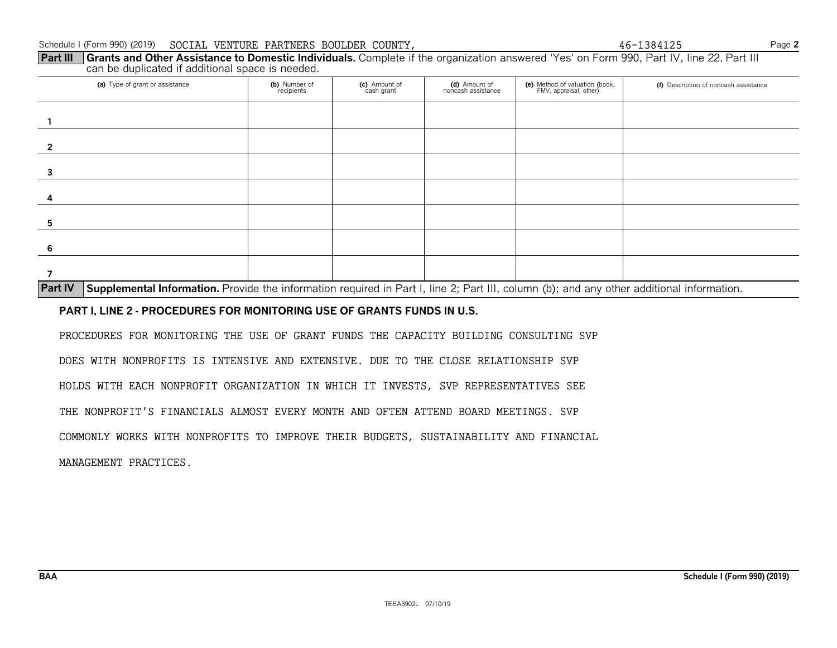**Part III** Grants and Other Assistance to Domestic Individuals. Complete if the organization answered 'Yes' on Form 990, Part IV, line 22. Part III can be duplicated if additional space is needed.

| (a) Type of grant or assistance    | (b) Number of<br>recipients | (c) Amount of<br>cash grant | (d) Amount of<br>noncash assistance | (e) Method of valuation (book,<br>FMV, appraisal, other) | (f) Description of noncash assistance |
|------------------------------------|-----------------------------|-----------------------------|-------------------------------------|----------------------------------------------------------|---------------------------------------|
|                                    |                             |                             |                                     |                                                          |                                       |
|                                    |                             |                             |                                     |                                                          |                                       |
|                                    |                             |                             |                                     |                                                          |                                       |
|                                    |                             |                             |                                     |                                                          |                                       |
| ר                                  |                             |                             |                                     |                                                          |                                       |
| 6                                  |                             |                             |                                     |                                                          |                                       |
| and the same of the same<br>$\sim$ |                             |                             |                                     |                                                          |                                       |

**Part IV** Supplemental Information. Provide the information required in Part I, line 2; Part III, column (b); and any other additional information.

#### **PART I, LINE 2 - PROCEDURES FOR MONITORING USE OF GRANTS FUNDS IN U.S.**

PROCEDURES FOR MONITORING THE USE OF GRANT FUNDS THE CAPACITY BUILDING CONSULTING SVP

DOES WITH NONPROFITS IS INTENSIVE AND EXTENSIVE. DUE TO THE CLOSE RELATIONSHIP SVP

HOLDS WITH EACH NONPROFIT ORGANIZATION IN WHICH IT INVESTS, SVP REPRESENTATIVES SEE

THE NONPROFIT'S FINANCIALS ALMOST EVERY MONTH AND OFTEN ATTEND BOARD MEETINGS. SVP

COMMONLY WORKS WITH NONPROFITS TO IMPROVE THEIR BUDGETS, SUSTAINABILITY AND FINANCIAL

MANAGEMENT PRACTICES.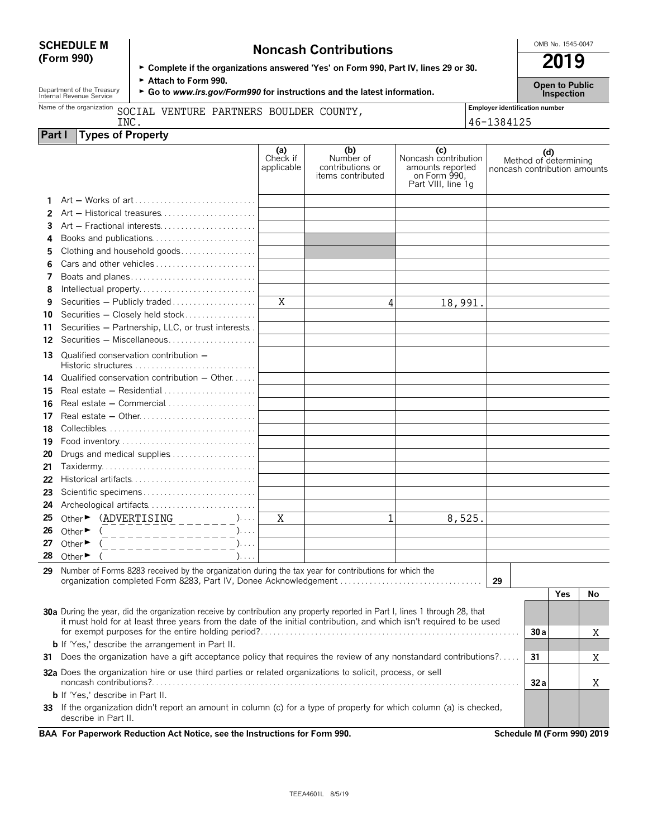| <b>SCHEDULE M</b> | <b>Noncash Contributions</b>                                                         | OMB No. 1545-0047 |
|-------------------|--------------------------------------------------------------------------------------|-------------------|
| (Form 990)        |                                                                                      | 2019              |
|                   | ► Complete if the organizations answered 'Yes' on Form 990, Part IV, lines 29 or 30. |                   |

**Open to Public** Department of the Treasury **FRICATE:** Attach to Form 990.<br>
Internal Revenue Service **FRICATE:** Go to *www.irs.gov/Form990* for instructions and the latest information. Inspection

|    | Name of the organization<br>SOCIAL VENTURE PARTNERS BOULDER COUNTY,<br>INC.                                                                  |                               |                                                           |                                                                                       |        | Employer identification number<br>46-1384125 |                                                              |    |
|----|----------------------------------------------------------------------------------------------------------------------------------------------|-------------------------------|-----------------------------------------------------------|---------------------------------------------------------------------------------------|--------|----------------------------------------------|--------------------------------------------------------------|----|
|    | <b>Types of Property</b><br>Part I                                                                                                           |                               |                                                           |                                                                                       |        |                                              |                                                              |    |
|    |                                                                                                                                              | (a)<br>Check if<br>applicable | (b)<br>Number of<br>contributions or<br>items contributed | (c)<br>Noncash contribution<br>amounts reported<br>on Form 990.<br>Part VIII, line 1g |        |                                              | (d)<br>Method of determining<br>noncash contribution amounts |    |
|    |                                                                                                                                              |                               |                                                           |                                                                                       |        |                                              |                                                              |    |
| 2  | Art - Historical treasures                                                                                                                   |                               |                                                           |                                                                                       |        |                                              |                                                              |    |
| 3  |                                                                                                                                              |                               |                                                           |                                                                                       |        |                                              |                                                              |    |
|    |                                                                                                                                              |                               |                                                           |                                                                                       |        |                                              |                                                              |    |
| 5  | Clothing and household goods                                                                                                                 |                               |                                                           |                                                                                       |        |                                              |                                                              |    |
| 6  | Cars and other vehicles                                                                                                                      |                               |                                                           |                                                                                       |        |                                              |                                                              |    |
| 7  | Boats and planes                                                                                                                             |                               |                                                           |                                                                                       |        |                                              |                                                              |    |
| 8  |                                                                                                                                              |                               |                                                           |                                                                                       |        |                                              |                                                              |    |
| 9  | Securities - Publicly traded                                                                                                                 | X                             | 4                                                         | 18,991.                                                                               |        |                                              |                                                              |    |
| 10 | Securities - Closely held stock                                                                                                              |                               |                                                           |                                                                                       |        |                                              |                                                              |    |
| 11 | Securities - Partnership, LLC, or trust interests.                                                                                           |                               |                                                           |                                                                                       |        |                                              |                                                              |    |
| 12 | Securities - Miscellaneous                                                                                                                   |                               |                                                           |                                                                                       |        |                                              |                                                              |    |
| 13 | Qualified conservation contribution -                                                                                                        |                               |                                                           |                                                                                       |        |                                              |                                                              |    |
| 14 | Qualified conservation contribution $-$ Other $\dots$                                                                                        |                               |                                                           |                                                                                       |        |                                              |                                                              |    |
| 15 |                                                                                                                                              |                               |                                                           |                                                                                       |        |                                              |                                                              |    |
| 16 | Real estate - Commercial                                                                                                                     |                               |                                                           |                                                                                       |        |                                              |                                                              |    |
|    |                                                                                                                                              |                               |                                                           |                                                                                       |        |                                              |                                                              |    |
| 17 |                                                                                                                                              |                               |                                                           |                                                                                       |        |                                              |                                                              |    |
| 18 |                                                                                                                                              |                               |                                                           |                                                                                       |        |                                              |                                                              |    |
| 19 |                                                                                                                                              |                               |                                                           |                                                                                       |        |                                              |                                                              |    |
| 20 |                                                                                                                                              |                               |                                                           |                                                                                       |        |                                              |                                                              |    |
| 21 |                                                                                                                                              |                               |                                                           |                                                                                       |        |                                              |                                                              |    |
| 22 |                                                                                                                                              |                               |                                                           |                                                                                       |        |                                              |                                                              |    |
| 23 |                                                                                                                                              |                               |                                                           |                                                                                       |        |                                              |                                                              |    |
| 24 |                                                                                                                                              |                               |                                                           |                                                                                       |        |                                              |                                                              |    |
| 25 | Other $\triangleright$ (ADVERTISING _______)                                                                                                 | Χ                             | 1                                                         |                                                                                       | 8,525. |                                              |                                                              |    |
| 26 | Other $\triangleright$ $($                                                                                                                   |                               |                                                           |                                                                                       |        |                                              |                                                              |    |
| 27 | (________________)<br>Other $\blacktriangleright$                                                                                            |                               |                                                           |                                                                                       |        |                                              |                                                              |    |
| 28 | Other $\blacktriangleright$ (                                                                                                                |                               |                                                           |                                                                                       |        |                                              |                                                              |    |
|    | 29 Number of Forms 8283 received by the organization during the tax year for contributions for which the                                     |                               |                                                           |                                                                                       |        |                                              |                                                              |    |
|    | organization completed Form 8283, Part IV, Donee Acknowledgement                                                                             |                               |                                                           |                                                                                       |        | 29                                           |                                                              |    |
|    |                                                                                                                                              |                               |                                                           |                                                                                       |        |                                              | Yes                                                          | No |
|    | 30a During the year, did the organization receive by contribution any property reported in Part I, lines 1 through 28, that                  |                               |                                                           |                                                                                       |        |                                              |                                                              |    |
|    | it must hold for at least three years from the date of the initial contribution, and which isn't required to be used                         |                               |                                                           |                                                                                       |        |                                              |                                                              |    |
|    |                                                                                                                                              |                               |                                                           |                                                                                       |        |                                              | 30a                                                          | Χ  |
|    | <b>b</b> If 'Yes,' describe the arrangement in Part II.                                                                                      |                               |                                                           |                                                                                       |        |                                              |                                                              |    |
|    | 31 Does the organization have a gift acceptance policy that requires the review of any nonstandard contributions?                            |                               |                                                           |                                                                                       |        |                                              | 31                                                           | Χ  |
|    | 32a Does the organization hire or use third parties or related organizations to solicit, process, or sell                                    |                               |                                                           |                                                                                       |        |                                              |                                                              |    |
|    |                                                                                                                                              |                               |                                                           |                                                                                       |        |                                              | 32 a                                                         | Χ  |
|    | <b>b</b> If 'Yes,' describe in Part II.                                                                                                      |                               |                                                           |                                                                                       |        |                                              |                                                              |    |
|    | 33 If the organization didn't report an amount in column (c) for a type of property for which column (a) is checked,<br>describe in Part II. |                               |                                                           |                                                                                       |        |                                              |                                                              |    |

**BAA For Paperwork Reduction Act Notice, see the Instructions for Form 990. Schedule M (Form 990) 2019**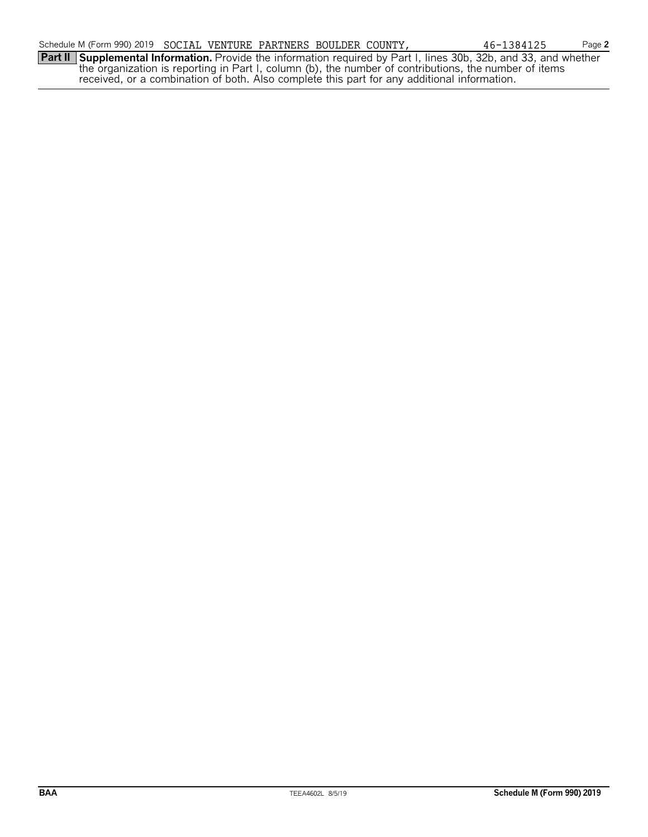**Part II Supplemental Information.** Provide the information required by Part I, lines 30b, 32b, and 33, and whether the organization is reporting in Part I, column (b), the number of contributions, the number of items received, or a combination of both. Also complete this part for any additional information.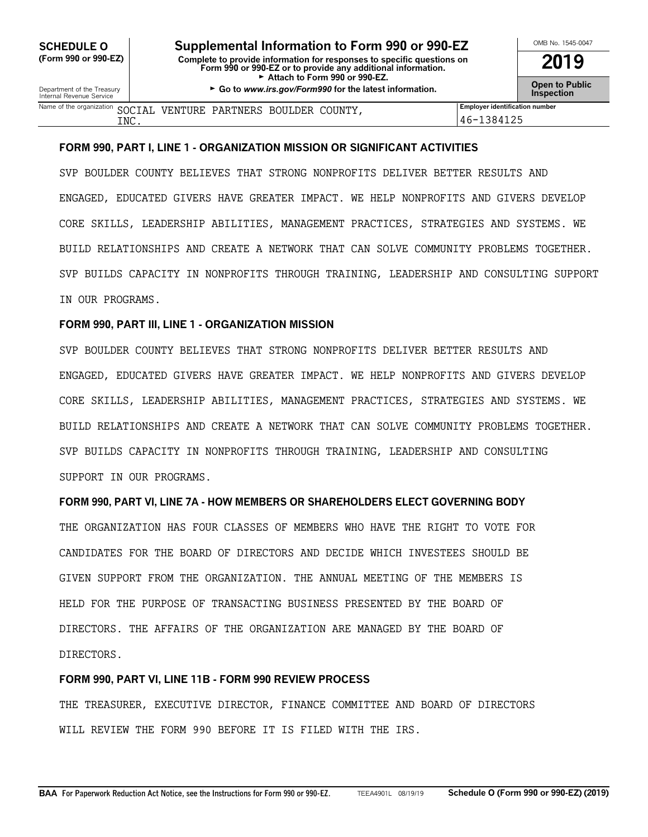Department of the Treasury<br>Internal Revenue Service

**SCHEDULE O Supplemental Information to Form 990 or 990-EZ** <u>LOMB No. 1545-0047</u> **(Form 990 or 990-EZ) Complete to provide information for responses to specific questions on Form 990 or 990-EZ or to provide any additional information. 2019** Attach to Form 990 or 990-EZ. **Open to Public** Department of the Treasury Go to Department of the Treasury Go to **Public**<br>► Go to *www.irs.gov/Form990* for the latest information.

Name of the organization **SOCIAL VENTURE PARTNERS BOULDER COUNTY,** INC.

## 46-1384125

#### **FORM 990, PART I, LINE 1 - ORGANIZATION MISSION OR SIGNIFICANT ACTIVITIES**

SVP BOULDER COUNTY BELIEVES THAT STRONG NONPROFITS DELIVER BETTER RESULTS AND ENGAGED, EDUCATED GIVERS HAVE GREATER IMPACT. WE HELP NONPROFITS AND GIVERS DEVELOP CORE SKILLS, LEADERSHIP ABILITIES, MANAGEMENT PRACTICES, STRATEGIES AND SYSTEMS. WE BUILD RELATIONSHIPS AND CREATE A NETWORK THAT CAN SOLVE COMMUNITY PROBLEMS TOGETHER. SVP BUILDS CAPACITY IN NONPROFITS THROUGH TRAINING, LEADERSHIP AND CONSULTING SUPPORT IN OUR PROGRAMS.

#### **FORM 990, PART III, LINE 1 - ORGANIZATION MISSION**

SVP BOULDER COUNTY BELIEVES THAT STRONG NONPROFITS DELIVER BETTER RESULTS AND ENGAGED, EDUCATED GIVERS HAVE GREATER IMPACT. WE HELP NONPROFITS AND GIVERS DEVELOP CORE SKILLS, LEADERSHIP ABILITIES, MANAGEMENT PRACTICES, STRATEGIES AND SYSTEMS. WE BUILD RELATIONSHIPS AND CREATE A NETWORK THAT CAN SOLVE COMMUNITY PROBLEMS TOGETHER. SVP BUILDS CAPACITY IN NONPROFITS THROUGH TRAINING, LEADERSHIP AND CONSULTING SUPPORT IN OUR PROGRAMS.

#### **FORM 990, PART VI, LINE 7A - HOW MEMBERS OR SHAREHOLDERS ELECT GOVERNING BODY**

THE ORGANIZATION HAS FOUR CLASSES OF MEMBERS WHO HAVE THE RIGHT TO VOTE FOR CANDIDATES FOR THE BOARD OF DIRECTORS AND DECIDE WHICH INVESTEES SHOULD BE GIVEN SUPPORT FROM THE ORGANIZATION. THE ANNUAL MEETING OF THE MEMBERS IS HELD FOR THE PURPOSE OF TRANSACTING BUSINESS PRESENTED BY THE BOARD OF DIRECTORS. THE AFFAIRS OF THE ORGANIZATION ARE MANAGED BY THE BOARD OF DIRECTORS.

#### **FORM 990, PART VI, LINE 11B - FORM 990 REVIEW PROCESS**

THE TREASURER, EXECUTIVE DIRECTOR, FINANCE COMMITTEE AND BOARD OF DIRECTORS WILL REVIEW THE FORM 990 BEFORE IT IS FILED WITH THE IRS.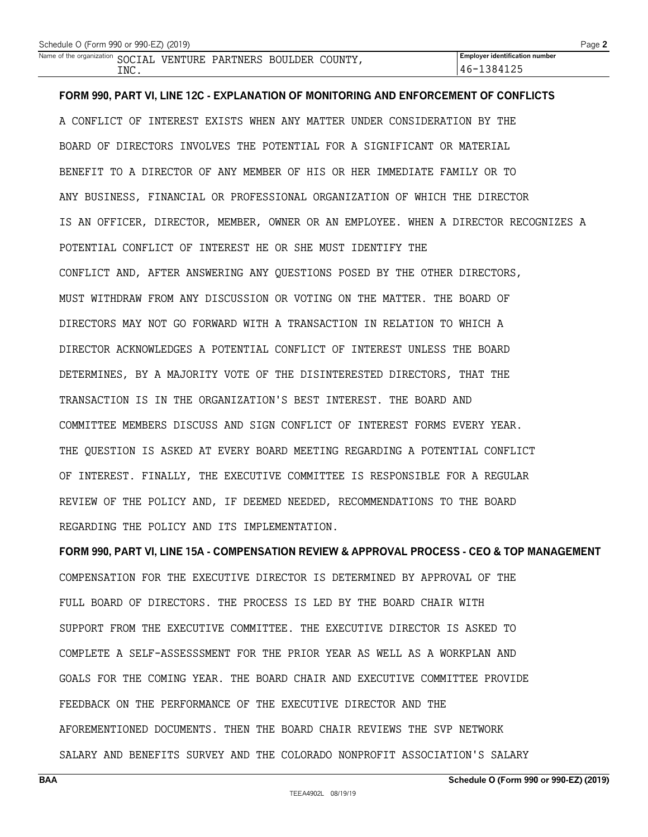| Schedule O (Form 990 or 990-EZ) (2019)                           |      |  |  |                                       | Page 2 |
|------------------------------------------------------------------|------|--|--|---------------------------------------|--------|
| Name of the organization SOCIAL VENTURE PARTNERS BOULDER COUNTY, |      |  |  | <b>Employer identification number</b> |        |
|                                                                  | INC. |  |  | 46-1384125                            |        |

### **FORM 990, PART VI, LINE 12C - EXPLANATION OF MONITORING AND ENFORCEMENT OF CONFLICTS**

A CONFLICT OF INTEREST EXISTS WHEN ANY MATTER UNDER CONSIDERATION BY THE BOARD OF DIRECTORS INVOLVES THE POTENTIAL FOR A SIGNIFICANT OR MATERIAL BENEFIT TO A DIRECTOR OF ANY MEMBER OF HIS OR HER IMMEDIATE FAMILY OR TO ANY BUSINESS, FINANCIAL OR PROFESSIONAL ORGANIZATION OF WHICH THE DIRECTOR IS AN OFFICER, DIRECTOR, MEMBER, OWNER OR AN EMPLOYEE. WHEN A DIRECTOR RECOGNIZES A POTENTIAL CONFLICT OF INTEREST HE OR SHE MUST IDENTIFY THE CONFLICT AND, AFTER ANSWERING ANY QUESTIONS POSED BY THE OTHER DIRECTORS, MUST WITHDRAW FROM ANY DISCUSSION OR VOTING ON THE MATTER. THE BOARD OF DIRECTORS MAY NOT GO FORWARD WITH A TRANSACTION IN RELATION TO WHICH A DIRECTOR ACKNOWLEDGES A POTENTIAL CONFLICT OF INTEREST UNLESS THE BOARD DETERMINES, BY A MAJORITY VOTE OF THE DISINTERESTED DIRECTORS, THAT THE TRANSACTION IS IN THE ORGANIZATION'S BEST INTEREST. THE BOARD AND COMMITTEE MEMBERS DISCUSS AND SIGN CONFLICT OF INTEREST FORMS EVERY YEAR. THE QUESTION IS ASKED AT EVERY BOARD MEETING REGARDING A POTENTIAL CONFLICT OF INTEREST. FINALLY, THE EXECUTIVE COMMITTEE IS RESPONSIBLE FOR A REGULAR REVIEW OF THE POLICY AND, IF DEEMED NEEDED, RECOMMENDATIONS TO THE BOARD REGARDING THE POLICY AND ITS IMPLEMENTATION.

**FORM 990, PART VI, LINE 15A - COMPENSATION REVIEW & APPROVAL PROCESS - CEO & TOP MANAGEMENT** COMPENSATION FOR THE EXECUTIVE DIRECTOR IS DETERMINED BY APPROVAL OF THE FULL BOARD OF DIRECTORS. THE PROCESS IS LED BY THE BOARD CHAIR WITH SUPPORT FROM THE EXECUTIVE COMMITTEE. THE EXECUTIVE DIRECTOR IS ASKED TO COMPLETE A SELF-ASSESSSMENT FOR THE PRIOR YEAR AS WELL AS A WORKPLAN AND GOALS FOR THE COMING YEAR. THE BOARD CHAIR AND EXECUTIVE COMMITTEE PROVIDE FEEDBACK ON THE PERFORMANCE OF THE EXECUTIVE DIRECTOR AND THE AFOREMENTIONED DOCUMENTS. THEN THE BOARD CHAIR REVIEWS THE SVP NETWORK SALARY AND BENEFITS SURVEY AND THE COLORADO NONPROFIT ASSOCIATION'S SALARY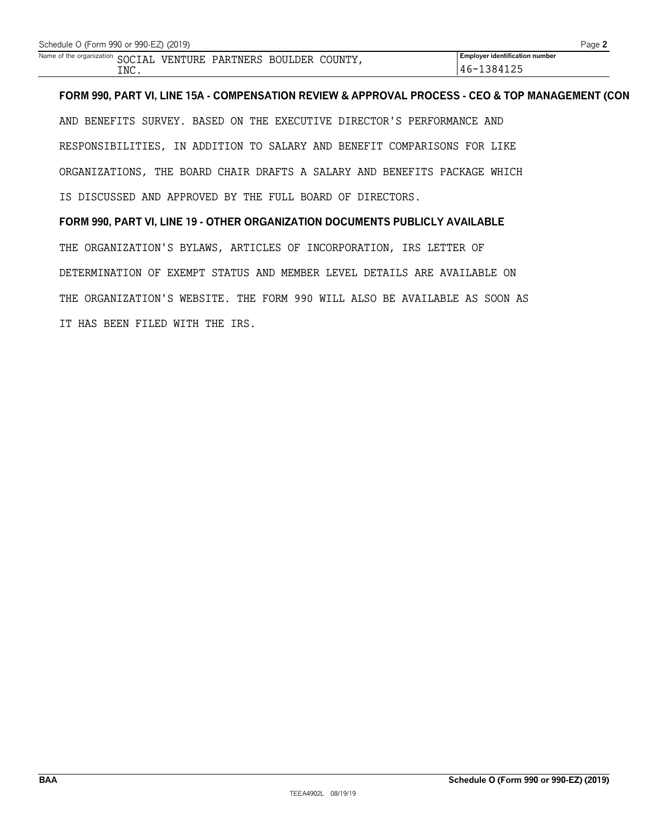#### FORM 990, PART VI, LINE 15A - COMPENSATION REVIEW & APPROVAL PROCESS - CEO & TOP MANAGEMENT (CON

AND BENEFITS SURVEY. BASED ON THE EXECUTIVE DIRECTOR'S PERFORMANCE AND RESPONSIBILITIES, IN ADDITION TO SALARY AND BENEFIT COMPARISONS FOR LIKE ORGANIZATIONS, THE BOARD CHAIR DRAFTS A SALARY AND BENEFITS PACKAGE WHICH IS DISCUSSED AND APPROVED BY THE FULL BOARD OF DIRECTORS.

**FORM 990, PART VI, LINE 19 - OTHER ORGANIZATION DOCUMENTS PUBLICLY AVAILABLE**

THE ORGANIZATION'S BYLAWS, ARTICLES OF INCORPORATION, IRS LETTER OF DETERMINATION OF EXEMPT STATUS AND MEMBER LEVEL DETAILS ARE AVAILABLE ON THE ORGANIZATION'S WEBSITE. THE FORM 990 WILL ALSO BE AVAILABLE AS SOON AS IT HAS BEEN FILED WITH THE IRS.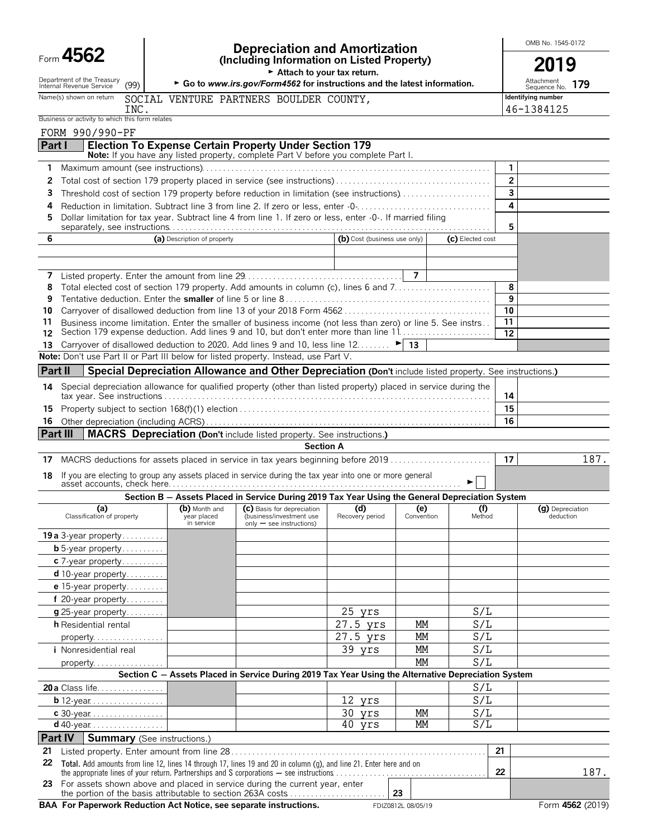| ⊢orm |  |
|------|--|
|      |  |

# Form 4562 **Depreciation and Amortization**<br> **Example 1545-0172** (Including Information on Listed Property) **COLO**

| cluding Information on Listed Property)     | 2019 |
|---------------------------------------------|------|
| $\triangleright$ Attach to your tax return. |      |

Department of the Treasury (99) **Factach to your tax return.** Department of the Treasury (99) **Factachment** Sequence No. **179**<br>Internal Revenue Service (99) **Factach www.irs.gov/Form4562 for instructions and the latest in** 

| Name(s) shown on return<br>INC                                                                                            |                                            | SOCIAL VENTURE PARTNERS BOULDER COUNTY,                                                                                                             |                              |                |                  | Identifying number<br>46-1384125 |                  |
|---------------------------------------------------------------------------------------------------------------------------|--------------------------------------------|-----------------------------------------------------------------------------------------------------------------------------------------------------|------------------------------|----------------|------------------|----------------------------------|------------------|
| Business or activity to which this form relates                                                                           |                                            |                                                                                                                                                     |                              |                |                  |                                  |                  |
| FORM 990/990-PF                                                                                                           |                                            |                                                                                                                                                     |                              |                |                  |                                  |                  |
| Part I                                                                                                                    |                                            | <b>Election To Expense Certain Property Under Section 179</b><br>Note: If you have any listed property, complete Part V before you complete Part I. |                              |                |                  |                                  |                  |
| 1.                                                                                                                        |                                            |                                                                                                                                                     |                              |                |                  | 1                                |                  |
| 2                                                                                                                         |                                            |                                                                                                                                                     |                              |                |                  | $\mathbf{2}$                     |                  |
| Threshold cost of section 179 property before reduction in limitation (see instructions)<br>3                             |                                            |                                                                                                                                                     |                              |                |                  | $\overline{\mathbf{3}}$          |                  |
| Reduction in limitation. Subtract line 3 from line 2. If zero or less, enter -0-<br>4                                     |                                            |                                                                                                                                                     |                              |                |                  | 4                                |                  |
| Dollar limitation for tax year. Subtract line 4 from line 1. If zero or less, enter -0-. If married filing<br>5           |                                            |                                                                                                                                                     |                              |                |                  |                                  |                  |
|                                                                                                                           |                                            |                                                                                                                                                     |                              |                |                  | 5                                |                  |
| 6                                                                                                                         | (a) Description of property                |                                                                                                                                                     | (b) Cost (business use only) |                | (c) Elected cost |                                  |                  |
|                                                                                                                           |                                            |                                                                                                                                                     |                              |                |                  |                                  |                  |
|                                                                                                                           |                                            |                                                                                                                                                     |                              | $\overline{7}$ |                  |                                  |                  |
| 7<br>Total elected cost of section 179 property. Add amounts in column (c), lines 6 and 7<br>8                            |                                            |                                                                                                                                                     |                              |                |                  | 8                                |                  |
| 9                                                                                                                         |                                            |                                                                                                                                                     |                              |                |                  | 9                                |                  |
| 10                                                                                                                        |                                            |                                                                                                                                                     |                              |                |                  | 10                               |                  |
| 11<br>Business income limitation. Enter the smaller of business income (not less than zero) or line 5. See instrs         |                                            |                                                                                                                                                     |                              |                |                  | 11                               |                  |
| 12                                                                                                                        |                                            |                                                                                                                                                     |                              |                |                  | 12                               |                  |
| Carryover of disallowed deduction to 2020. Add lines 9 and 10, less line 12. ▶ 13<br>13                                   |                                            |                                                                                                                                                     |                              |                |                  |                                  |                  |
| Note: Don't use Part II or Part III below for listed property. Instead, use Part V.<br>Part II                            |                                            | Special Depreciation Allowance and Other Depreciation (Don't include listed property. See instructions.)                                            |                              |                |                  |                                  |                  |
|                                                                                                                           |                                            |                                                                                                                                                     |                              |                |                  |                                  |                  |
| 14 Special depreciation allowance for qualified property (other than listed property) placed in service during the        |                                            |                                                                                                                                                     |                              |                |                  | 14                               |                  |
| 15                                                                                                                        |                                            |                                                                                                                                                     |                              |                |                  | 15                               |                  |
| 16                                                                                                                        |                                            |                                                                                                                                                     |                              |                |                  | 16                               |                  |
| Part III                                                                                                                  |                                            | <b>MACRS</b> Depreciation (Don't include listed property. See instructions.)                                                                        |                              |                |                  |                                  |                  |
|                                                                                                                           |                                            |                                                                                                                                                     |                              |                |                  |                                  |                  |
|                                                                                                                           |                                            | <b>Section A</b>                                                                                                                                    |                              |                |                  |                                  |                  |
| 17<br>MACRS deductions for assets placed in service in tax years beginning before 2019                                    |                                            |                                                                                                                                                     |                              |                |                  | 17                               | 187.             |
| If you are electing to group any assets placed in service during the tax year into one or more general<br>18              |                                            |                                                                                                                                                     |                              |                |                  |                                  |                  |
|                                                                                                                           |                                            |                                                                                                                                                     |                              |                |                  |                                  |                  |
| (a)                                                                                                                       |                                            | Section B - Assets Placed in Service During 2019 Tax Year Using the General Depreciation System<br>(c) Basis for depreciation                       | (d)                          | (e)            | (f)              |                                  | (g) Depreciation |
| Classification of property                                                                                                | (b) Month and<br>year placed<br>in service | (business/investment use                                                                                                                            | Recovery period              | Convention     | Method           |                                  | deduction        |
|                                                                                                                           |                                            | $only - see$ instructions)                                                                                                                          |                              |                |                  |                                  |                  |
| <b>19 a</b> $3$ -year property                                                                                            |                                            |                                                                                                                                                     |                              |                |                  |                                  |                  |
| $b$ 5-year property                                                                                                       |                                            |                                                                                                                                                     |                              |                |                  |                                  |                  |
| c 7-year property<br><b>d</b> 10-year property                                                                            |                                            |                                                                                                                                                     |                              |                |                  |                                  |                  |
| <b>e</b> 15-year property                                                                                                 |                                            |                                                                                                                                                     |                              |                |                  |                                  |                  |
| f 20-year property                                                                                                        |                                            |                                                                                                                                                     |                              |                |                  |                                  |                  |
| $g$ 25-year property                                                                                                      |                                            |                                                                                                                                                     | 25 yrs                       |                | S/L              |                                  |                  |
| <b>h</b> Residential rental                                                                                               |                                            |                                                                                                                                                     | 27.5 yrs                     | МM             | S/L              |                                  |                  |
| property                                                                                                                  |                                            |                                                                                                                                                     | 27.5 yrs                     | МM             | S/L              |                                  |                  |
| <i>i</i> Nonresidential real                                                                                              |                                            |                                                                                                                                                     | 39 yrs                       | МM             | S/L              |                                  |                  |
| property                                                                                                                  |                                            |                                                                                                                                                     |                              | <b>MM</b>      | S/L              |                                  |                  |
|                                                                                                                           |                                            | Section C - Assets Placed in Service During 2019 Tax Year Using the Alternative Depreciation System                                                 |                              |                |                  |                                  |                  |
| 20 a Class life                                                                                                           |                                            |                                                                                                                                                     |                              |                | S/L              |                                  |                  |
| <b>b</b> 12-year                                                                                                          |                                            |                                                                                                                                                     | 12 yrs                       |                | S/L              |                                  |                  |
| $c$ 30-year                                                                                                               |                                            |                                                                                                                                                     | 30 yrs                       | МM             | S/L              |                                  |                  |
| $d$ 40-year                                                                                                               |                                            |                                                                                                                                                     | $\overline{40}$ yrs          | МM             | S/L              |                                  |                  |
| <b>Part IV</b><br><b>Summary</b> (See instructions.)                                                                      |                                            |                                                                                                                                                     |                              |                |                  |                                  |                  |
| 21                                                                                                                        |                                            |                                                                                                                                                     |                              |                | 21               |                                  |                  |
| Total. Add amounts from line 12, lines 14 through 17, lines 19 and 20 in column (g), and line 21. Enter here and on<br>22 |                                            |                                                                                                                                                     |                              |                | 22               |                                  | 187.             |

**BAA For Paperwork Reduction Act Notice, see separate instructions.** FDIZ0812L 08/05/19 Form 4562 (2019)

the portion of the basis attributable to section 263A costs. . . . . . . . . . . . . . . . . . . . . . . . **23**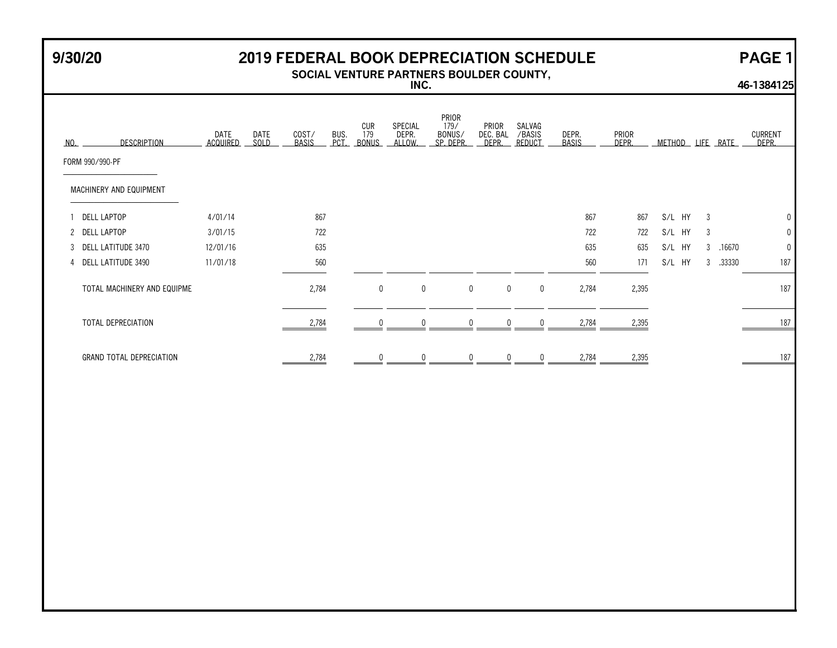## **9/30/20 2019 FEDERAL BOOK DEPRECIATION SCHEDULE PAGE 1**

### **SOCIAL VENTURE PARTNERS BOULDER COUNTY,**

#### **INC. 46-1384125**

| NO.<br>FORM 990/990-PF | <b>DESCRIPTION</b>              | DATE<br>ACQUIRED | DATE<br>SOLD | COST/<br><b>BASIS</b> | BUS.<br>PCT. | CUR<br>179<br><b>BONUS</b> | SPECIAL<br>DEPR.<br>ALLOW. | PRIOR<br>179/<br>BONUS/<br>SP. DEPR. | PRIOR<br>DEC. BAL<br>DEPR. | SALVAG<br>/BASIS<br>REDUCT | DEPR.<br><b>BASIS</b> | PRIOR<br>DEPR. | METHOD |    | LIFE RATE | <b>CURRENT</b><br>DEPR. |
|------------------------|---------------------------------|------------------|--------------|-----------------------|--------------|----------------------------|----------------------------|--------------------------------------|----------------------------|----------------------------|-----------------------|----------------|--------|----|-----------|-------------------------|
|                        | MACHINERY AND EQUIPMENT         |                  |              |                       |              |                            |                            |                                      |                            |                            |                       |                |        |    |           |                         |
|                        | DELL LAPTOP                     | 4/01/14          |              | 867                   |              |                            |                            |                                      |                            |                            | 867                   | 867            | S/L HY | -3 |           | $\mathbf{0}$            |
|                        | 2 DELL LAPTOP                   | 3/01/15          |              | 722                   |              |                            |                            |                                      |                            |                            | 722                   | 722            | S/L HY | 3  |           | $\mathbf 0$             |
|                        | 3 DELL LATITUDE 3470            | 12/01/16         |              | 635                   |              |                            |                            |                                      |                            |                            | 635                   | 635            | S/L HY | 3  | .16670    | 0                       |
|                        | 4 DELL LATITUDE 3490            | 11/01/18         |              | 560                   |              |                            |                            |                                      |                            |                            | 560                   | 171            | S/L HY | 3  | .33330    | 187                     |
|                        | TOTAL MACHINERY AND EQUIPME     |                  |              | 2,784                 |              | 0                          | $\mathbf{0}$               |                                      | $\mathbf 0$                | $\mathbf 0$<br>0           | 2,784                 | 2,395          |        |    |           | 187                     |
|                        | TOTAL DEPRECIATION              |                  |              | 2,784                 |              |                            | $\cap$                     |                                      | $\Omega$                   |                            | 2,784                 | 2,395          |        |    |           | 187                     |
|                        | <b>GRAND TOTAL DEPRECIATION</b> |                  |              | 2,784                 |              |                            | $\Omega$                   |                                      | $\Omega$                   | $\Omega$                   | 2,784                 | 2,395          |        |    |           | 187                     |